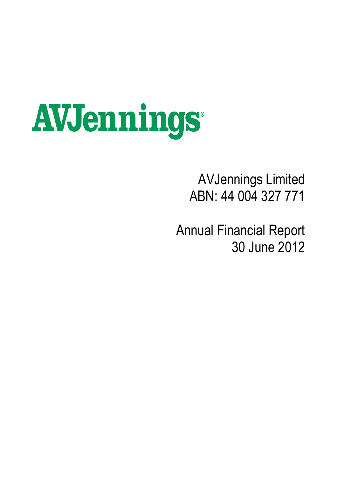# AVJennings

AVJennings Limited ABN: 44 004 327 771

Annual Financial Report 30 June 2012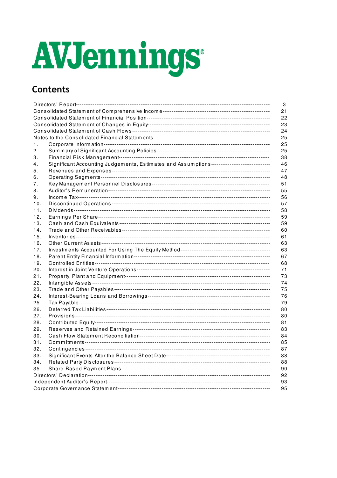# AVJennings

# Contents

|     |                                                                                               | 3  |  |  |  |  |  |  |  |
|-----|-----------------------------------------------------------------------------------------------|----|--|--|--|--|--|--|--|
|     |                                                                                               | 21 |  |  |  |  |  |  |  |
|     | 22                                                                                            |    |  |  |  |  |  |  |  |
|     | 23                                                                                            |    |  |  |  |  |  |  |  |
|     |                                                                                               | 24 |  |  |  |  |  |  |  |
|     |                                                                                               | 25 |  |  |  |  |  |  |  |
| 1.  |                                                                                               | 25 |  |  |  |  |  |  |  |
| 2.  |                                                                                               | 25 |  |  |  |  |  |  |  |
| 3.  |                                                                                               | 38 |  |  |  |  |  |  |  |
| 4.  | Significant Accounting Judgements, Estimates and Assumptions--------------------------------- | 46 |  |  |  |  |  |  |  |
| 5.  |                                                                                               | 47 |  |  |  |  |  |  |  |
| 6.  |                                                                                               | 48 |  |  |  |  |  |  |  |
| 7.  |                                                                                               | 51 |  |  |  |  |  |  |  |
| 8.  |                                                                                               | 55 |  |  |  |  |  |  |  |
| 9.  |                                                                                               | 56 |  |  |  |  |  |  |  |
| 10. |                                                                                               | 57 |  |  |  |  |  |  |  |
| 11. |                                                                                               | 58 |  |  |  |  |  |  |  |
| 12. |                                                                                               | 59 |  |  |  |  |  |  |  |
| 13. |                                                                                               | 59 |  |  |  |  |  |  |  |
| 14. |                                                                                               | 60 |  |  |  |  |  |  |  |
| 15. |                                                                                               | 61 |  |  |  |  |  |  |  |
| 16. |                                                                                               | 63 |  |  |  |  |  |  |  |
| 17. |                                                                                               | 63 |  |  |  |  |  |  |  |
| 18. |                                                                                               | 67 |  |  |  |  |  |  |  |
| 19. |                                                                                               | 68 |  |  |  |  |  |  |  |
| 20. |                                                                                               | 71 |  |  |  |  |  |  |  |
| 21. |                                                                                               | 73 |  |  |  |  |  |  |  |
| 22. |                                                                                               | 74 |  |  |  |  |  |  |  |
| 23. |                                                                                               | 75 |  |  |  |  |  |  |  |
| 24. |                                                                                               | 76 |  |  |  |  |  |  |  |
| 25. |                                                                                               | 79 |  |  |  |  |  |  |  |
| 26. |                                                                                               | 80 |  |  |  |  |  |  |  |
| 27. |                                                                                               | 80 |  |  |  |  |  |  |  |
| 28. |                                                                                               | 81 |  |  |  |  |  |  |  |
| 29. |                                                                                               | 83 |  |  |  |  |  |  |  |
| 30. |                                                                                               | 84 |  |  |  |  |  |  |  |
| 31. |                                                                                               | 85 |  |  |  |  |  |  |  |
| 32. |                                                                                               | 87 |  |  |  |  |  |  |  |
| 33. |                                                                                               | 88 |  |  |  |  |  |  |  |
| 34. |                                                                                               | 88 |  |  |  |  |  |  |  |
| 35. |                                                                                               | 90 |  |  |  |  |  |  |  |
|     |                                                                                               | 92 |  |  |  |  |  |  |  |
|     |                                                                                               | 93 |  |  |  |  |  |  |  |
|     |                                                                                               | 95 |  |  |  |  |  |  |  |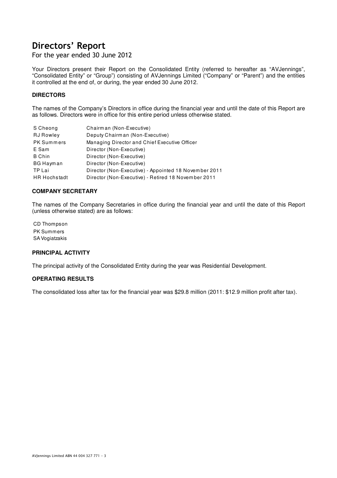For the year ended 30 June 2012

Your Directors present their Report on the Consolidated Entity (referred to hereafter as "AVJennings", "Consolidated Entity" or "Group") consisting of AVJennings Limited ("Company" or "Parent") and the entities it controlled at the end of, or during, the year ended 30 June 2012.

#### **DIRECTORS**

The names of the Company's Directors in office during the financial year and until the date of this Report are as follows. Directors were in office for this entire period unless otherwise stated.

| S Cheong            | Chairman (Non-Executive)                              |
|---------------------|-------------------------------------------------------|
| <b>RJ</b> Rowley    | Deputy Chairman (Non-Executive)                       |
| <b>PK Summers</b>   | Managing Director and Chief Executive Officer         |
| E Sam               | Director (Non-Executive)                              |
| <b>B</b> Chin       | Director (Non-Executive)                              |
| BG Hayman           | Director (Non-Executive)                              |
| TP Lai              | Director (Non-Executive) - Appointed 18 November 2011 |
| <b>HR Hochstadt</b> | Director (Non-Executive) - Retired 18 November 2011   |

#### **COMPANY SECRETARY**

The names of the Company Secretaries in office during the financial year and until the date of this Report (unless otherwise stated) are as follows:

CD Thompson PK Summers SA Vogiatzakis

#### **PRINCIPAL ACTIVITY**

The principal activity of the Consolidated Entity during the year was Residential Development.

#### **OPERATING RESULTS**

The consolidated loss after tax for the financial year was \$29.8 million (2011: \$12.9 million profit after tax).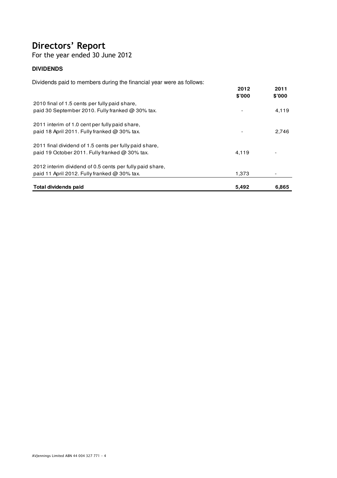For the year ended 30 June 2012

#### **DIVIDENDS**

Dividends paid to members during the financial year were as follows:

| <b>Total dividends paid</b>                                                                                     | 5,492          | 6,865          |
|-----------------------------------------------------------------------------------------------------------------|----------------|----------------|
| paid 11 April 2012. Fully franked $@$ 30% tax.                                                                  | 1,373          |                |
| 2012 interim dividend of 0.5 cents per fully paid share,                                                        |                |                |
| 2011 final dividend of 1.5 cents per fully paid share,<br>paid 19 October 2011. Fully franked $\omega$ 30% tax. | 4,119          |                |
| 2011 interim of 1.0 cent per fully paid share,<br>paid 18 April 2011. Fully franked @ 30% tax.                  |                | 2,746          |
| 2010 final of 1.5 cents per fully paid share,<br>paid 30 September 2010. Fully franked @ 30% tax.               |                | 4,119          |
|                                                                                                                 | 2012<br>\$'000 | 2011<br>\$'000 |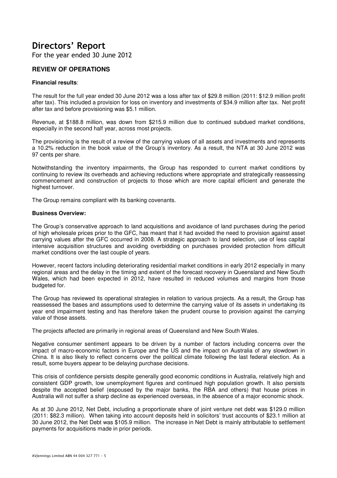For the year ended 30 June 2012

#### **REVIEW OF OPERATIONS**

#### **Financial results**:

The result for the full year ended 30 June 2012 was a loss after tax of \$29.8 million (2011: \$12.9 million profit after tax). This included a provision for loss on inventory and investments of \$34.9 million after tax. Net profit after tax and before provisioning was \$5.1 million.

Revenue, at \$188.8 million, was down from \$215.9 million due to continued subdued market conditions, especially in the second half year, across most projects.

The provisioning is the result of a review of the carrying values of all assets and investments and represents a 10.2% reduction in the book value of the Group's inventory. As a result, the NTA at 30 June 2012 was 97 cents per share.

Notwithstanding the inventory impairments, the Group has responded to current market conditions by continuing to review its overheads and achieving reductions where appropriate and strategically reassessing commencement and construction of projects to those which are more capital efficient and generate the highest turnover.

The Group remains compliant with its banking covenants.

#### **Business Overview:**

The Group's conservative approach to land acquisitions and avoidance of land purchases during the period of high wholesale prices prior to the GFC, has meant that it had avoided the need to provision against asset carrying values after the GFC occurred in 2008. A strategic approach to land selection, use of less capital intensive acquisition structures and avoiding overbidding on purchases provided protection from difficult market conditions over the last couple of years.

However, recent factors including deteriorating residential market conditions in early 2012 especially in many regional areas and the delay in the timing and extent of the forecast recovery in Queensland and New South Wales, which had been expected in 2012, have resulted in reduced volumes and margins from those budgeted for.

The Group has reviewed its operational strategies in relation to various projects. As a result, the Group has reassessed the bases and assumptions used to determine the carrying value of its assets in undertaking its year end impairment testing and has therefore taken the prudent course to provision against the carrying value of those assets.

The projects affected are primarily in regional areas of Queensland and New South Wales.

Negative consumer sentiment appears to be driven by a number of factors including concerns over the impact of macro-economic factors in Europe and the US and the impact on Australia of any slowdown in China. It is also likely to reflect concerns over the political climate following the last federal election. As a result, some buyers appear to be delaying purchase decisions.

This crisis of confidence persists despite generally good economic conditions in Australia, relatively high and consistent GDP growth, low unemployment figures and continued high population growth. It also persists despite the accepted belief (espoused by the major banks, the RBA and others) that house prices in Australia will not suffer a sharp decline as experienced overseas, in the absence of a major economic shock.

As at 30 June 2012, Net Debt, including a proportionate share of joint venture net debt was \$129.0 million (2011: \$82.3 million). When taking into account deposits held in solicitors' trust accounts of \$23.1 million at 30 June 2012, the Net Debt was \$105.9 million. The increase in Net Debt is mainly attributable to settlement payments for acquisitions made in prior periods.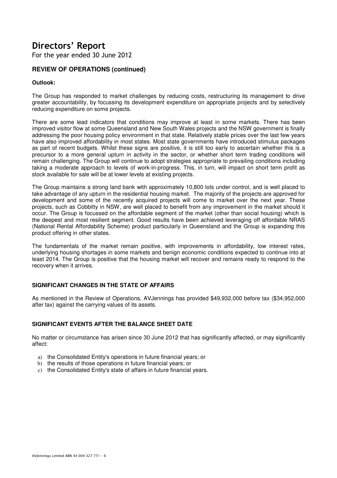For the year ended 30 June 2012

#### **REVIEW OF OPERATIONS (continued)**

#### **Outlook:**

The Group has responded to market challenges by reducing costs, restructuring its management to drive greater accountability, by focussing its development expenditure on appropriate projects and by selectively reducing expenditure on some projects.

There are some lead indicators that conditions may improve at least in some markets. There has been improved visitor flow at some Queensland and New South Wales projects and the NSW government is finally addressing the poor housing policy environment in that state. Relatively stable prices over the last few years have also improved affordability in most states. Most state governments have introduced stimulus packages as part of recent budgets. Whilst these signs are positive, it is still too early to ascertain whether this is a precursor to a more general upturn in activity in the sector, or whether short term trading conditions will remain challenging. The Group will continue to adopt strategies appropriate to prevailing conditions including taking a moderate approach to levels of work-in-progress. This, in turn, will impact on short term profit as stock available for sale will be at lower levels at existing projects.

The Group maintains a strong land bank with approximately 10,800 lots under control, and is well placed to take advantage of any upturn in the residential housing market. The majority of the projects are approved for development and some of the recently acquired projects will come to market over the next year. These projects, such as Cobbitty in NSW, are well placed to benefit from any improvement in the market should it occur. The Group is focussed on the affordable segment of the market (other than social housing) which is the deepest and most resilient segment. Good results have been achieved leveraging off affordable NRAS (National Rental Affordability Scheme) product particularly in Queensland and the Group is expanding this product offering in other states.

The fundamentals of the market remain positive, with improvements in affordability, low interest rates, underlying housing shortages in some markets and benign economic conditions expected to continue into at least 2014. The Group is positive that the housing market will recover and remains ready to respond to the recovery when it arrives.

#### **SIGNIFICANT CHANGES IN THE STATE OF AFFAIRS**

As mentioned in the Review of Operations, AVJennings has provided \$49,932,000 before tax (\$34,952,000 after tax) against the carrying values of its assets.

#### **SIGNIFICANT EVENTS AFTER THE BALANCE SHEET DATE**

No matter or circumstance has arisen since 30 June 2012 that has significantly affected, or may significantly affect:

- a) the Consolidated Entity's operations in future financial years; or
- b) the results of those operations in future financial years; or
- c) the Consolidated Entity's state of affairs in future financial years.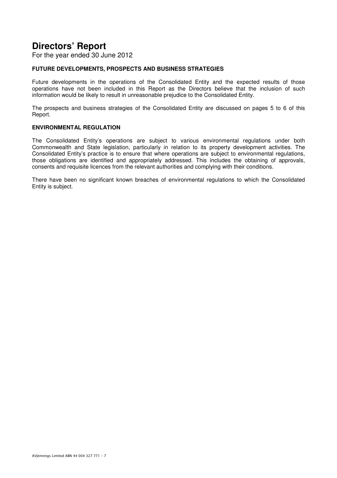For the year ended 30 June 2012

#### **FUTURE DEVELOPMENTS, PROSPECTS AND BUSINESS STRATEGIES**

Future developments in the operations of the Consolidated Entity and the expected results of those operations have not been included in this Report as the Directors believe that the inclusion of such information would be likely to result in unreasonable prejudice to the Consolidated Entity.

The prospects and business strategies of the Consolidated Entity are discussed on pages 5 to 6 of this Report.

#### **ENVIRONMENTAL REGULATION**

The Consolidated Entity's operations are subject to various environmental regulations under both Commonwealth and State legislation, particularly in relation to its property development activities. The Consolidated Entity's practice is to ensure that where operations are subject to environmental regulations, those obligations are identified and appropriately addressed. This includes the obtaining of approvals, consents and requisite licences from the relevant authorities and complying with their conditions.

There have been no significant known breaches of environmental regulations to which the Consolidated Entity is subject.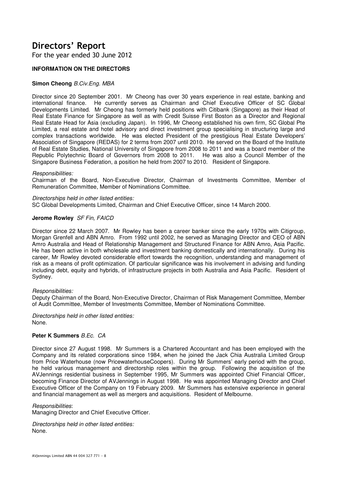For the year ended 30 June 2012

#### **INFORMATION ON THE DIRECTORS**

#### **Simon Cheong** B.Civ.Eng. MBA

Director since 20 September 2001. Mr Cheong has over 30 years experience in real estate, banking and international finance. He currently serves as Chairman and Chief Executive Officer of SC Global Developments Limited. Mr Cheong has formerly held positions with Citibank (Singapore) as their Head of Real Estate Finance for Singapore as well as with Credit Suisse First Boston as a Director and Regional Real Estate Head for Asia (excluding Japan). In 1996, Mr Cheong established his own firm, SC Global Pte Limited, a real estate and hotel advisory and direct investment group specialising in structuring large and complex transactions worldwide. He was elected President of the prestigious Real Estate Developers' Association of Singapore (REDAS) for 2 terms from 2007 until 2010. He served on the Board of the Institute of Real Estate Studies, National University of Singapore from 2008 to 2011 and was a board member of the Republic Polytechnic Board of Governors from 2008 to 2011. He was also a Council Member of the Singapore Business Federation, a position he held from 2007 to 2010. Resident of Singapore.

#### Responsibilities:

Chairman of the Board, Non-Executive Director, Chairman of Investments Committee, Member of Remuneration Committee, Member of Nominations Committee.

Directorships held in other listed entities:

SC Global Developments Limited, Chairman and Chief Executive Officer, since 14 March 2000.

#### **Jerome Rowley** SF Fin, FAICD

Director since 22 March 2007. Mr Rowley has been a career banker since the early 1970s with Citigroup, Morgan Grenfell and ABN Amro. From 1992 until 2002, he served as Managing Director and CEO of ABN Amro Australia and Head of Relationship Management and Structured Finance for ABN Amro, Asia Pacific. He has been active in both wholesale and investment banking domestically and internationally. During his career, Mr Rowley devoted considerable effort towards the recognition, understanding and management of risk as a means of profit optimization. Of particular significance was his involvement in advising and funding including debt, equity and hybrids, of infrastructure projects in both Australia and Asia Pacific. Resident of Sydney.

#### Responsibilities:

Deputy Chairman of the Board, Non-Executive Director, Chairman of Risk Management Committee, Member of Audit Committee, Member of Investments Committee, Member of Nominations Committee.

Directorships held in other listed entities: None.

#### **Peter K Summers** B.Ec. CA

Director since 27 August 1998. Mr Summers is a Chartered Accountant and has been employed with the Company and its related corporations since 1984, when he joined the Jack Chia Australia Limited Group from Price Waterhouse (now PricewaterhouseCoopers). During Mr Summers' early period with the group, he held various management and directorship roles within the group. Following the acquisition of the AVJennings residential business in September 1995, Mr Summers was appointed Chief Financial Officer, becoming Finance Director of AVJennings in August 1998. He was appointed Managing Director and Chief Executive Officer of the Company on 19 February 2009. Mr Summers has extensive experience in general and financial management as well as mergers and acquisitions. Resident of Melbourne.

#### Responsibilities:

Managing Director and Chief Executive Officer.

Directorships held in other listed entities: None.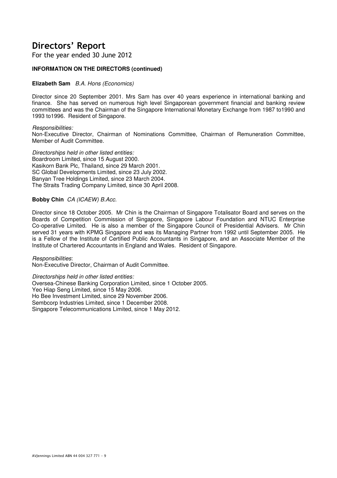For the year ended 30 June 2012

#### **INFORMATION ON THE DIRECTORS (continued)**

#### **Elizabeth Sam** B.A. Hons (Economics)

Director since 20 September 2001. Mrs Sam has over 40 years experience in international banking and finance. She has served on numerous high level Singaporean government financial and banking review committees and was the Chairman of the Singapore International Monetary Exchange from 1987 to1990 and 1993 to1996. Resident of Singapore.

#### Responsibilities:

Non-Executive Director, Chairman of Nominations Committee, Chairman of Remuneration Committee, Member of Audit Committee.

Directorships held in other listed entities: Boardroom Limited, since 15 August 2000. Kasikorn Bank Plc, Thailand, since 29 March 2001. SC Global Developments Limited, since 23 July 2002. Banyan Tree Holdings Limited, since 23 March 2004. The Straits Trading Company Limited, since 30 April 2008.

#### **Bobby Chin** CA (ICAEW) B.Acc.

Director since 18 October 2005. Mr Chin is the Chairman of Singapore Totalisator Board and serves on the Boards of Competition Commission of Singapore, Singapore Labour Foundation and NTUC Enterprise Co-operative Limited. He is also a member of the Singapore Council of Presidential Advisers. Mr Chin served 31 years with KPMG Singapore and was its Managing Partner from 1992 until September 2005. He is a Fellow of the Institute of Certified Public Accountants in Singapore, and an Associate Member of the Institute of Chartered Accountants in England and Wales. Resident of Singapore.

Responsibilities:

Non-Executive Director, Chairman of Audit Committee.

#### Directorships held in other listed entities:

Oversea-Chinese Banking Corporation Limited, since 1 October 2005. Yeo Hiap Seng Limited, since 15 May 2006. Ho Bee Investment Limited, since 29 November 2006. Sembcorp Industries Limited, since 1 December 2008.

Singapore Telecommunications Limited, since 1 May 2012.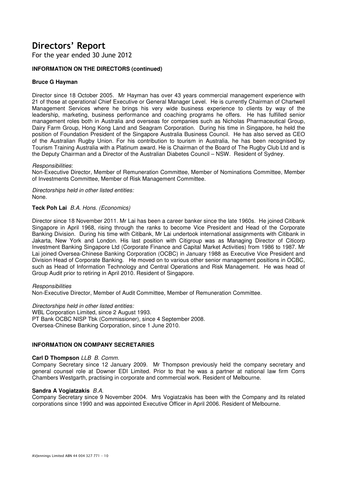For the year ended 30 June 2012

#### **INFORMATION ON THE DIRECTORS (continued)**

#### **Bruce G Hayman**

Director since 18 October 2005. Mr Hayman has over 43 years commercial management experience with 21 of those at operational Chief Executive or General Manager Level. He is currently Chairman of Chartwell Management Services where he brings his very wide business experience to clients by way of the leadership, marketing, business performance and coaching programs he offers. He has fulfilled senior management roles both in Australia and overseas for companies such as Nicholas Pharmaceutical Group, Dairy Farm Group, Hong Kong Land and Seagram Corporation. During his time in Singapore, he held the position of Foundation President of the Singapore Australia Business Council. He has also served as CEO of the Australian Rugby Union. For his contribution to tourism in Australia, he has been recognised by Tourism Training Australia with a Platinum award. He is Chairman of the Board of The Rugby Club Ltd and is the Deputy Chairman and a Director of the Australian Diabetes Council – NSW. Resident of Sydney.

#### Responsibilities:

Non-Executive Director, Member of Remuneration Committee, Member of Nominations Committee, Member of Investments Committee, Member of Risk Management Committee.

Directorships held in other listed entities: None.

**Teck Poh Lai** B.A. Hons. (Economics)

Director since 18 November 2011. Mr Lai has been a career banker since the late 1960s. He joined Citibank Singapore in April 1968, rising through the ranks to become Vice President and Head of the Corporate Banking Division. During his time with Citibank, Mr Lai undertook international assignments with Citibank in Jakarta, New York and London. His last position with Citigroup was as Managing Director of Citicorp Investment Banking Singapore Ltd (Corporate Finance and Capital Market Activities) from 1986 to 1987. Mr Lai joined Oversea-Chinese Banking Corporation (OCBC) in January 1988 as Executive Vice President and Division Head of Corporate Banking. He moved on to various other senior management positions in OCBC, such as Head of Information Technology and Central Operations and Risk Management. He was head of Group Audit prior to retiring in April 2010. Resident of Singapore.

#### **Responsibilities**

Non-Executive Director, Member of Audit Committee, Member of Remuneration Committee.

Directorships held in other listed entities: WBL Corporation Limited, since 2 August 1993. PT Bank OCBC NISP Tbk (Commissioner), since 4 September 2008. Oversea-Chinese Banking Corporation, since 1 June 2010.

#### **INFORMATION ON COMPANY SECRETARIES**

#### **Carl D Thompson** LLB B. Comm.

Company Secretary since 12 January 2009. Mr Thompson previously held the company secretary and general counsel role at Downer EDI Limited. Prior to that he was a partner at national law firm Corrs Chambers Westgarth, practising in corporate and commercial work. Resident of Melbourne.

#### **Sandra A Vogiatzakis** B.A.

Company Secretary since 9 November 2004. Mrs Vogiatzakis has been with the Company and its related corporations since 1990 and was appointed Executive Officer in April 2006. Resident of Melbourne.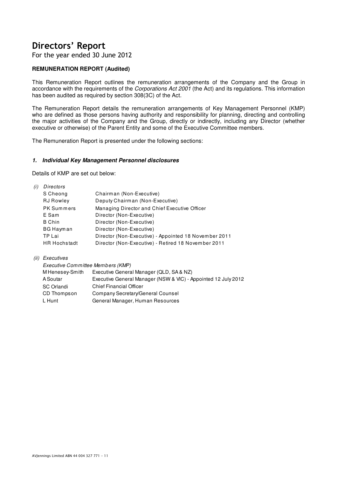For the year ended 30 June 2012

#### **REMUNERATION REPORT (Audited)**

This Remuneration Report outlines the remuneration arrangements of the Company and the Group in accordance with the requirements of the Corporations Act 2001 (the Act) and its regulations. This information has been audited as required by section 308(3C) of the Act.

The Remuneration Report details the remuneration arrangements of Key Management Personnel (KMP) who are defined as those persons having authority and responsibility for planning, directing and controlling the major activities of the Company and the Group, directly or indirectly, including any Director (whether executive or otherwise) of the Parent Entity and some of the Executive Committee members.

The Remuneration Report is presented under the following sections:

#### **1. Individual Key Management Personnel disclosures**

Details of KMP are set out below:

| Directors<br>S Cheong<br><b>RJ</b> Rowley<br>PK Summers<br>E Sam<br>B Chin<br>BG Hayman<br>TP Lai | Chairman (Non-Executive)<br>Deputy Chairman (Non-Executive)<br>Managing Director and Chief Executive Officer<br>Director (Non-Executive)<br>Director (Non-Executive)<br>Director (Non-Executive)<br>Director (Non-Executive) - Appointed 18 November 2011 |
|---------------------------------------------------------------------------------------------------|-----------------------------------------------------------------------------------------------------------------------------------------------------------------------------------------------------------------------------------------------------------|
| <b>HR Hochstadt</b>                                                                               | Director (Non-Executive) - Retired 18 November 2011                                                                                                                                                                                                       |
|                                                                                                   |                                                                                                                                                                                                                                                           |

(ii) Executives

| Executive Committee Members (KMP) |                                                                |  |  |  |  |
|-----------------------------------|----------------------------------------------------------------|--|--|--|--|
| M Henesey-Smith                   | Executive General Manager (QLD, SA & NZ)                       |  |  |  |  |
| A Soutar                          | Executive General Manager (NSW & VIC) - Appointed 12 July 2012 |  |  |  |  |
| SC Orlandi                        | <b>Chief Financial Officer</b>                                 |  |  |  |  |
| CD Thompson                       | Company Secretary/General Counsel                              |  |  |  |  |
| L Hunt                            | General Manager, Human Resources                               |  |  |  |  |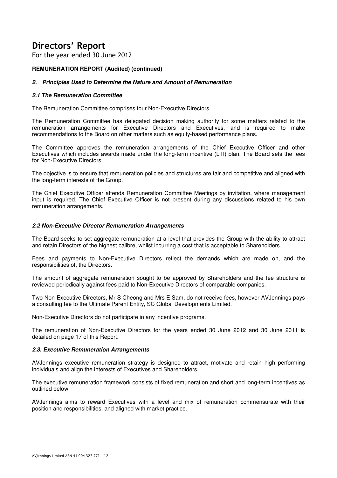For the year ended 30 June 2012

#### **REMUNERATION REPORT (Audited) (continued)**

#### **2. Principles Used to Determine the Nature and Amount of Remuneration**

#### **2.1 The Remuneration Committee**

The Remuneration Committee comprises four Non-Executive Directors.

The Remuneration Committee has delegated decision making authority for some matters related to the remuneration arrangements for Executive Directors and Executives, and is required to make recommendations to the Board on other matters such as equity-based performance plans.

The Committee approves the remuneration arrangements of the Chief Executive Officer and other Executives which includes awards made under the long-term incentive (LTI) plan. The Board sets the fees for Non-Executive Directors.

The objective is to ensure that remuneration policies and structures are fair and competitive and aligned with the long-term interests of the Group.

The Chief Executive Officer attends Remuneration Committee Meetings by invitation, where management input is required. The Chief Executive Officer is not present during any discussions related to his own remuneration arrangements.

#### **2.2 Non-Executive Director Remuneration Arrangements**

The Board seeks to set aggregate remuneration at a level that provides the Group with the ability to attract and retain Directors of the highest calibre, whilst incurring a cost that is acceptable to Shareholders.

Fees and payments to Non-Executive Directors reflect the demands which are made on, and the responsibilities of, the Directors.

The amount of aggregate remuneration sought to be approved by Shareholders and the fee structure is reviewed periodically against fees paid to Non-Executive Directors of comparable companies.

Two Non-Executive Directors, Mr S Cheong and Mrs E Sam, do not receive fees, however AVJennings pays a consulting fee to the Ultimate Parent Entity, SC Global Developments Limited.

Non-Executive Directors do not participate in any incentive programs.

The remuneration of Non-Executive Directors for the years ended 30 June 2012 and 30 June 2011 is detailed on page 17 of this Report.

#### **2.3. Executive Remuneration Arrangements**

AVJennings executive remuneration strategy is designed to attract, motivate and retain high performing individuals and align the interests of Executives and Shareholders.

The executive remuneration framework consists of fixed remuneration and short and long-term incentives as outlined below.

AVJennings aims to reward Executives with a level and mix of remuneration commensurate with their position and responsibilities, and aligned with market practice.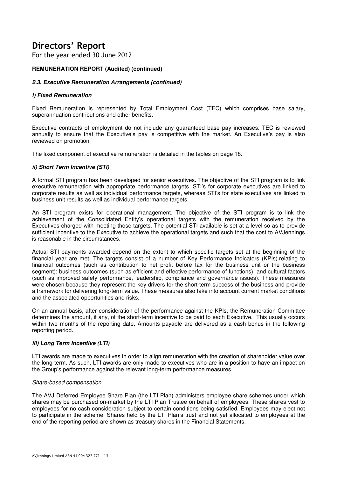For the year ended 30 June 2012

#### **REMUNERATION REPORT (Audited) (continued)**

#### **2.3. Executive Remuneration Arrangements (continued)**

#### **i) Fixed Remuneration**

Fixed Remuneration is represented by Total Employment Cost (TEC) which comprises base salary, superannuation contributions and other benefits.

Executive contracts of employment do not include any guaranteed base pay increases. TEC is reviewed annually to ensure that the Executive's pay is competitive with the market. An Executive's pay is also reviewed on promotion.

The fixed component of executive remuneration is detailed in the tables on page 18.

#### **ii) Short Term Incentive (STI)**

A formal STI program has been developed for senior executives. The objective of the STI program is to link executive remuneration with appropriate performance targets. STI's for corporate executives are linked to corporate results as well as individual performance targets, whereas STI's for state executives are linked to business unit results as well as individual performance targets.

An STI program exists for operational management. The objective of the STI program is to link the achievement of the Consolidated Entity's operational targets with the remuneration received by the Executives charged with meeting those targets. The potential STI available is set at a level so as to provide sufficient incentive to the Executive to achieve the operational targets and such that the cost to AVJennings is reasonable in the circumstances.

Actual STI payments awarded depend on the extent to which specific targets set at the beginning of the financial year are met. The targets consist of a number of Key Performance Indicators (KPIs) relating to financial outcomes (such as contribution to net profit before tax for the business unit or the business segment); business outcomes (such as efficient and effective performance of functions); and cultural factors (such as improved safety performance, leadership, compliance and governance issues). These measures were chosen because they represent the key drivers for the short-term success of the business and provide a framework for delivering long-term value. These measures also take into account current market conditions and the associated opportunities and risks.

On an annual basis, after consideration of the performance against the KPIs, the Remuneration Committee determines the amount, if any, of the short-term incentive to be paid to each Executive. This usually occurs within two months of the reporting date. Amounts payable are delivered as a cash bonus in the following reporting period.

#### **iii) Long Term Incentive (LTI)**

LTI awards are made to executives in order to align remuneration with the creation of shareholder value over the long-term. As such, LTI awards are only made to executives who are in a position to have an impact on the Group's performance against the relevant long-term performance measures.

#### Share-based compensation

The AVJ Deferred Employee Share Plan (the LTI Plan) administers employee share schemes under which shares may be purchased on-market by the LTI Plan Trustee on behalf of employees. These shares vest to employees for no cash consideration subject to certain conditions being satisfied. Employees may elect not to participate in the scheme. Shares held by the LTI Plan's trust and not yet allocated to employees at the end of the reporting period are shown as treasury shares in the Financial Statements.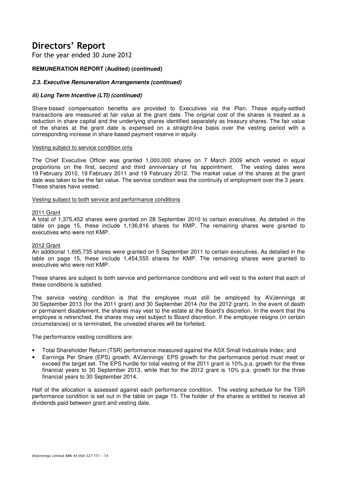For the year ended 30 June 2012

#### **REMUNERATION REPORT (Audited) (continued)**

#### **2.3. Executive Remuneration Arrangements (continued)**

#### **iii) Long Term Incentive (LTI) (continued)**

Share-based compensation benefits are provided to Executives via the Plan. These equity-settled transactions are measured at fair value at the grant date. The original cost of the shares is treated as a reduction in share capital and the underlying shares identified separately as treasury shares. The fair value of the shares at the grant date is expensed on a straight-line basis over the vesting period with a corresponding increase in share-based payment reserve in equity.

#### Vesting subject to service condition only

The Chief Executive Officer was granted 1,000,000 shares on 7 March 2009 which vested in equal proportions on the first, second and third anniversary of his appointment. The vesting dates were 19 February 2010, 19 February 2011 and 19 February 2012. The market value of the shares at the grant date was taken to be the fair value. The service condition was the continuity of employment over the 3 years. These shares have vested.

#### Vesting subject to both service and performance conditions

#### 2011 Grant

A total of 1,375,452 shares were granted on 28 September 2010 to certain executives. As detailed in the table on page 15, these include 1,136,816 shares for KMP. The remaining shares were granted to executives who were not KMP.

#### 2012 Grant

An additional 1,695,735 shares were granted on 5 September 2011 to certain executives. As detailed in the table on page 15, these include 1,454,555 shares for KMP. The remaining shares were granted to executives who were not KMP.

These shares are subject to both service and performance conditions and will vest to the extent that each of these conditions is satisfied.

The service vesting condition is that the employee must still be employed by AVJennings at 30 September 2013 (for the 2011 grant) and 30 September 2014 (for the 2012 grant). In the event of death or permanent disablement, the shares may vest to the estate at the Board's discretion. In the event that the employee is retrenched, the shares may vest subject to Board discretion. If the employee resigns (in certain circumstances) or is terminated, the unvested shares will be forfeited.

The performance vesting conditions are:

- Total Shareholder Return (TSR) performance measured against the ASX Small Industrials Index; and
- Earnings Per Share (EPS) growth. AVJennings' EPS growth for the performance period must meet or exceed the target set. The EPS hurdle for total vesting of the 2011 grant is 10% p.a. growth for the three financial years to 30 September 2013, while that for the 2012 grant is 10% p.a. growth for the three financial years to 30 September 2014.

Half of the allocation is assessed against each performance condition. The vesting schedule for the TSR performance condition is set out in the table on page 15. The holder of the shares is entitled to receive all dividends paid between grant and vesting date.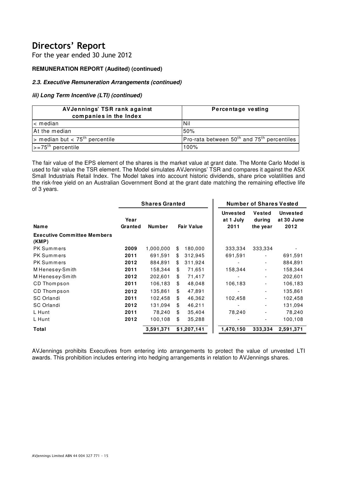For the year ended 30 June 2012

#### **REMUNERATION REPORT (Audited) (continued)**

#### **2.3. Executive Remuneration Arrangements (continued)**

#### **iii) Long Term Incentive (LTI) (continued)**

| <b>AVJennings' TSR rank against</b><br>companies in the Index | Percentage vesting                                   |
|---------------------------------------------------------------|------------------------------------------------------|
| $\mathsf{l}$ c median                                         | <b>INil</b>                                          |
| At the median                                                 | 50%                                                  |
| $\geq$ median but < 75 <sup>th</sup> percentile               | Pro-rata between $50^{th}$ and $75^{th}$ percentiles |
| $\left  \right $ >=75 <sup>th</sup> percentile                | 100%                                                 |

The fair value of the EPS element of the shares is the market value at grant date. The Monte Carlo Model is used to fair value the TSR element. The Model simulates AVJennings' TSR and compares it against the ASX Small Industrials Retail Index. The Model takes into account historic dividends, share price volatilities and the risk-free yield on an Australian Government Bond at the grant date matching the remaining effective life of 3 years.

|                                             |                 | <b>Shares Granted</b> |                   | Number of Shares Vested              |                                     |                                       |  |  |
|---------------------------------------------|-----------------|-----------------------|-------------------|--------------------------------------|-------------------------------------|---------------------------------------|--|--|
| Name                                        | Year<br>Granted | <b>Number</b>         | <b>Fair Value</b> | <b>Unvested</b><br>at 1 July<br>2011 | <b>Vested</b><br>during<br>the year | <b>Unvested</b><br>at 30 June<br>2012 |  |  |
| <b>Executive Committee Members</b><br>(KMP) |                 |                       |                   |                                      |                                     |                                       |  |  |
| <b>PK Summers</b>                           | 2009            | 1,000,000             | \$<br>180,000     | 333,334                              | 333,334                             |                                       |  |  |
| PK Summers                                  | 2011            | 691,591               | \$<br>312,945     | 691,591                              |                                     | 691,591                               |  |  |
| <b>PK Summers</b>                           | 2012            | 884,891               | \$<br>311,924     |                                      |                                     | 884,891                               |  |  |
| M Henesey-Smith                             | 2011            | 158,344               | \$<br>71,651      | 158,344                              |                                     | 158,344                               |  |  |
| M Henesey-Smith                             | 2012            | 202,601               | \$<br>71,417      |                                      |                                     | 202,601                               |  |  |
| CD Thompson                                 | 2011            | 106,183               | \$<br>48,048      | 106,183                              |                                     | 106,183                               |  |  |
| CD Thompson                                 | 2012            | 135,861               | \$<br>47,891      |                                      |                                     | 135,861                               |  |  |
| SC Orlandi                                  | 2011            | 102,458               | \$<br>46,362      | 102,458                              |                                     | 102,458                               |  |  |
| SC Orlandi                                  | 2012            | 131,094               | \$<br>46,211      |                                      |                                     | 131,094                               |  |  |
| L Hunt                                      | 2011            | 78,240                | \$<br>35,404      | 78,240                               |                                     | 78,240                                |  |  |
| L Hunt                                      | 2012            | 100,108               | \$<br>35,288      |                                      |                                     | 100,108                               |  |  |
| Total                                       |                 | 3,591,371             | \$1,207,141       | 1,470,150                            | 333,334                             | 2,591,371                             |  |  |

AVJennings prohibits Executives from entering into arrangements to protect the value of unvested LTI awards. This prohibition includes entering into hedging arrangements in relation to AVJennings shares.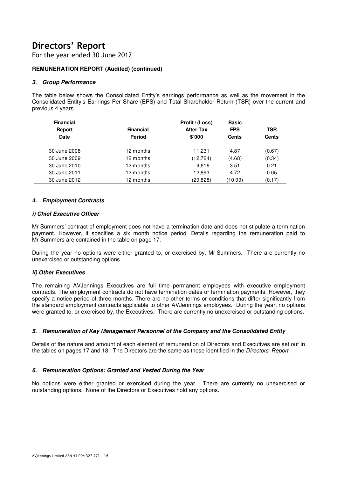For the year ended 30 June 2012

#### **REMUNERATION REPORT (Audited) (continued)**

#### **3. Group Performance**

The table below shows the Consolidated Entity's earnings performance as well as the movement in the Consolidated Entity's Earnings Per Share (EPS) and Total Shareholder Return (TSR) over the current and previous 4 years.

| <b>Financial</b><br>Report<br>Date | <b>Financial</b><br><b>Period</b> | Profit / (Loss)<br><b>After Tax</b><br>\$'000 | <b>Basic</b><br><b>EPS</b><br><b>Cents</b> | <b>TSR</b><br><b>Cents</b> |
|------------------------------------|-----------------------------------|-----------------------------------------------|--------------------------------------------|----------------------------|
|                                    |                                   |                                               |                                            |                            |
| 30 June 2008                       | 12 months                         | 11.231                                        | 4.87                                       | (0.67)                     |
| 30 June 2009                       | 12 months                         | (12, 724)                                     | (4.68)                                     | (0.34)                     |
| 30 June 2010                       | 12 months                         | 9.616                                         | 3.51                                       | 0.21                       |
| 30 June 2011                       | 12 months                         | 12.893                                        | 4.72                                       | 0.05                       |
| 30 June 2012                       | 12 months                         | (29, 828)                                     | (10.99)                                    | (0.17)                     |

#### **4. Employment Contracts**

#### **i) Chief Executive Officer**

Mr Summers' contract of employment does not have a termination date and does not stipulate a termination payment. However, it specifies a six month notice period. Details regarding the remuneration paid to Mr Summers are contained in the table on page 17.

During the year no options were either granted to, or exercised by, Mr Summers. There are currently no unexercised or outstanding options.

#### **ii) Other Executives**

The remaining AVJennings Executives are full time permanent employees with executive employment contracts. The employment contracts do not have termination dates or termination payments. However, they specify a notice period of three months. There are no other terms or conditions that differ significantly from the standard employment contracts applicable to other AVJennings employees. During the year, no options were granted to, or exercised by, the Executives. There are currently no unexercised or outstanding options.

#### **5. Remuneration of Key Management Personnel of the Company and the Consolidated Entity**

Details of the nature and amount of each element of remuneration of Directors and Executives are set out in the tables on pages 17 and 18. The Directors are the same as those identified in the Directors' Report.

#### **6. Remuneration Options: Granted and Vested During the Year**

No options were either granted or exercised during the year. There are currently no unexercised or outstanding options. None of the Directors or Executives hold any options.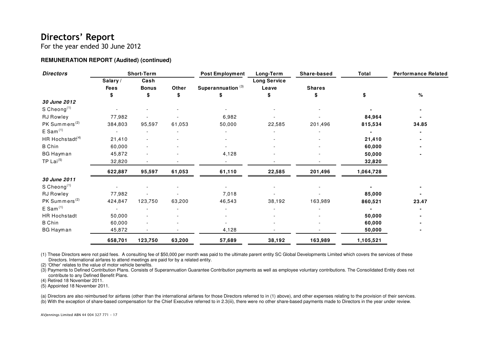For the year ended 30 June 2012

#### **REMUNERATION REPORT (Audited) (continued)**

| <b>Directors</b>            |             | <b>Short-Term</b> |        | <b>Post Employment</b>        | Long-Term           | Share-based   | <b>Total</b> | <b>Performance Related</b> |
|-----------------------------|-------------|-------------------|--------|-------------------------------|---------------------|---------------|--------------|----------------------------|
|                             | Salary/     | Cash              |        |                               | <b>Long Service</b> |               |              |                            |
|                             | <b>Fees</b> | <b>Bonus</b>      | Other  | Superannuation <sup>(3)</sup> | Leave               | <b>Shares</b> |              |                            |
|                             | S.          | S                 | S      |                               | S                   | \$            | \$           | $\%$                       |
| 30 June 2012                |             |                   |        |                               |                     |               |              |                            |
| S Cheong $(1)$              |             |                   |        |                               |                     |               |              |                            |
| <b>RJ Rowley</b>            | 77,982      |                   |        | 6,982                         |                     |               | 84,964       |                            |
| PK Summers <sup>(2)</sup>   | 384,803     | 95,597            | 61,053 | 50,000                        | 22,585              | 201,496       | 815,534      | 34.85                      |
| E Sam <sup>(1)</sup>        |             |                   |        |                               |                     |               |              |                            |
| HR Hochstadt <sup>(4)</sup> | 21,410      |                   |        |                               |                     |               | 21,410       |                            |
| <b>B</b> Chin               | 60,000      |                   |        |                               |                     |               | 60,000       |                            |
| <b>BG Hayman</b>            | 45,872      |                   |        | 4,128                         |                     |               | 50,000       |                            |
| TP Lai $(5)$                | 32,820      |                   |        |                               |                     |               | 32,820       |                            |
|                             | 622,887     | 95,597            | 61,053 | 61,110                        | 22,585              | 201,496       | 1,064,728    |                            |
| 30 June 2011                |             |                   |        |                               |                     |               |              |                            |
| S Cheong $(1)$              |             |                   |        |                               |                     |               |              |                            |
| <b>RJ Rowley</b>            | 77,982      |                   |        | 7,018                         |                     |               | 85,000       |                            |
| PK Summers <sup>(2)</sup>   | 424,847     | 123,750           | 63,200 | 46,543                        | 38,192              | 163,989       | 860,521      | 23.47                      |
| E Sam <sup>(1)</sup>        |             |                   |        |                               |                     |               |              |                            |
| <b>HR Hochstadt</b>         | 50,000      |                   |        |                               |                     |               | 50,000       |                            |
| <b>B</b> Chin               | 60,000      |                   |        |                               |                     |               | 60,000       |                            |
| <b>BG Hayman</b>            | 45,872      |                   |        | 4,128                         |                     |               | 50,000       |                            |
|                             | 658,701     | 123,750           | 63,200 | 57,689                        | 38,192              | 163,989       | 1,105,521    |                            |

(1) These Directors were not paid fees. A consulting fee of \$50,000 per month was paid to the ultimate parent entity SC Global Developments Limited which covers the services of these Directors. International airfares to attend meetings are paid for by a related entity.

(2) 'Other' relates to the value of motor vehicle benefits.

 (3) Payments to Defined Contribution Plans. Consists of Superannuation Guarantee Contribution payments as well as employee voluntary contributions. The Consolidated Entity does not contribute to any Defined Benefit Plans.

(4) Retired 18 November 2011.

(5) Appointed 18 November 2011.

(a) Directors are also reimbursed for airfares (other than the international airfares for those Directors referred to in (1) above), and other expenses relating to the provision of their services. (b) With the exception of share-based compensation for the Chief Executive referred to in 2.3(iii), there were no other share-based payments made to Directors in the year under review.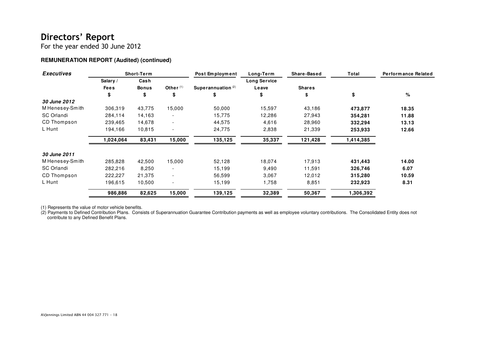For the year ended 30 June 2012

#### **REMUNERATION REPORT (Audited) (continued)**

| <b>Executives</b>  | <b>Short-Term</b> |              |                          | Post Employment<br>Long-Term |              | Share-Based   | Total     | Performance Related |
|--------------------|-------------------|--------------|--------------------------|------------------------------|--------------|---------------|-----------|---------------------|
|                    | Salary /          | Cash         |                          |                              | Long Service |               |           |                     |
|                    | <b>Fees</b>       | <b>Bonus</b> | Other $(1)$              | Superannuation $(2)$         | Leave        | <b>Shares</b> |           |                     |
|                    | \$                | \$           | \$                       | S                            | \$           | \$            | \$        | %                   |
| 30 June 2012       |                   |              |                          |                              |              |               |           |                     |
| M Henesey-Smith    | 306,319           | 43,775       | 15,000                   | 50,000                       | 15,597       | 43,186        | 473,877   | 18.35               |
| <b>SC Orlandi</b>  | 284,114           | 14,163       | $\overline{\phantom{0}}$ | 15,775                       | 12,286       | 27,943        | 354,281   | 11.88               |
| <b>CD Thompson</b> | 239,465           | 14,678       | $\overline{\phantom{a}}$ | 44,575                       | 4,616        | 28,960        | 332,294   | 13.13               |
| L Hunt             | 194,166           | 10,815       |                          | 24,775                       | 2,838        | 21,339        | 253,933   | 12.66               |
|                    | 1,024,064         | 83,431       | 15,000                   | 135,125                      | 35,337       | 121,428       | 1,414,385 |                     |
| 30 June 2011       |                   |              |                          |                              |              |               |           |                     |
| M Henesey-Smith    | 285,828           | 42,500       | 15,000                   | 52,128                       | 18,074       | 17,913        | 431,443   | 14.00               |
| SC Orlandi         | 282,216           | 8,250        |                          | 15,199                       | 9,490        | 11,591        | 326,746   | 6.07                |
| <b>CD Thompson</b> | 222,227           | 21,375       |                          | 56,599                       | 3,067        | 12,012        | 315,280   | 10.59               |
| L Hunt             | 196.615           | 10,500       |                          | 15,199                       | 1,758        | 8,851         | 232,923   | 8.31                |
|                    | 986,886           | 82,625       | 15,000                   | 139,125                      | 32,389       | 50,367        | 1,306,392 |                     |

(1) Represents the value of motor vehicle benefits.

(2) Payments to Defined Contribution Plans. Consists of Superannuation Guarantee Contribution payments as well as employee voluntary contributions. The Consolidated Entity does not contribute to any Defined Benefit Plans.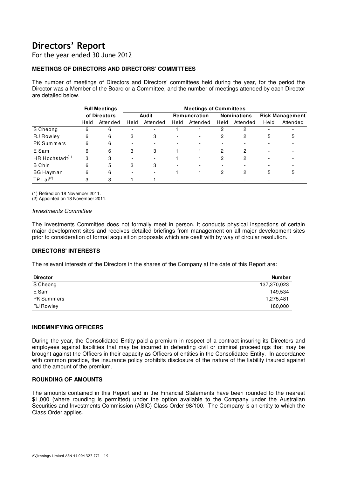For the year ended 30 June 2012

#### **MEETINGS OF DIRECTORS AND DIRECTORS' COMMITTEES**

The number of meetings of Directors and Directors' committees held during the year, for the period the Director was a Member of the Board or a Committee, and the number of meetings attended by each Director are detailed below.

|                             |      | <b>Full Meetings</b> | <b>Meetings of Committees</b> |                          |                          |                          |                    |          |                          |          |
|-----------------------------|------|----------------------|-------------------------------|--------------------------|--------------------------|--------------------------|--------------------|----------|--------------------------|----------|
|                             |      | of Directors         | Audit                         |                          | <b>Remuneration</b>      |                          | <b>Nominations</b> |          | <b>Risk Management</b>   |          |
|                             | Held | Attended             | Held                          | Attended                 | Held                     | Attended                 | Held               | Attended | Held                     | Attended |
| S Cheong                    | 6    | 6                    | $\overline{\phantom{0}}$      | -                        |                          |                          | 2                  | 2        | $\overline{\phantom{0}}$ |          |
| <b>RJ</b> Rowley            | 6    | 6                    | 3                             | 3                        | $\overline{\phantom{0}}$ | $\overline{\phantom{a}}$ | 2                  | 2        | 5                        | 5        |
| <b>PK Summers</b>           | 6    | 6                    | $\overline{\phantom{0}}$      |                          |                          | -                        |                    |          |                          |          |
| E Sam                       | 6    | 6                    | 3                             | 3                        |                          |                          | 2                  | 2        |                          |          |
| HR Hochstadt <sup>(1)</sup> | 3    | 3                    | $\overline{\phantom{0}}$      | $\overline{\phantom{0}}$ |                          |                          | 2                  | 2        |                          |          |
| <b>B</b> Chin               | 6    | 5                    | 3                             | 3                        | $\overline{\phantom{0}}$ | $\overline{\phantom{0}}$ |                    |          |                          |          |
| BG Hayman                   | 6    | 6                    | $\overline{\phantom{0}}$      | $\overline{\phantom{0}}$ |                          |                          | 2                  | 2        | 5                        | 5        |
| TP Lai $^{(2)}$             | 3    | 3                    |                               |                          |                          | $\overline{\phantom{0}}$ |                    |          |                          |          |

(1) Retired on 18 November 2011.

(2) Appointed on 18 November 2011.

#### Investments Committee

The Investments Committee does not formally meet in person. It conducts physical inspections of certain major development sites and receives detailed briefings from management on all major development sites prior to consideration of formal acquisition proposals which are dealt with by way of circular resolution.

#### **DIRECTORS' INTERESTS**

The relevant interests of the Directors in the shares of the Company at the date of this Report are:

| <b>Director</b>   | <b>Number</b> |
|-------------------|---------------|
| S Cheong          | 137,370,023   |
| E Sam             | 149,534       |
| <b>PK Summers</b> | 1,275,481     |
| <b>RJ</b> Rowley  | 180,000       |

#### **INDEMNIFYING OFFICERS**

During the year, the Consolidated Entity paid a premium in respect of a contract insuring its Directors and employees against liabilities that may be incurred in defending civil or criminal proceedings that may be brought against the Officers in their capacity as Officers of entities in the Consolidated Entity. In accordance with common practice, the insurance policy prohibits disclosure of the nature of the liability insured against and the amount of the premium.

#### **ROUNDING OF AMOUNTS**

The amounts contained in this Report and in the Financial Statements have been rounded to the nearest \$1,000 (where rounding is permitted) under the option available to the Company under the Australian Securities and Investments Commission (ASIC) Class Order 98/100. The Company is an entity to which the Class Order applies.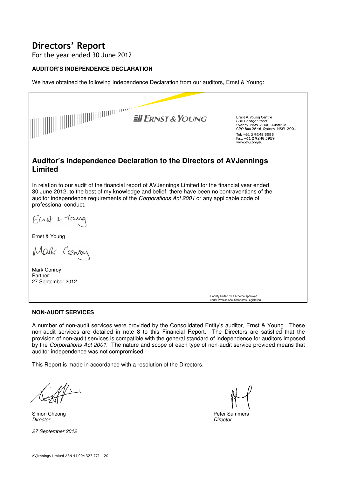For the year ended 30 June 2012

#### **AUDITOR'S INDEPENDENCE DECLARATION**

We have obtained the following Independence Declaration from our auditors, Ernst & Young:

| William Content<br><b>EU ERNST &amp; YOUNG</b>                                                                                                                                                                                                                                                                             | Ernst & Young Centre<br>680 George Street<br>Sydney NSW 2000 Australia<br>GPO Box 2646 Sydney NSW 2001<br>Tel: +61 2 9248 5555<br>Fax: +61 2 9248 5959<br>www.ey.com/au |  |  |  |
|----------------------------------------------------------------------------------------------------------------------------------------------------------------------------------------------------------------------------------------------------------------------------------------------------------------------------|-------------------------------------------------------------------------------------------------------------------------------------------------------------------------|--|--|--|
| Auditor's Independence Declaration to the Directors of AVJennings<br><b>Limited</b>                                                                                                                                                                                                                                        |                                                                                                                                                                         |  |  |  |
| In relation to our audit of the financial report of AVJennings Limited for the financial year ended<br>30 June 2012, to the best of my knowledge and belief, there have been no contraventions of the<br>auditor independence requirements of the Corporations Act 2001 or any applicable code of<br>professional conduct. |                                                                                                                                                                         |  |  |  |
| Kinst & Tang                                                                                                                                                                                                                                                                                                               |                                                                                                                                                                         |  |  |  |
| Ernst & Young                                                                                                                                                                                                                                                                                                              |                                                                                                                                                                         |  |  |  |
| Mark Conon                                                                                                                                                                                                                                                                                                                 |                                                                                                                                                                         |  |  |  |
| Mark Conroy<br>Partner<br>27 September 2012                                                                                                                                                                                                                                                                                |                                                                                                                                                                         |  |  |  |
|                                                                                                                                                                                                                                                                                                                            | Liability limited by a scheme approved<br>under Professional Standards Legislation                                                                                      |  |  |  |

#### **NON-AUDIT SERVICES**

A number of non-audit services were provided by the Consolidated Entity's auditor, Ernst & Young. These non-audit services are detailed in note 8 to this Financial Report. The Directors are satisfied that the provision of non-audit services is compatible with the general standard of independence for auditors imposed by the Corporations Act 2001. The nature and scope of each type of non-audit service provided means that auditor independence was not compromised.

This Report is made in accordance with a resolution of the Directors.

Simon Cheong **Peter Summers**<br> *Director*<br> *Director* Director Director

27 September 2012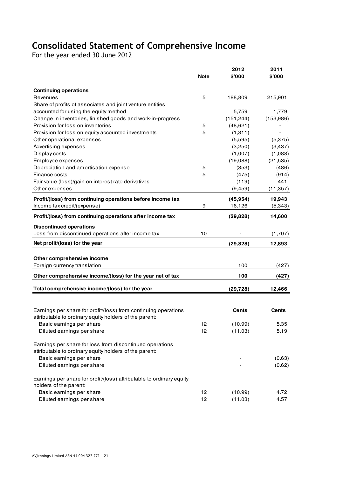## Consolidated Statement of Comprehensive Income

For the year ended 30 June 2012

|                                                                                                                           |             | 2012       | 2011      |
|---------------------------------------------------------------------------------------------------------------------------|-------------|------------|-----------|
|                                                                                                                           | <b>Note</b> | \$'000     | \$'000    |
| <b>Continuing operations</b>                                                                                              |             |            |           |
| Revenues                                                                                                                  | 5           | 188,809    | 215,901   |
| Share of profits of associates and joint venture entities                                                                 |             |            |           |
| accounted for using the equity method                                                                                     |             | 5,759      | 1,779     |
| Change in inventories, finished goods and work-in-progress                                                                |             | (151, 244) | (153,986) |
| Provision for loss on inventories                                                                                         | 5           | (48, 621)  |           |
| Provision for loss on equity accounted investments                                                                        | 5           | (1, 311)   |           |
| Other operational expenses                                                                                                |             | (5,595)    | (5,375)   |
| Advertising expenses                                                                                                      |             | (3,250)    | (3,437)   |
| Display costs                                                                                                             |             | (1,007)    | (1,088)   |
| Employee expenses                                                                                                         |             | (19,088)   | (21, 535) |
| Depreciation and amortisation expense                                                                                     | 5           | (353)      | (486)     |
| Finance costs                                                                                                             | 5           | (475)      | (914)     |
| Fair value (loss)/gain on interest rate derivatives                                                                       |             | (119)      | 441       |
| Other expenses                                                                                                            |             | (9, 459)   | (11, 357) |
| Profit/(loss) from continuing operations before income tax                                                                |             | (45, 954)  | 19,943    |
| Income tax credit/(expense)                                                                                               | 9           | 16,126     | (5, 343)  |
| Profit/(loss) from continuing operations after income tax                                                                 |             | (29, 828)  | 14,600    |
| <b>Discontinued operations</b>                                                                                            |             |            |           |
| Loss from discontinued operations after income tax                                                                        | 10          |            | (1,707)   |
| Net profit/(loss) for the year                                                                                            |             | (29, 828)  | 12,893    |
|                                                                                                                           |             |            |           |
| Other comprehensive income<br>Foreign currency translation                                                                |             | 100        | (427)     |
| Other comprehensive income/(loss) for the year net of tax                                                                 |             | 100        | (427)     |
|                                                                                                                           |             |            |           |
| Total comprehensive income/(loss) for the year                                                                            |             | (29, 728)  | 12,466    |
|                                                                                                                           |             |            |           |
| Earnings per share for profit/(loss) from continuing operations<br>attributable to ordinary equity holders of the parent: |             | Cents      | Cents     |
| Basic earnings per share                                                                                                  | 12          | (10.99)    | 5.35      |
| Diluted earnings per share                                                                                                | 12          | (11.03)    | 5.19      |
|                                                                                                                           |             |            |           |
| Earnings per share for loss from discontinued operations                                                                  |             |            |           |
| attributable to ordinary equity holders of the parent:                                                                    |             |            |           |
| Basic earnings per share                                                                                                  |             |            | (0.63)    |
| Diluted earnings per share                                                                                                |             |            | (0.62)    |
| Earnings per share for profit/(loss) attributable to ordinary equity                                                      |             |            |           |
| holders of the parent:                                                                                                    |             |            |           |
| Basic earnings per share                                                                                                  | 12          | (10.99)    | 4.72      |
| Diluted earnings per share                                                                                                | 12          | (11.03)    | 4.57      |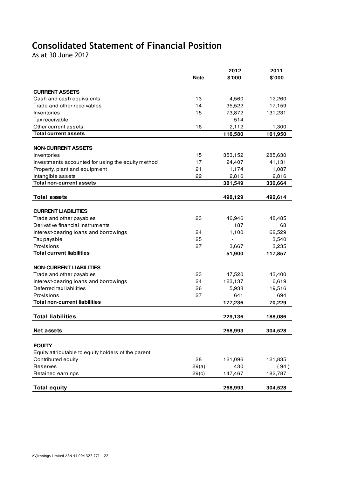# Consolidated Statement of Financial Position

As at 30 June 2012

|                                                     |             | 2012                     | 2011    |
|-----------------------------------------------------|-------------|--------------------------|---------|
|                                                     | <b>Note</b> | \$'000                   | \$'000  |
| <b>CURRENT ASSETS</b>                               |             |                          |         |
| Cash and cash equivalents                           | 13          | 4,560                    | 12,260  |
| Trade and other receivables                         | 14          | 35,522                   | 17,159  |
| Inventories                                         | 15          | 73,872                   | 131,231 |
| Tax receivable                                      |             | 514                      |         |
| Other current assets                                | 16          | 2,112                    | 1,300   |
| <b>Total current assets</b>                         |             | 116,580                  | 161,950 |
|                                                     |             |                          |         |
| <b>NON-CURRENT ASSETS</b>                           |             |                          |         |
| Inventories                                         | 15          | 353,152                  | 285,630 |
| Investments accounted for using the equity method   | 17          | 24,407                   | 41,131  |
| Property, plant and equipment                       | 21          | 1,174                    | 1,087   |
| Intangible assets                                   | 22          | 2,816                    | 2,816   |
| <b>Total non-current assets</b>                     |             | 381,549                  | 330,664 |
|                                                     |             |                          |         |
| <b>Total assets</b>                                 |             | 498,129                  | 492,614 |
|                                                     |             |                          |         |
| <b>CURRENT LIABILITIES</b>                          |             |                          |         |
| Trade and other payables                            | 23          | 46,946                   | 48,485  |
| Derivative financial instruments                    |             | 187                      | 68      |
| Interest-bearing loans and borrowings               | 24          | 1,100                    | 62,529  |
| Tax payable                                         | 25          | $\overline{\phantom{a}}$ | 3,540   |
| Provisions                                          | 27          | 3,667                    | 3,235   |
| <b>Total current liabilities</b>                    |             | 51,900                   | 117,857 |
| <b>NON-CURRENT LIABILITIES</b>                      |             |                          |         |
| Trade and other payables                            | 23          | 47,520                   | 43,400  |
| Interest-bearing loans and borrowings               | 24          | 123,137                  | 6,619   |
| Deferred tax liabilities                            | 26          | 5,938                    | 19,516  |
| Provisions                                          | 27          | 641                      | 694     |
| <b>Total non-current liabilities</b>                |             | 177,236                  | 70,229  |
|                                                     |             |                          |         |
| <b>Total liabilities</b>                            |             | 229,136                  | 188,086 |
| Net assets                                          |             | 268,993                  | 304,528 |
|                                                     |             |                          |         |
| <b>EQUITY</b>                                       |             |                          |         |
| Equity attributable to equity holders of the parent |             |                          |         |
| Contributed equity                                  | 28          | 121,096                  | 121,835 |
| <b>Reserves</b>                                     | 29(a)       | 430                      | (94)    |
| Retained earnings                                   | 29(c)       | 147,467                  | 182,787 |
|                                                     |             |                          |         |
| <b>Total equity</b>                                 |             | 268,993                  | 304,528 |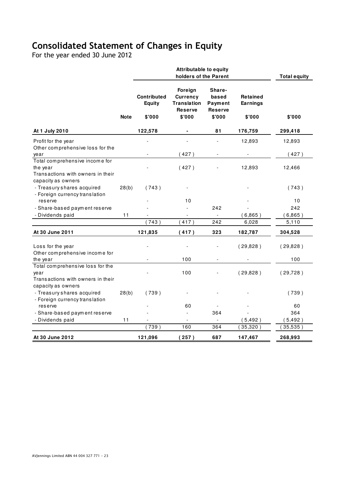# Consolidated Statement of Changes in Equity

For the year ended 30 June 2012

|                                                                                                       |       | <b>Attributable to equity</b><br>holders of the Parent |                                                                              |                                                        |                                       | <b>Total equity</b> |
|-------------------------------------------------------------------------------------------------------|-------|--------------------------------------------------------|------------------------------------------------------------------------------|--------------------------------------------------------|---------------------------------------|---------------------|
| <b>Note</b>                                                                                           |       | <b>Contributed</b><br><b>Equity</b><br>\$'000          | Foreign<br><b>Currency</b><br><b>Translation</b><br><b>Reserve</b><br>\$'000 | Share-<br>based<br>Payment<br><b>Reserve</b><br>\$'000 | Retained<br><b>Earnings</b><br>\$'000 | \$'000              |
| At 1 July 2010                                                                                        |       | 122,578                                                | ۰                                                                            | 81                                                     | 176,759                               | 299,418             |
| Profit for the year<br>Other comprehensive loss for the                                               |       |                                                        |                                                                              |                                                        | 12,893                                | 12,893              |
| year                                                                                                  |       |                                                        | (427)                                                                        |                                                        |                                       | (427)               |
| Total comprehensive income for<br>the year<br>Transactions with owners in their<br>capacity as owners |       |                                                        | (427)                                                                        |                                                        | 12,893                                | 12,466              |
| - Treasury shares acquired                                                                            | 28(b) | (743)                                                  |                                                                              |                                                        |                                       | (743)               |
| - Foreign currency translation<br>reserve                                                             |       |                                                        | 10                                                                           |                                                        |                                       | 10                  |
| - Share-based payment reserve                                                                         |       |                                                        |                                                                              | 242                                                    |                                       | 242                 |
| - Dividends paid                                                                                      | 11    |                                                        |                                                                              |                                                        | (6,865)                               | (6,865)             |
|                                                                                                       |       | 743)                                                   | 417)                                                                         | 242                                                    | 6,028                                 | 5,110               |
| At 30 June 2011                                                                                       |       | 121,835                                                | (417)                                                                        | 323                                                    | 182,787                               | 304,528             |
| Loss for the year<br>Other comprehensive income for                                                   |       |                                                        |                                                                              |                                                        | (29, 828)                             | (29, 828)           |
| the year                                                                                              |       |                                                        | 100                                                                          | $\overline{\phantom{a}}$                               |                                       | 100                 |
| Total comprehensive loss for the<br>year<br>Transactions with owners in their<br>capacity as owners   |       |                                                        | 100                                                                          |                                                        | (29, 828)                             | (29, 728)           |
| - Treasury shares acquired<br>- Foreign currency translation                                          | 28(b) | (739)                                                  |                                                                              |                                                        |                                       | (739)               |
| reserve                                                                                               |       |                                                        | 60                                                                           |                                                        |                                       | 60                  |
| - Share-based payment reserve                                                                         |       |                                                        |                                                                              | 364                                                    |                                       | 364                 |
| - Dividends paid                                                                                      | 11    |                                                        |                                                                              | $\overline{a}$                                         | (5, 492)                              | (5, 492)            |
|                                                                                                       |       | (739)                                                  | 160                                                                          | 364                                                    | 35,320                                | 35,535)             |
| At 30 June 2012                                                                                       |       | 121,096                                                | (257)                                                                        | 687                                                    | 147,467                               | 268,993             |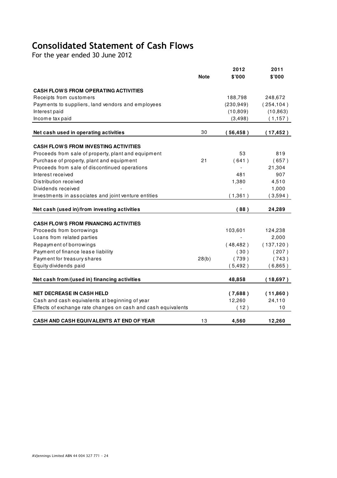# Consolidated Statement of Cash Flows

For the year ended 30 June 2012

|                                                               | <b>Note</b> | 2012<br>\$'000 | 2011<br>\$'000 |
|---------------------------------------------------------------|-------------|----------------|----------------|
| <b>CASH FLOWS FROM OPERATING ACTIVITIES</b>                   |             |                |                |
| Receipts from customers                                       |             | 188,798        | 248,672        |
| Payments to suppliers, land vendors and employees             |             | (230, 949)     | (254, 104)     |
| Interest paid                                                 |             | (10, 809)      | (10, 863)      |
| Income tax paid                                               |             | (3, 498)       | (1,157)        |
| Net cash used in operating activities                         | 30          | (56, 458)      | (17, 452)      |
|                                                               |             |                |                |
| <b>CASH FLOWS FROM INVESTING ACTIVITIES</b>                   |             |                |                |
| Proceeds from sale of property, plant and equipment           |             | 53             | 819            |
| Purchase of property, plant and equipment                     | 21          | (641)          | (657)          |
| Proceeds from sale of discontinued operations                 |             |                | 21,304         |
| Interest received                                             |             | 481            | 907            |
| Distribution received                                         |             | 1,380          | 4,510          |
| Dividends received                                            |             |                | 1,000          |
| Investments in associates and joint venture entities          |             | (1,361)        | (3,594)        |
| Net cash (used in)/from investing activities                  |             | (88)           | 24,289         |
| <b>CASH FLOWS FROM FINANCING ACTIVITIES</b>                   |             |                |                |
| Proceeds from borrowings                                      |             | 103,601        | 124,238        |
| Loans from related parties                                    |             |                | 2,000          |
| Repayment of borrowings                                       |             | (48, 482)      | (137, 120)     |
| Payment of finance lease liability                            |             | (30)           | (207)          |
| Payment for treasury shares                                   | 28(b)       | (739)          | (743)          |
| Equity dividends paid                                         |             | (5, 492)       | (6,865)        |
| Net cash from/(used in) financing activities                  |             | 48,858         | (18,697)       |
|                                                               |             |                |                |
| <b>NET DECREASE IN CASH HELD</b>                              |             | (7,688)        | (11, 860)      |
| Cash and cash equivalents at beginning of year                |             | 12,260         | 24,110         |
| Effects of exchange rate changes on cash and cash equivalents |             | (12)           | 10             |
| <b>CASH AND CASH EQUIVALENTS AT END OF YEAR</b>               | 13          | 4.560          | 12.260         |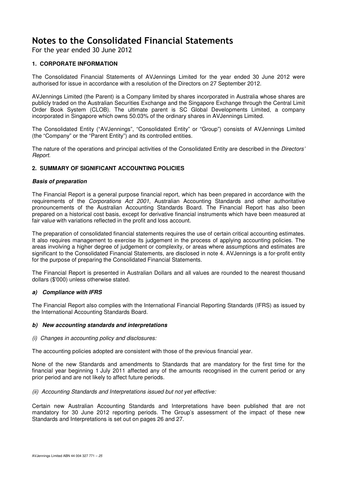For the year ended 30 June 2012

#### **1. CORPORATE INFORMATION**

The Consolidated Financial Statements of AVJennings Limited for the year ended 30 June 2012 were authorised for issue in accordance with a resolution of the Directors on 27 September 2012.

AVJennings Limited (the Parent) is a Company limited by shares incorporated in Australia whose shares are publicly traded on the Australian Securities Exchange and the Singapore Exchange through the Central Limit Order Book System (CLOB). The ultimate parent is SC Global Developments Limited, a company incorporated in Singapore which owns 50.03% of the ordinary shares in AVJennings Limited.

The Consolidated Entity ("AVJennings", "Consolidated Entity" or "Group") consists of AVJennings Limited (the "Company" or the "Parent Entity") and its controlled entities.

The nature of the operations and principal activities of the Consolidated Entity are described in the *Directors'* Report.

#### **2. SUMMARY OF SIGNIFICANT ACCOUNTING POLICIES**

#### **Basis of preparation**

The Financial Report is a general purpose financial report, which has been prepared in accordance with the requirements of the Corporations Act 2001, Australian Accounting Standards and other authoritative pronouncements of the Australian Accounting Standards Board. The Financial Report has also been prepared on a historical cost basis, except for derivative financial instruments which have been measured at fair value with variations reflected in the profit and loss account.

The preparation of consolidated financial statements requires the use of certain critical accounting estimates. It also requires management to exercise its judgement in the process of applying accounting policies. The areas involving a higher degree of judgement or complexity, or areas where assumptions and estimates are significant to the Consolidated Financial Statements, are disclosed in note 4. AVJennings is a for-profit entity for the purpose of preparing the Consolidated Financial Statements.

The Financial Report is presented in Australian Dollars and all values are rounded to the nearest thousand dollars (\$'000) unless otherwise stated.

#### **a) Compliance with IFRS**

The Financial Report also complies with the International Financial Reporting Standards (IFRS) as issued by the International Accounting Standards Board.

#### **b) New accounting standards and interpretations**

#### (i) Changes in accounting policy and disclosures:

The accounting policies adopted are consistent with those of the previous financial year.

None of the new Standards and amendments to Standards that are mandatory for the first time for the financial year beginning 1 July 2011 affected any of the amounts recognised in the current period or any prior period and are not likely to affect future periods.

#### (ii) Accounting Standards and Interpretations issued but not yet effective:

Certain new Australian Accounting Standards and Interpretations have been published that are not mandatory for 30 June 2012 reporting periods. The Group's assessment of the impact of these new Standards and Interpretations is set out on pages 26 and 27.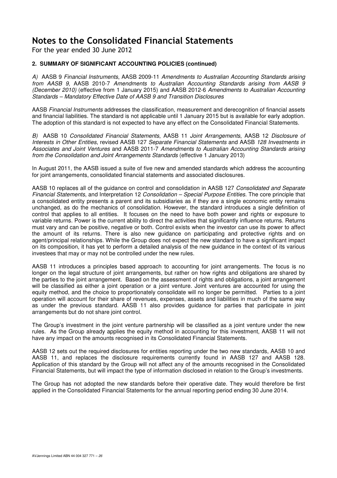For the year ended 30 June 2012

#### **2. SUMMARY OF SIGNIFICANT ACCOUNTING POLICIES (continued)**

A) AASB 9 Financial Instruments, AASB 2009-11 Amendments to Australian Accounting Standards arising from AASB 9, AASB 2010-7 Amendments to Australian Accounting Standards arising from AASB 9 (December 2010) (effective from 1 January 2015) and AASB 2012-6 Amendments to Australian Accounting Standards – Mandatory Effective Date of AASB 9 and Transition Disclosures

AASB Financial Instruments addresses the classification, measurement and derecognition of financial assets and financial liabilities. The standard is not applicable until 1 January 2015 but is available for early adoption. The adoption of this standard is not expected to have any effect on the Consolidated Financial Statements.

B) AASB 10 Consolidated Financial Statements, AASB 11 Joint Arrangements, AASB 12 Disclosure of Interests in Other Entities, revised AASB 127 Separate Financial Statements and AASB 128 Investments in Associates and Joint Ventures and AASB 2011-7 Amendments to Australian Accounting Standards arising from the Consolidation and Joint Arrangements Standards (effective 1 January 2013)

In August 2011, the AASB issued a suite of five new and amended standards which address the accounting for joint arrangements, consolidated financial statements and associated disclosures.

AASB 10 replaces all of the guidance on control and consolidation in AASB 127 Consolidated and Separate Financial Statements, and Interpretation 12 Consolidation – Special Purpose Entities. The core principle that a consolidated entity presents a parent and its subsidiaries as if they are a single economic entity remains unchanged, as do the mechanics of consolidation. However, the standard introduces a single definition of control that applies to all entities. It focuses on the need to have both power and rights or exposure to variable returns. Power is the current ability to direct the activities that significantly influence returns. Returns must vary and can be positive, negative or both. Control exists when the investor can use its power to affect the amount of its returns. There is also new guidance on participating and protective rights and on agent/principal relationships. While the Group does not expect the new standard to have a significant impact on its composition, it has yet to perform a detailed analysis of the new guidance in the context of its various investees that may or may not be controlled under the new rules.

AASB 11 introduces a principles based approach to accounting for joint arrangements. The focus is no longer on the legal structure of joint arrangements, but rather on how rights and obligations are shared by the parties to the joint arrangement. Based on the assessment of rights and obligations, a joint arrangement will be classified as either a joint operation or a joint venture. Joint ventures are accounted for using the equity method, and the choice to proportionately consolidate will no longer be permitted. Parties to a joint operation will account for their share of revenues, expenses, assets and liabilities in much of the same way as under the previous standard. AASB 11 also provides guidance for parties that participate in joint arrangements but do not share joint control.

The Group's investment in the joint venture partnership will be classified as a joint venture under the new rules. As the Group already applies the equity method in accounting for this investment, AASB 11 will not have any impact on the amounts recognised in its Consolidated Financial Statements.

AASB 12 sets out the required disclosures for entities reporting under the two new standards, AASB 10 and AASB 11, and replaces the disclosure requirements currently found in AASB 127 and AASB 128. Application of this standard by the Group will not affect any of the amounts recognised in the Consolidated Financial Statements, but will impact the type of information disclosed in relation to the Group's investments.

The Group has not adopted the new standards before their operative date. They would therefore be first applied in the Consolidated Financial Statements for the annual reporting period ending 30 June 2014.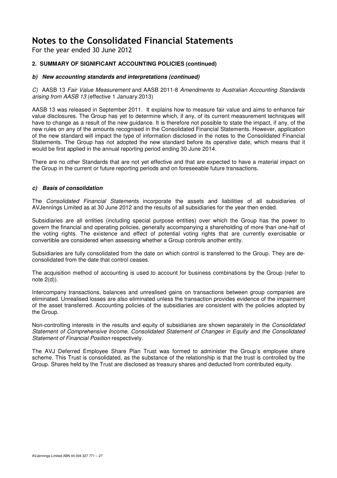For the year ended 30 June 2012

#### **2. SUMMARY OF SIGNIFICANT ACCOUNTING POLICIES (continued)**

#### **b) New accounting standards and interpretations (continued)**

C) AASB 13 Fair Value Measurement and AASB 2011-8 Amendments to Australian Accounting Standards arising from AASB 13 (effective 1 January 2013)

AASB 13 was released in September 2011. It explains how to measure fair value and aims to enhance fair value disclosures. The Group has yet to determine which, if any, of its current measurement techniques will have to change as a result of the new guidance. It is therefore not possible to state the impact, if any, of the new rules on any of the amounts recognised in the Consolidated Financial Statements. However, application of the new standard will impact the type of information disclosed in the notes to the Consolidated Financial Statements. The Group has not adopted the new standard before its operative date, which means that it would be first applied in the annual reporting period ending 30 June 2014.

There are no other Standards that are not yet effective and that are expected to have a material impact on the Group in the current or future reporting periods and on foreseeable future transactions.

#### **c) Basis of consolidation**

The Consolidated Financial Statements incorporate the assets and liabilities of all subsidiaries of AVJennings Limited as at 30 June 2012 and the results of all subsidiaries for the year then ended.

Subsidiaries are all entities (including special purpose entities) over which the Group has the power to govern the financial and operating policies, generally accompanying a shareholding of more than one-half of the voting rights. The existence and effect of potential voting rights that are currently exercisable or convertible are considered when assessing whether a Group controls another entity.

Subsidiaries are fully consolidated from the date on which control is transferred to the Group. They are deconsolidated from the date that control ceases.

The acquisition method of accounting is used to account for business combinations by the Group (refer to note 2(d)).

Intercompany transactions, balances and unrealised gains on transactions between group companies are eliminated. Unrealised losses are also eliminated unless the transaction provides evidence of the impairment of the asset transferred. Accounting policies of the subsidiaries are consistent with the policies adopted by the Group.

Non-controlling interests in the results and equity of subsidiaries are shown separately in the Consolidated Statement of Comprehensive Income, Consolidated Statement of Changes in Equity and the Consolidated Statement of Financial Position respectively.

The AVJ Deferred Employee Share Plan Trust was formed to administer the Group's employee share scheme. This Trust is consolidated, as the substance of the relationship is that the trust is controlled by the Group. Shares held by the Trust are disclosed as treasury shares and deducted from contributed equity.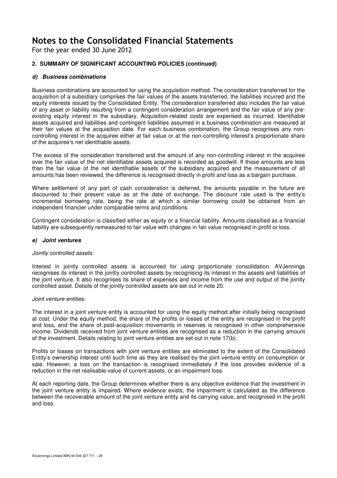For the year ended 30 June 2012

#### **2. SUMMARY OF SIGNIFICANT ACCOUNTING POLICIES (continued)**

#### **d) Business combinations**

Business combinations are accounted for using the acquisition method. The consideration transferred for the acquisition of a subsidiary comprises the fair values of the assets transferred, the liabilities incurred and the equity interests issued by the Consolidated Entity. The consideration transferred also includes the fair value of any asset or liability resulting from a contingent consideration arrangement and the fair value of any preexisting equity interest in the subsidiary. Acquisition-related costs are expensed as incurred. Identifiable assets acquired and liabilities and contingent liabilities assumed in a business combination are measured at their fair values at the acquisition date. For each business combination, the Group recognises any noncontrolling interest in the acquiree either at fair value or at the non-controlling interest's proportionate share of the acquiree's net identifiable assets.

The excess of the consideration transferred and the amount of any non-controlling interest in the acquiree over the fair value of the net identifiable assets acquired is recorded as goodwill. If those amounts are less than the fair value of the net identifiable assets of the subsidiary acquired and the measurement of all amounts has been reviewed, the difference is recognised directly in profit and loss as a bargain purchase.

Where settlement of any part of cash consideration is deferred, the amounts payable in the future are discounted to their present value as at the date of exchange. The discount rate used is the entity's incremental borrowing rate, being the rate at which a similar borrowing could be obtained from an independent financier under comparable terms and conditions.

Contingent consideration is classified either as equity or a financial liability. Amounts classified as a financial liability are subsequently remeasured to fair value with changes in fair value recognised in profit or loss.

#### **e) Joint ventures**

#### Jointly controlled assets:

Interest in jointly controlled assets is accounted for using proportionate consolidation. AVJennings recognises its interest in the jointly controlled assets by recognising its interest in the assets and liabilities of the joint venture. It also recognises its share of expenses and income from the use and output of the jointly controlled asset. Details of the jointly controlled assets are set out in note 20.

#### Joint venture entities:

The interest in a joint venture entity is accounted for using the equity method after initially being recognised at cost. Under the equity method, the share of the profits or losses of the entity are recognised in the profit and loss, and the share of post-acquisition movements in reserves is recognised in other comprehensive income. Dividends received from joint venture entities are recognised as a reduction in the carrying amount of the investment. Details relating to joint venture entities are set out in note 17(b).

Profits or losses on transactions with joint venture entities are eliminated to the extent of the Consolidated Entity's ownership interest until such time as they are realised by the joint venture entity on consumption or sale. However, a loss on the transaction is recognised immediately if the loss provides evidence of a reduction in the net realisable value of current assets, or an impairment loss.

At each reporting date, the Group determines whether there is any objective evidence that the investment in the joint venture entity is impaired. Where evidence exists, the impairment is calculated as the difference between the recoverable amount of the joint venture entity and its carrying value, and recognised in the profit and loss.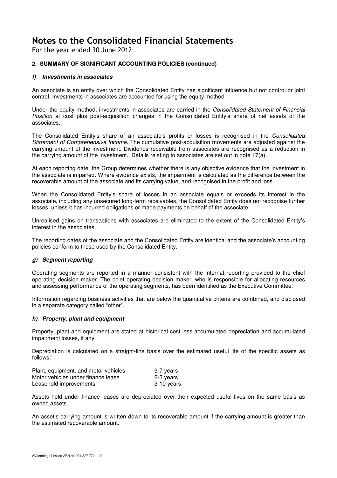For the year ended 30 June 2012

#### **2. SUMMARY OF SIGNIFICANT ACCOUNTING POLICIES (continued)**

#### **f) Investments in associates**

An associate is an entity over which the Consolidated Entity has significant influence but not control or joint control. Investments in associates are accounted for using the equity method.

Under the equity method, investments in associates are carried in the Consolidated Statement of Financial Position at cost plus post-acquisition changes in the Consolidated Entity's share of net assets of the associates.

The Consolidated Entity's share of an associate's profits or losses is recognised in the Consolidated Statement of Comprehensive Income. The cumulative post-acquisition movements are adjusted against the carrying amount of the investment. Dividends receivable from associates are recognised as a reduction in the carrying amount of the investment. Details relating to associates are set out in note 17(a).

At each reporting date, the Group determines whether there is any objective evidence that the investment in the associate is impaired. Where evidence exists, the impairment is calculated as the difference between the recoverable amount of the associate and its carrying value, and recognised in the profit and loss.

When the Consolidated Entity's share of losses in an associate equals or exceeds its interest in the associate, including any unsecured long-term receivables, the Consolidated Entity does not recognise further losses, unless it has incurred obligations or made payments on behalf of the associate.

Unrealised gains on transactions with associates are eliminated to the extent of the Consolidated Entity's interest in the associates.

The reporting dates of the associate and the Consolidated Entity are identical and the associate's accounting policies conform to those used by the Consolidated Entity.

#### **g) Segment reporting**

Operating segments are reported in a manner consistent with the internal reporting provided to the chief operating decision maker. The chief operating decision maker, who is responsible for allocating resources and assessing performance of the operating segments, has been identified as the Executive Committee.

Information regarding business activities that are below the quantitative criteria are combined, and disclosed in a separate category called "other".

#### **h) Property, plant and equipment**

Property, plant and equipment are stated at historical cost less accumulated depreciation and accumulated impairment losses, if any.

Depreciation is calculated on a straight-line basis over the estimated useful life of the specific assets as follows:

| Plant, equipment, and motor vehicles | 3-7 years  |
|--------------------------------------|------------|
| Motor vehicles under finance lease   | 2-3 years  |
| Leasehold improvements               | 3-10 years |

Assets held under finance leases are depreciated over their expected useful lives on the same basis as owned assets.

An asset's carrying amount is written down to its recoverable amount if the carrying amount is greater than the estimated recoverable amount.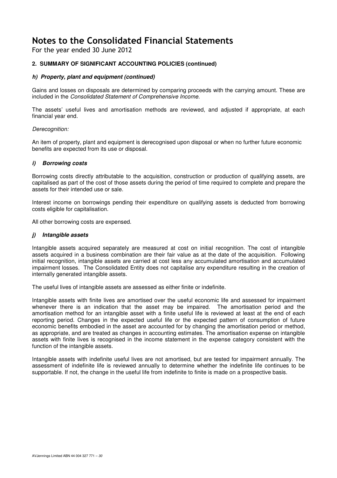For the year ended 30 June 2012

#### **2. SUMMARY OF SIGNIFICANT ACCOUNTING POLICIES (continued)**

#### **h) Property, plant and equipment (continued)**

Gains and losses on disposals are determined by comparing proceeds with the carrying amount. These are included in the Consolidated Statement of Comprehensive Income.

The assets' useful lives and amortisation methods are reviewed, and adjusted if appropriate, at each financial year end.

#### Derecognition:

An item of property, plant and equipment is derecognised upon disposal or when no further future economic benefits are expected from its use or disposal.

#### **i) Borrowing costs**

Borrowing costs directly attributable to the acquisition, construction or production of qualifying assets, are capitalised as part of the cost of those assets during the period of time required to complete and prepare the assets for their intended use or sale.

Interest income on borrowings pending their expenditure on qualifying assets is deducted from borrowing costs eligible for capitalisation.

All other borrowing costs are expensed.

#### **j) Intangible assets**

Intangible assets acquired separately are measured at cost on initial recognition. The cost of intangible assets acquired in a business combination are their fair value as at the date of the acquisition. Following initial recognition, intangible assets are carried at cost less any accumulated amortisation and accumulated impairment losses. The Consolidated Entity does not capitalise any expenditure resulting in the creation of internally generated intangible assets.

The useful lives of intangible assets are assessed as either finite or indefinite.

Intangible assets with finite lives are amortised over the useful economic life and assessed for impairment whenever there is an indication that the asset may be impaired. The amortisation period and the amortisation method for an intangible asset with a finite useful life is reviewed at least at the end of each reporting period. Changes in the expected useful life or the expected pattern of consumption of future economic benefits embodied in the asset are accounted for by changing the amortisation period or method, as appropriate, and are treated as changes in accounting estimates. The amortisation expense on intangible assets with finite lives is recognised in the income statement in the expense category consistent with the function of the intangible assets.

Intangible assets with indefinite useful lives are not amortised, but are tested for impairment annually. The assessment of indefinite life is reviewed annually to determine whether the indefinite life continues to be supportable. If not, the change in the useful life from indefinite to finite is made on a prospective basis.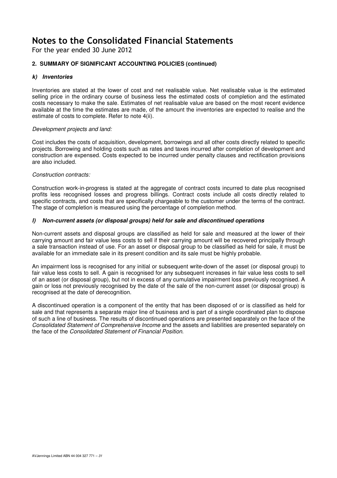For the year ended 30 June 2012

#### **2. SUMMARY OF SIGNIFICANT ACCOUNTING POLICIES (continued)**

#### **k) Inventories**

Inventories are stated at the lower of cost and net realisable value. Net realisable value is the estimated selling price in the ordinary course of business less the estimated costs of completion and the estimated costs necessary to make the sale. Estimates of net realisable value are based on the most recent evidence available at the time the estimates are made, of the amount the inventories are expected to realise and the estimate of costs to complete. Refer to note 4(ii).

#### Development projects and land:

Cost includes the costs of acquisition, development, borrowings and all other costs directly related to specific projects. Borrowing and holding costs such as rates and taxes incurred after completion of development and construction are expensed. Costs expected to be incurred under penalty clauses and rectification provisions are also included.

#### Construction contracts:

Construction work-in-progress is stated at the aggregate of contract costs incurred to date plus recognised profits less recognised losses and progress billings. Contract costs include all costs directly related to specific contracts, and costs that are specifically chargeable to the customer under the terms of the contract. The stage of completion is measured using the percentage of completion method.

#### **l) Non-current assets (or disposal groups) held for sale and discontinued operations**

Non-current assets and disposal groups are classified as held for sale and measured at the lower of their carrying amount and fair value less costs to sell if their carrying amount will be recovered principally through a sale transaction instead of use. For an asset or disposal group to be classified as held for sale, it must be available for an immediate sale in its present condition and its sale must be highly probable.

An impairment loss is recognised for any initial or subsequent write-down of the asset (or disposal group) to fair value less costs to sell. A gain is recognised for any subsequent increases in fair value less costs to sell of an asset (or disposal group), but not in excess of any cumulative impairment loss previously recognised. A gain or loss not previously recognised by the date of the sale of the non-current asset (or disposal group) is recognised at the date of derecognition.

A discontinued operation is a component of the entity that has been disposed of or is classified as held for sale and that represents a separate major line of business and is part of a single coordinated plan to dispose of such a line of business. The results of discontinued operations are presented separately on the face of the Consolidated Statement of Comprehensive Income and the assets and liabilities are presented separately on the face of the Consolidated Statement of Financial Position.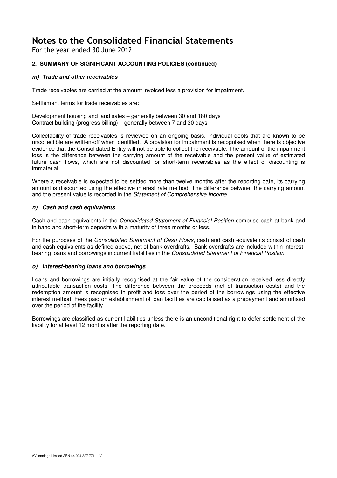For the year ended 30 June 2012

#### **2. SUMMARY OF SIGNIFICANT ACCOUNTING POLICIES (continued)**

#### **m) Trade and other receivables**

Trade receivables are carried at the amount invoiced less a provision for impairment.

Settlement terms for trade receivables are:

Development housing and land sales – generally between 30 and 180 days Contract building (progress billing) – generally between 7 and 30 days

Collectability of trade receivables is reviewed on an ongoing basis. Individual debts that are known to be uncollectible are written-off when identified. A provision for impairment is recognised when there is objective evidence that the Consolidated Entity will not be able to collect the receivable. The amount of the impairment loss is the difference between the carrying amount of the receivable and the present value of estimated future cash flows, which are not discounted for short-term receivables as the effect of discounting is immaterial.

Where a receivable is expected to be settled more than twelve months after the reporting date, its carrying amount is discounted using the effective interest rate method. The difference between the carrying amount and the present value is recorded in the Statement of Comprehensive Income.

#### **n) Cash and cash equivalents**

Cash and cash equivalents in the Consolidated Statement of Financial Position comprise cash at bank and in hand and short-term deposits with a maturity of three months or less.

For the purposes of the Consolidated Statement of Cash Flows, cash and cash equivalents consist of cash and cash equivalents as defined above, net of bank overdrafts. Bank overdrafts are included within interestbearing loans and borrowings in current liabilities in the Consolidated Statement of Financial Position.

#### **o) Interest-bearing loans and borrowings**

Loans and borrowings are initially recognised at the fair value of the consideration received less directly attributable transaction costs. The difference between the proceeds (net of transaction costs) and the redemption amount is recognised in profit and loss over the period of the borrowings using the effective interest method. Fees paid on establishment of loan facilities are capitalised as a prepayment and amortised over the period of the facility.

Borrowings are classified as current liabilities unless there is an unconditional right to defer settlement of the liability for at least 12 months after the reporting date.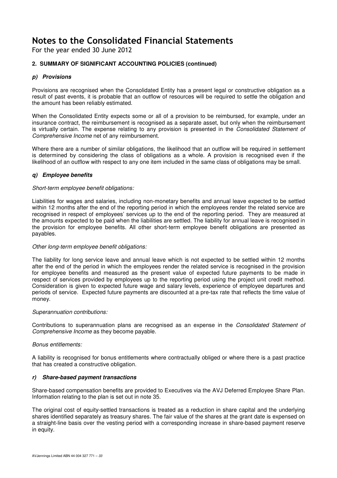For the year ended 30 June 2012

#### **2. SUMMARY OF SIGNIFICANT ACCOUNTING POLICIES (continued)**

#### **p) Provisions**

Provisions are recognised when the Consolidated Entity has a present legal or constructive obligation as a result of past events, it is probable that an outflow of resources will be required to settle the obligation and the amount has been reliably estimated.

When the Consolidated Entity expects some or all of a provision to be reimbursed, for example, under an insurance contract, the reimbursement is recognised as a separate asset, but only when the reimbursement is virtually certain. The expense relating to any provision is presented in the Consolidated Statement of Comprehensive Income net of any reimbursement.

Where there are a number of similar obligations, the likelihood that an outflow will be required in settlement is determined by considering the class of obligations as a whole. A provision is recognised even if the likelihood of an outflow with respect to any one item included in the same class of obligations may be small.

#### **q) Employee benefits**

#### Short-term employee benefit obligations:

Liabilities for wages and salaries, including non-monetary benefits and annual leave expected to be settled within 12 months after the end of the reporting period in which the employees render the related service are recognised in respect of employees' services up to the end of the reporting period. They are measured at the amounts expected to be paid when the liabilities are settled. The liability for annual leave is recognised in the provision for employee benefits. All other short-term employee benefit obligations are presented as payables.

#### Other long-term employee benefit obligations:

The liability for long service leave and annual leave which is not expected to be settled within 12 months after the end of the period in which the employees render the related service is recognised in the provision for employee benefits and measured as the present value of expected future payments to be made in respect of services provided by employees up to the reporting period using the project unit credit method. Consideration is given to expected future wage and salary levels, experience of employee departures and periods of service. Expected future payments are discounted at a pre-tax rate that reflects the time value of money.

#### Superannuation contributions:

Contributions to superannuation plans are recognised as an expense in the Consolidated Statement of Comprehensive Income as they become payable.

#### Bonus entitlements:

A liability is recognised for bonus entitlements where contractually obliged or where there is a past practice that has created a constructive obligation.

#### **r) Share-based payment transactions**

Share-based compensation benefits are provided to Executives via the AVJ Deferred Employee Share Plan. Information relating to the plan is set out in note 35.

The original cost of equity-settled transactions is treated as a reduction in share capital and the underlying shares identified separately as treasury shares. The fair value of the shares at the grant date is expensed on a straight-line basis over the vesting period with a corresponding increase in share-based payment reserve in equity.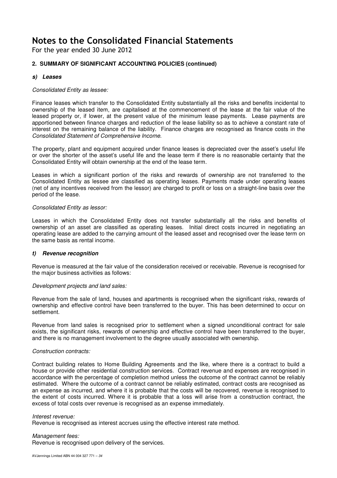For the year ended 30 June 2012

#### **2. SUMMARY OF SIGNIFICANT ACCOUNTING POLICIES (continued)**

#### **s) Leases**

#### Consolidated Entity as lessee:

Finance leases which transfer to the Consolidated Entity substantially all the risks and benefits incidental to ownership of the leased item, are capitalised at the commencement of the lease at the fair value of the leased property or, if lower, at the present value of the minimum lease payments. Lease payments are apportioned between finance charges and reduction of the lease liability so as to achieve a constant rate of interest on the remaining balance of the liability. Finance charges are recognised as finance costs in the Consolidated Statement of Comprehensive Income.

The property, plant and equipment acquired under finance leases is depreciated over the asset's useful life or over the shorter of the asset's useful life and the lease term if there is no reasonable certainty that the Consolidated Entity will obtain ownership at the end of the lease term.

Leases in which a significant portion of the risks and rewards of ownership are not transferred to the Consolidated Entity as lessee are classified as operating leases. Payments made under operating leases (net of any incentives received from the lessor) are charged to profit or loss on a straight-line basis over the period of the lease.

#### Consolidated Entity as lessor:

Leases in which the Consolidated Entity does not transfer substantially all the risks and benefits of ownership of an asset are classified as operating leases. Initial direct costs incurred in negotiating an operating lease are added to the carrying amount of the leased asset and recognised over the lease term on the same basis as rental income.

#### **t) Revenue recognition**

Revenue is measured at the fair value of the consideration received or receivable. Revenue is recognised for the major business activities as follows:

#### Development projects and land sales:

Revenue from the sale of land, houses and apartments is recognised when the significant risks, rewards of ownership and effective control have been transferred to the buyer. This has been determined to occur on settlement.

Revenue from land sales is recognised prior to settlement when a signed unconditional contract for sale exists, the significant risks, rewards of ownership and effective control have been transferred to the buyer, and there is no management involvement to the degree usually associated with ownership.

#### Construction contracts:

Contract building relates to Home Building Agreements and the like, where there is a contract to build a house or provide other residential construction services. Contract revenue and expenses are recognised in accordance with the percentage of completion method unless the outcome of the contract cannot be reliably estimated. Where the outcome of a contract cannot be reliably estimated, contract costs are recognised as an expense as incurred, and where it is probable that the costs will be recovered, revenue is recognised to the extent of costs incurred. Where it is probable that a loss will arise from a construction contract, the excess of total costs over revenue is recognised as an expense immediately.

#### Interest revenue:

Revenue is recognised as interest accrues using the effective interest rate method.

#### Management fees:

Revenue is recognised upon delivery of the services.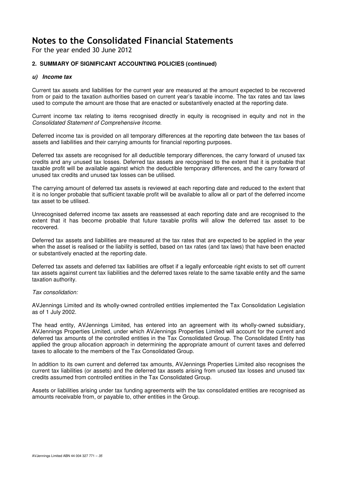For the year ended 30 June 2012

#### **2. SUMMARY OF SIGNIFICANT ACCOUNTING POLICIES (continued)**

#### **u) Income tax**

Current tax assets and liabilities for the current year are measured at the amount expected to be recovered from or paid to the taxation authorities based on current year's taxable income. The tax rates and tax laws used to compute the amount are those that are enacted or substantively enacted at the reporting date.

Current income tax relating to items recognised directly in equity is recognised in equity and not in the Consolidated Statement of Comprehensive Income.

Deferred income tax is provided on all temporary differences at the reporting date between the tax bases of assets and liabilities and their carrying amounts for financial reporting purposes.

Deferred tax assets are recognised for all deductible temporary differences, the carry forward of unused tax credits and any unused tax losses. Deferred tax assets are recognised to the extent that it is probable that taxable profit will be available against which the deductible temporary differences, and the carry forward of unused tax credits and unused tax losses can be utilised.

The carrying amount of deferred tax assets is reviewed at each reporting date and reduced to the extent that it is no longer probable that sufficient taxable profit will be available to allow all or part of the deferred income tax asset to be utilised.

Unrecognised deferred income tax assets are reassessed at each reporting date and are recognised to the extent that it has become probable that future taxable profits will allow the deferred tax asset to be recovered.

Deferred tax assets and liabilities are measured at the tax rates that are expected to be applied in the year when the asset is realised or the liability is settled, based on tax rates (and tax laws) that have been enacted or substantively enacted at the reporting date.

Deferred tax assets and deferred tax liabilities are offset if a legally enforceable right exists to set off current tax assets against current tax liabilities and the deferred taxes relate to the same taxable entity and the same taxation authority.

#### Tax consolidation:

AVJennings Limited and its wholly-owned controlled entities implemented the Tax Consolidation Legislation as of 1 July 2002.

The head entity, AVJennings Limited, has entered into an agreement with its wholly-owned subsidiary, AVJennings Properties Limited, under which AVJennings Properties Limited will account for the current and deferred tax amounts of the controlled entities in the Tax Consolidated Group. The Consolidated Entity has applied the group allocation approach in determining the appropriate amount of current taxes and deferred taxes to allocate to the members of the Tax Consolidated Group.

In addition to its own current and deferred tax amounts, AVJennings Properties Limited also recognises the current tax liabilities (or assets) and the deferred tax assets arising from unused tax losses and unused tax credits assumed from controlled entities in the Tax Consolidated Group.

Assets or liabilities arising under tax funding agreements with the tax consolidated entities are recognised as amounts receivable from, or payable to, other entities in the Group.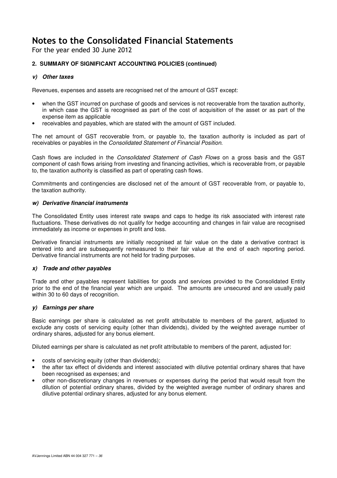For the year ended 30 June 2012

#### **2. SUMMARY OF SIGNIFICANT ACCOUNTING POLICIES (continued)**

#### **v) Other taxes**

Revenues, expenses and assets are recognised net of the amount of GST except:

- when the GST incurred on purchase of goods and services is not recoverable from the taxation authority, in which case the GST is recognised as part of the cost of acquisition of the asset or as part of the expense item as applicable
- receivables and payables, which are stated with the amount of GST included.

The net amount of GST recoverable from, or payable to, the taxation authority is included as part of receivables or payables in the Consolidated Statement of Financial Position.

Cash flows are included in the Consolidated Statement of Cash Flows on a gross basis and the GST component of cash flows arising from investing and financing activities, which is recoverable from, or payable to, the taxation authority is classified as part of operating cash flows.

Commitments and contingencies are disclosed net of the amount of GST recoverable from, or payable to, the taxation authority.

#### **w) Derivative financial instruments**

The Consolidated Entity uses interest rate swaps and caps to hedge its risk associated with interest rate fluctuations. These derivatives do not qualify for hedge accounting and changes in fair value are recognised immediately as income or expenses in profit and loss.

Derivative financial instruments are initially recognised at fair value on the date a derivative contract is entered into and are subsequently remeasured to their fair value at the end of each reporting period. Derivative financial instruments are not held for trading purposes.

#### **x) Trade and other payables**

Trade and other payables represent liabilities for goods and services provided to the Consolidated Entity prior to the end of the financial year which are unpaid. The amounts are unsecured and are usually paid within 30 to 60 days of recognition.

#### **y) Earnings per share**

Basic earnings per share is calculated as net profit attributable to members of the parent, adjusted to exclude any costs of servicing equity (other than dividends), divided by the weighted average number of ordinary shares, adjusted for any bonus element.

Diluted earnings per share is calculated as net profit attributable to members of the parent, adjusted for:

- costs of servicing equity (other than dividends);
- the after tax effect of dividends and interest associated with dilutive potential ordinary shares that have been recognised as expenses; and
- other non-discretionary changes in revenues or expenses during the period that would result from the dilution of potential ordinary shares, divided by the weighted average number of ordinary shares and dilutive potential ordinary shares, adjusted for any bonus element.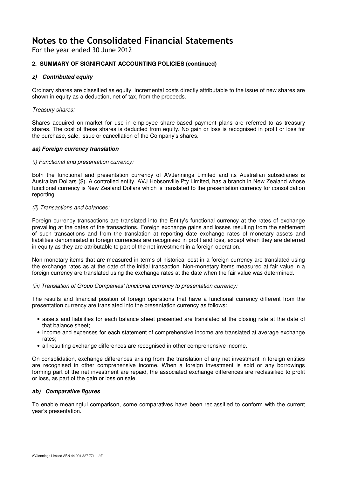For the year ended 30 June 2012

## **2. SUMMARY OF SIGNIFICANT ACCOUNTING POLICIES (continued)**

### **z) Contributed equity**

Ordinary shares are classified as equity. Incremental costs directly attributable to the issue of new shares are shown in equity as a deduction, net of tax, from the proceeds.

### Treasury shares:

Shares acquired on-market for use in employee share-based payment plans are referred to as treasury shares. The cost of these shares is deducted from equity. No gain or loss is recognised in profit or loss for the purchase, sale, issue or cancellation of the Company's shares.

### **aa) Foreign currency translation**

#### (i) Functional and presentation currency:

Both the functional and presentation currency of AVJennings Limited and its Australian subsidiaries is Australian Dollars (\$). A controlled entity, AVJ Hobsonville Pty Limited, has a branch in New Zealand whose functional currency is New Zealand Dollars which is translated to the presentation currency for consolidation reporting.

#### (ii) Transactions and balances:

Foreign currency transactions are translated into the Entity's functional currency at the rates of exchange prevailing at the dates of the transactions. Foreign exchange gains and losses resulting from the settlement of such transactions and from the translation at reporting date exchange rates of monetary assets and liabilities denominated in foreign currencies are recognised in profit and loss, except when they are deferred in equity as they are attributable to part of the net investment in a foreign operation.

Non-monetary items that are measured in terms of historical cost in a foreign currency are translated using the exchange rates as at the date of the initial transaction. Non-monetary items measured at fair value in a foreign currency are translated using the exchange rates at the date when the fair value was determined.

(iii) Translation of Group Companies' functional currency to presentation currency:

The results and financial position of foreign operations that have a functional currency different from the presentation currency are translated into the presentation currency as follows:

- assets and liabilities for each balance sheet presented are translated at the closing rate at the date of that balance sheet;
- income and expenses for each statement of comprehensive income are translated at average exchange rates;
- all resulting exchange differences are recognised in other comprehensive income.

On consolidation, exchange differences arising from the translation of any net investment in foreign entities are recognised in other comprehensive income. When a foreign investment is sold or any borrowings forming part of the net investment are repaid, the associated exchange differences are reclassified to profit or loss, as part of the gain or loss on sale.

### **ab) Comparative figures**

To enable meaningful comparison, some comparatives have been reclassified to conform with the current year's presentation.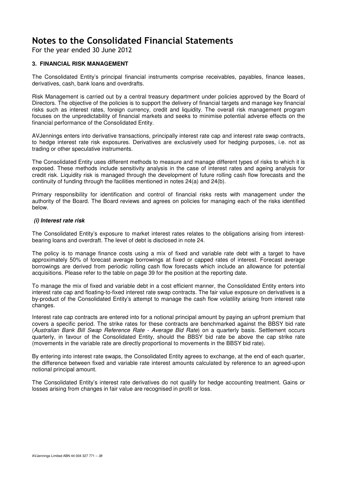For the year ended 30 June 2012

### **3. FINANCIAL RISK MANAGEMENT**

The Consolidated Entity's principal financial instruments comprise receivables, payables, finance leases, derivatives, cash, bank loans and overdrafts.

Risk Management is carried out by a central treasury department under policies approved by the Board of Directors. The objective of the policies is to support the delivery of financial targets and manage key financial risks such as interest rates, foreign currency, credit and liquidity. The overall risk management program focuses on the unpredictability of financial markets and seeks to minimise potential adverse effects on the financial performance of the Consolidated Entity.

AVJennings enters into derivative transactions, principally interest rate cap and interest rate swap contracts, to hedge interest rate risk exposures. Derivatives are exclusively used for hedging purposes, i.e. not as trading or other speculative instruments.

The Consolidated Entity uses different methods to measure and manage different types of risks to which it is exposed. These methods include sensitivity analysis in the case of interest rates and ageing analysis for credit risk. Liquidity risk is managed through the development of future rolling cash flow forecasts and the continuity of funding through the facilities mentioned in notes 24(a) and 24(b).

Primary responsibility for identification and control of financial risks rests with management under the authority of the Board. The Board reviews and agrees on policies for managing each of the risks identified below.

#### **(i) Interest rate risk**

The Consolidated Entity's exposure to market interest rates relates to the obligations arising from interestbearing loans and overdraft. The level of debt is disclosed in note 24.

The policy is to manage finance costs using a mix of fixed and variable rate debt with a target to have approximately 50% of forecast average borrowings at fixed or capped rates of interest. Forecast average borrowings are derived from periodic rolling cash flow forecasts which include an allowance for potential acquisitions. Please refer to the table on page 39 for the position at the reporting date.

To manage the mix of fixed and variable debt in a cost efficient manner, the Consolidated Entity enters into interest rate cap and floating-to-fixed interest rate swap contracts. The fair value exposure on derivatives is a by-product of the Consolidated Entity's attempt to manage the cash flow volatility arising from interest rate changes.

Interest rate cap contracts are entered into for a notional principal amount by paying an upfront premium that covers a specific period. The strike rates for these contracts are benchmarked against the BBSY bid rate (Australian Bank Bill Swap Reference Rate - Average Bid Rate) on a quarterly basis. Settlement occurs quarterly, in favour of the Consolidated Entity, should the BBSY bid rate be above the cap strike rate (movements in the variable rate are directly proportional to movements in the BBSY bid rate).

By entering into interest rate swaps, the Consolidated Entity agrees to exchange, at the end of each quarter, the difference between fixed and variable rate interest amounts calculated by reference to an agreed-upon notional principal amount.

The Consolidated Entity's interest rate derivatives do not qualify for hedge accounting treatment. Gains or losses arising from changes in fair value are recognised in profit or loss.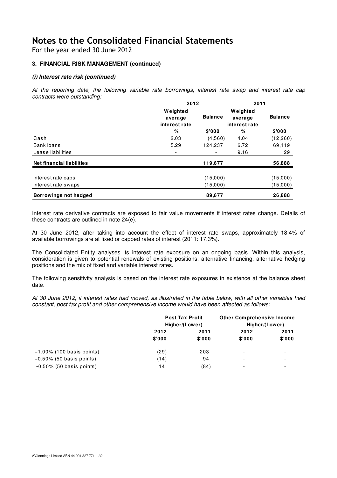For the year ended 30 June 2012

### **3. FINANCIAL RISK MANAGEMENT (continued)**

### **(i) Interest rate risk (continued)**

At the reporting date, the following variable rate borrowings, interest rate swap and interest rate cap contracts were outstanding:

|                                  |                                      | 2012           |                                      |                |  |
|----------------------------------|--------------------------------------|----------------|--------------------------------------|----------------|--|
|                                  | Weighted<br>average<br>interest rate | <b>Balance</b> | Weighted<br>average<br>interest rate | <b>Balance</b> |  |
|                                  | %                                    | \$'000         | %                                    | \$'000         |  |
| Cash                             | 2.03                                 | (4,560)        | 4.04                                 | (12, 260)      |  |
| Bank loans                       | 5.29                                 | 124,237        | 6.72                                 | 69,119         |  |
| Lease liabilities                |                                      |                | 9.16                                 | 29             |  |
| <b>Net financial liabilities</b> |                                      | 119,677        |                                      | 56,888         |  |
| Interest rate caps               |                                      | (15,000)       |                                      | (15,000)       |  |
| Interest rate swaps              |                                      | (15,000)       |                                      | (15,000)       |  |
| Borrowings not hedged            |                                      | 89,677         |                                      | 26,888         |  |

Interest rate derivative contracts are exposed to fair value movements if interest rates change. Details of these contracts are outlined in note 24(e).

At 30 June 2012, after taking into account the effect of interest rate swaps, approximately 18.4% of available borrowings are at fixed or capped rates of interest (2011: 17.3%).

The Consolidated Entity analyses its interest rate exposure on an ongoing basis. Within this analysis, consideration is given to potential renewals of existing positions, alternative financing, alternative hedging positions and the mix of fixed and variable interest rates.

The following sensitivity analysis is based on the interest rate exposures in existence at the balance sheet date.

At 30 June 2012, if interest rates had moved, as illustrated in the table below, with all other variables held constant, post tax profit and other comprehensive income would have been affected as follows:

|                              |                | <b>Post Tax Profit</b><br>Higher/(Lower) | <b>Other Comprehensive Income</b><br>Higher/(Lower) |                          |  |  |
|------------------------------|----------------|------------------------------------------|-----------------------------------------------------|--------------------------|--|--|
|                              | 2012<br>\$'000 | 2011<br>\$'000                           | 2012<br>\$'000                                      | 2011<br>\$'000           |  |  |
| $+1.00\%$ (100 basis points) | (29)           | 203                                      | $\overline{\phantom{a}}$                            |                          |  |  |
| $+0.50\%$ (50 basis points)  | (14)           | 94                                       | $\overline{\phantom{0}}$                            |                          |  |  |
| $-0.50\%$ (50 basis points)  | 14<br>(84)     |                                          | $\overline{\phantom{a}}$                            | $\overline{\phantom{0}}$ |  |  |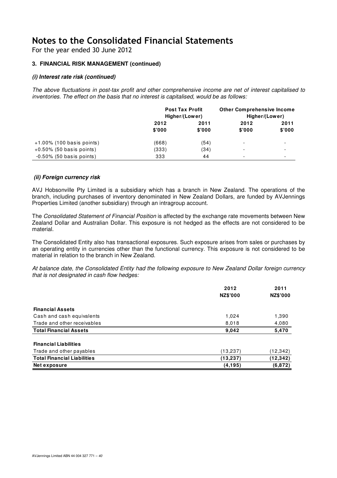For the year ended 30 June 2012

### **3. FINANCIAL RISK MANAGEMENT (continued)**

### **(i) Interest rate risk (continued)**

The above fluctuations in post-tax profit and other comprehensive income are net of interest capitalised to inventories. The effect on the basis that no interest is capitalised, would be as follows:

|                              | <b>Post Tax Profit</b><br>Higher/(Lower) |                | <b>Other Comprehensive Income</b><br>Higher/(Lower) |                          |  |
|------------------------------|------------------------------------------|----------------|-----------------------------------------------------|--------------------------|--|
|                              | 2012<br>\$'000                           | 2011<br>\$'000 | 2012<br>\$'000                                      | 2011<br>\$'000           |  |
| $+1.00\%$ (100 basis points) | (668)                                    | (54)           | -                                                   | ۰                        |  |
| $+0.50\%$ (50 basis points)  | (333)                                    | (34)           |                                                     | $\overline{\phantom{0}}$ |  |
| $-0.50\%$ (50 basis points)  | 333                                      | 44             |                                                     | $\overline{\phantom{a}}$ |  |

### **(ii) Foreign currency risk**

AVJ Hobsonville Pty Limited is a subsidiary which has a branch in New Zealand. The operations of the branch, including purchases of inventory denominated in New Zealand Dollars, are funded by AVJennings Properties Limited (another subsidiary) through an intragroup account.

The Consolidated Statement of Financial Position is affected by the exchange rate movements between New Zealand Dollar and Australian Dollar. This exposure is not hedged as the effects are not considered to be material.

The Consolidated Entity also has transactional exposures. Such exposure arises from sales or purchases by an operating entity in currencies other than the functional currency. This exposure is not considered to be material in relation to the branch in New Zealand.

At balance date, the Consolidated Entity had the following exposure to New Zealand Dollar foreign currency that is not designated in cash flow hedges:

|                                    | 2012            | 2011            |
|------------------------------------|-----------------|-----------------|
|                                    | <b>NZ\$'000</b> | <b>NZ\$'000</b> |
| <b>Financial Assets</b>            |                 |                 |
| Cash and cash equivalents          | 1,024           | 1,390           |
| Trade and other receivables        | 8,018           | 4,080           |
| <b>Total Financial Assets</b>      | 9,042           | 5,470           |
| <b>Financial Liabilities</b>       |                 |                 |
| Trade and other payables           | (13, 237)       | (12, 342)       |
| <b>Total Financial Liabilities</b> | (13, 237)       | (12, 342)       |
| Net exposure                       | (4, 195)        | (6, 872)        |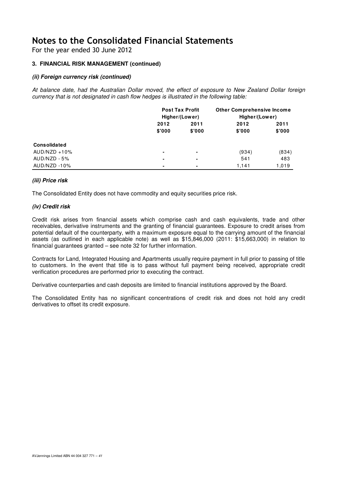For the year ended 30 June 2012

### **3. FINANCIAL RISK MANAGEMENT (continued)**

### **(ii) Foreign currency risk (continued)**

At balance date, had the Australian Dollar moved, the effect of exposure to New Zealand Dollar foreign currency that is not designated in cash flow hedges is illustrated in the following table:

|                     |                | <b>Post Tax Profit</b><br>Higher/(Lower) |        | <b>Other Comprehensive Income</b><br>Higher/(Lower) |  |  |
|---------------------|----------------|------------------------------------------|--------|-----------------------------------------------------|--|--|
|                     | 2012           | 2011                                     | 2012   | 2011                                                |  |  |
|                     | \$'000         | \$'000                                   | \$'000 | \$'000                                              |  |  |
| <b>Consolidated</b> |                |                                          |        |                                                     |  |  |
| $AUD/NZD + 10%$     | $\blacksquare$ | ۰                                        | (934)  | (834)                                               |  |  |
| $AUD/NZD - 5%$      | $\blacksquare$ | ۰                                        | 541    | 483                                                 |  |  |
| AUD/NZD-10%         | $\blacksquare$ | ۰                                        | 1,141  | 1,019                                               |  |  |

#### **(iii) Price risk**

The Consolidated Entity does not have commodity and equity securities price risk.

#### **(iv) Credit risk**

Credit risk arises from financial assets which comprise cash and cash equivalents, trade and other receivables, derivative instruments and the granting of financial guarantees. Exposure to credit arises from potential default of the counterparty, with a maximum exposure equal to the carrying amount of the financial assets (as outlined in each applicable note) as well as \$15,846,000 (2011: \$15,663,000) in relation to financial guarantees granted – see note 32 for further information.

Contracts for Land, Integrated Housing and Apartments usually require payment in full prior to passing of title to customers. In the event that title is to pass without full payment being received, appropriate credit verification procedures are performed prior to executing the contract.

Derivative counterparties and cash deposits are limited to financial institutions approved by the Board.

The Consolidated Entity has no significant concentrations of credit risk and does not hold any credit derivatives to offset its credit exposure.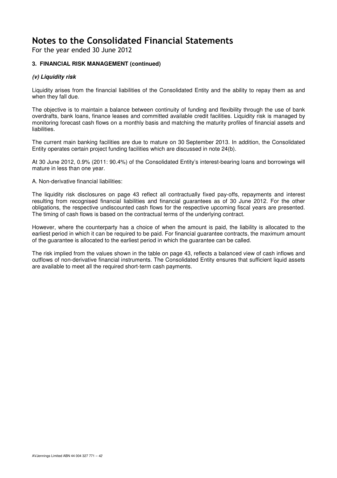For the year ended 30 June 2012

### **3. FINANCIAL RISK MANAGEMENT (continued)**

### **(v) Liquidity risk**

Liquidity arises from the financial liabilities of the Consolidated Entity and the ability to repay them as and when they fall due.

The objective is to maintain a balance between continuity of funding and flexibility through the use of bank overdrafts, bank loans, finance leases and committed available credit facilities. Liquidity risk is managed by monitoring forecast cash flows on a monthly basis and matching the maturity profiles of financial assets and liabilities.

The current main banking facilities are due to mature on 30 September 2013. In addition, the Consolidated Entity operates certain project funding facilities which are discussed in note 24(b).

At 30 June 2012, 0.9% (2011: 90.4%) of the Consolidated Entity's interest-bearing loans and borrowings will mature in less than one year.

A. Non-derivative financial liabilities:

The liquidity risk disclosures on page 43 reflect all contractually fixed pay-offs, repayments and interest resulting from recognised financial liabilities and financial guarantees as of 30 June 2012. For the other obligations, the respective undiscounted cash flows for the respective upcoming fiscal years are presented. The timing of cash flows is based on the contractual terms of the underlying contract.

However, where the counterparty has a choice of when the amount is paid, the liability is allocated to the earliest period in which it can be required to be paid. For financial guarantee contracts, the maximum amount of the guarantee is allocated to the earliest period in which the guarantee can be called.

The risk implied from the values shown in the table on page 43, reflects a balanced view of cash inflows and outflows of non-derivative financial instruments. The Consolidated Entity ensures that sufficient liquid assets are available to meet all the required short-term cash payments.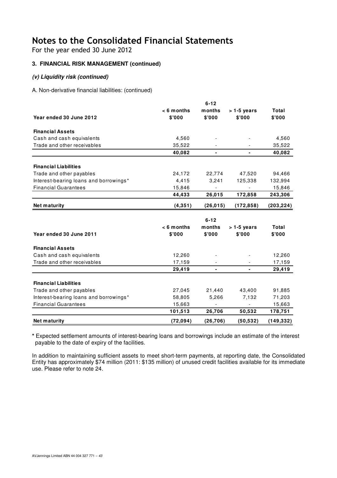For the year ended 30 June 2012

### **3. FINANCIAL RISK MANAGEMENT (continued)**

### **(v) Liquidity risk (continued)**

A. Non-derivative financial liabilities: (continued)

|                                        |                        | $6 - 12$         |                         |                 |
|----------------------------------------|------------------------|------------------|-------------------------|-----------------|
| Year ended 30 June 2012                | $< 6$ months<br>\$'000 | months<br>\$'000 | $> 1-5$ years<br>\$'000 | Total<br>\$'000 |
| <b>Financial Assets</b>                |                        |                  |                         |                 |
| Cash and cash equivalents              | 4,560                  |                  |                         | 4,560           |
| Trade and other receivables            | 35,522                 |                  |                         | 35,522          |
|                                        | 40,082                 | ä,               |                         | 40,082          |
| <b>Financial Liabilities</b>           |                        |                  |                         |                 |
| Trade and other payables               | 24,172                 | 22,774           | 47,520                  | 94,466          |
| Interest-bearing loans and borrowings* | 4,415                  | 3,241            | 125,338                 | 132,994         |
| <b>Financial Guarantees</b>            | 15,846                 |                  |                         | 15,846          |
|                                        | 44,433                 | 26,015           | 172,858                 | 243,306         |
| <b>Net maturity</b>                    | (4,351)                | (26, 015)        | (172, 858)              | (203, 224)      |
|                                        |                        |                  |                         |                 |
|                                        | $< 6$ months           | $6 - 12$         |                         | Total           |
| Year ended 30 June 2011                | \$'000                 | months<br>\$'000 | $> 1-5$ years<br>\$'000 | \$'000          |
|                                        |                        |                  |                         |                 |
| <b>Financial Assets</b>                |                        |                  |                         |                 |
| Cash and cash equivalents              | 12,260                 |                  |                         | 12,260          |
| Trade and other receivables            | 17,159                 |                  |                         | 17,159          |
|                                        | 29,419                 |                  |                         | 29,419          |
| <b>Financial Liabilities</b>           |                        |                  |                         |                 |
| Trade and other payables               | 27,045                 | 21,440           | 43,400                  | 91,885          |
| Interest-bearing loans and borrowings* |                        | 5,266            | 7,132                   |                 |
| <b>Financial Guarantees</b>            | 58,805                 |                  |                         | 71,203          |
|                                        | 15,663                 |                  |                         | 15,663          |
|                                        | 101,513                | 26,706           | 50,532                  | 178,751         |
| <b>Net maturity</b>                    | (72, 094)              | (26, 706)        | (50, 532)               | (149, 332)      |

**\*** Expected settlement amounts of interest-bearing loans and borrowings include an estimate of the interest payable to the date of expiry of the facilities.

In addition to maintaining sufficient assets to meet short-term payments, at reporting date, the Consolidated Entity has approximately \$74 million (2011: \$135 million) of unused credit facilities available for its immediate use. Please refer to note 24.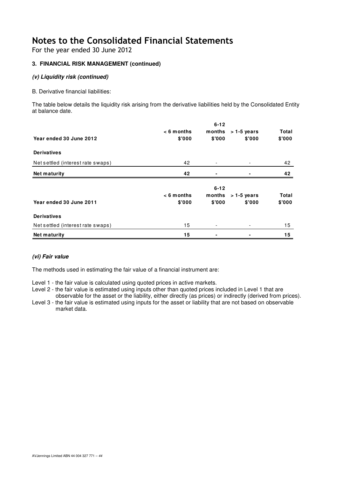For the year ended 30 June 2012

### **3. FINANCIAL RISK MANAGEMENT (continued)**

### **(v) Liquidity risk (continued)**

B. Derivative financial liabilities:

The table below details the liquidity risk arising from the derivative liabilities held by the Consolidated Entity at balance date.

|                                   |              | $6 - 12$                 |               |              |
|-----------------------------------|--------------|--------------------------|---------------|--------------|
|                                   | $< 6$ months | months                   | $>1-5$ years  | Total        |
| Year ended 30 June 2012           | \$'000       | \$'000                   | \$'000        | \$'000       |
| <b>Derivatives</b>                |              |                          |               |              |
| Net settled (interest rate swaps) | 42           | $\overline{\phantom{a}}$ |               | 42           |
| <b>Net maturity</b>               | 42           |                          |               | 42           |
|                                   |              | $6 - 12$                 |               |              |
|                                   | $< 6$ months | months                   | $> 1-5$ years | <b>Total</b> |
| Year ended 30 June 2011           | \$'000       | \$'000                   | \$'000        | \$'000       |
| <b>Derivatives</b>                |              |                          |               |              |
| Net settled (interest rate swaps) | 15           | $\overline{\phantom{a}}$ |               | 15           |
| <b>Net maturity</b>               | 15           |                          |               | 15           |

### **(vi) Fair value**

The methods used in estimating the fair value of a financial instrument are:

Level 1 - the fair value is calculated using quoted prices in active markets.

Level 2 - the fair value is estimated using inputs other than quoted prices included in Level 1 that are observable for the asset or the liability, either directly (as prices) or indirectly (derived from prices).

Level 3 - the fair value is estimated using inputs for the asset or liability that are not based on observable market data.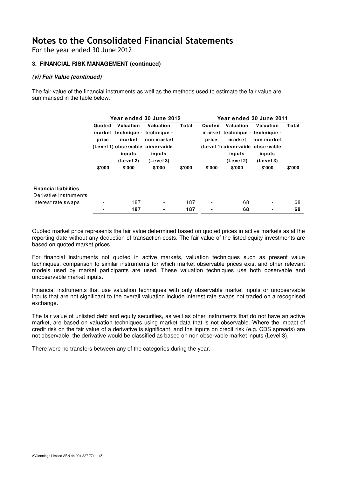For the year ended 30 June 2012

### **3. FINANCIAL RISK MANAGEMENT (continued)**

### **(vi) Fair Value (continued)**

The fair value of the financial instruments as well as the methods used to estimate the fair value are summarised in the table below.

|                                                        |                 |                                            | Year ended 30 June 2012                                                                                             |        | Year ended 30 June 2011  |                                            |                                                                                                                     |        |  |
|--------------------------------------------------------|-----------------|--------------------------------------------|---------------------------------------------------------------------------------------------------------------------|--------|--------------------------|--------------------------------------------|---------------------------------------------------------------------------------------------------------------------|--------|--|
|                                                        | Quoted<br>price | Valuation<br>market<br>inputs<br>(Level 2) | Valuation<br>market technique - technique -<br>non market<br>(Level 1) observable observable<br>inputs<br>(Level 3) | Total  | Quoted<br>price          | Valuation<br>market<br>inputs<br>(Level 2) | Valuation<br>market technique - technique -<br>non market<br>(Level 1) observable observable<br>inputs<br>(Level 3) | Total  |  |
|                                                        | \$'000          | \$'000                                     | \$'000                                                                                                              | \$'000 | \$'000                   | \$'000                                     | \$'000                                                                                                              | \$'000 |  |
| <b>Financial liabilities</b><br>Derivative instruments |                 |                                            |                                                                                                                     |        |                          |                                            |                                                                                                                     |        |  |
| Interest rate swaps                                    |                 | 187                                        | $\overline{\phantom{a}}$                                                                                            | 187    | $\overline{\phantom{a}}$ | 68                                         | $\overline{\phantom{a}}$                                                                                            | 68     |  |
|                                                        |                 | 187                                        |                                                                                                                     | 187    |                          | 68                                         |                                                                                                                     | 68     |  |

Quoted market price represents the fair value determined based on quoted prices in active markets as at the reporting date without any deduction of transaction costs. The fair value of the listed equity investments are based on quoted market prices.

For financial instruments not quoted in active markets, valuation techniques such as present value techniques, comparison to similar instruments for which market observable prices exist and other relevant models used by market participants are used. These valuation techniques use both observable and unobservable market inputs.

Financial instruments that use valuation techniques with only observable market inputs or unobservable inputs that are not significant to the overall valuation include interest rate swaps not traded on a recognised exchange.

The fair value of unlisted debt and equity securities, as well as other instruments that do not have an active market, are based on valuation techniques using market data that is not observable. Where the impact of credit risk on the fair value of a derivative is significant, and the inputs on credit risk (e.g. CDS spreads) are not observable, the derivative would be classified as based on non observable market inputs (Level 3).

There were no transfers between any of the categories during the year.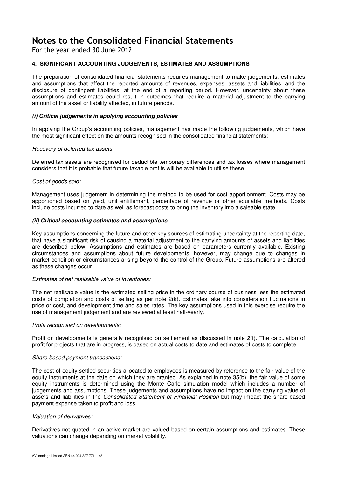For the year ended 30 June 2012

### **4. SIGNIFICANT ACCOUNTING JUDGEMENTS, ESTIMATES AND ASSUMPTIONS**

The preparation of consolidated financial statements requires management to make judgements, estimates and assumptions that affect the reported amounts of revenues, expenses, assets and liabilities, and the disclosure of contingent liabilities, at the end of a reporting period. However, uncertainty about these assumptions and estimates could result in outcomes that require a material adjustment to the carrying amount of the asset or liability affected, in future periods.

### **(i) Critical judgements in applying accounting policies**

In applying the Group's accounting policies, management has made the following judgements, which have the most significant effect on the amounts recognised in the consolidated financial statements:

#### Recovery of deferred tax assets:

Deferred tax assets are recognised for deductible temporary differences and tax losses where management considers that it is probable that future taxable profits will be available to utilise these.

#### Cost of goods sold:

Management uses judgement in determining the method to be used for cost apportionment. Costs may be apportioned based on yield, unit entitlement, percentage of revenue or other equitable methods. Costs include costs incurred to date as well as forecast costs to bring the inventory into a saleable state.

### **(ii) Critical accounting estimates and assumptions**

Key assumptions concerning the future and other key sources of estimating uncertainty at the reporting date, that have a significant risk of causing a material adjustment to the carrying amounts of assets and liabilities are described below. Assumptions and estimates are based on parameters currently available. Existing circumstances and assumptions about future developments, however, may change due to changes in market condition or circumstances arising beyond the control of the Group. Future assumptions are altered as these changes occur.

#### Estimates of net realisable value of inventories:

The net realisable value is the estimated selling price in the ordinary course of business less the estimated costs of completion and costs of selling as per note 2(k). Estimates take into consideration fluctuations in price or cost, and development time and sales rates. The key assumptions used in this exercise require the use of management judgement and are reviewed at least half-yearly.

#### Profit recognised on developments:

Profit on developments is generally recognised on settlement as discussed in note 2(t). The calculation of profit for projects that are in progress, is based on actual costs to date and estimates of costs to complete.

#### Share-based payment transactions:

The cost of equity settled securities allocated to employees is measured by reference to the fair value of the equity instruments at the date on which they are granted. As explained in note 35(b), the fair value of some equity instruments is determined using the Monte Carlo simulation model which includes a number of judgements and assumptions. These judgements and assumptions have no impact on the carrying value of assets and liabilities in the Consolidated Statement of Financial Position but may impact the share-based payment expense taken to profit and loss.

#### Valuation of derivatives:

Derivatives not quoted in an active market are valued based on certain assumptions and estimates. These valuations can change depending on market volatility.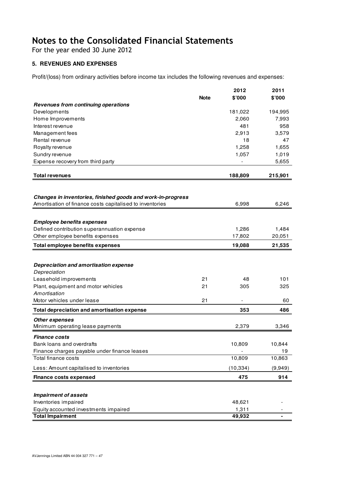For the year ended 30 June 2012

## **5. REVENUES AND EXPENSES**

Profit/(loss) from ordinary activities before income tax includes the following revenues and expenses:

|                                                             |             | 2012      | 2011    |
|-------------------------------------------------------------|-------------|-----------|---------|
|                                                             | <b>Note</b> | \$'000    | \$'000  |
| Revenues from continuing operations                         |             |           |         |
| Developments                                                |             | 181,022   | 194,995 |
| Home Improvements                                           |             | 2,060     | 7,993   |
| Interest revenue                                            |             | 481       | 958     |
| Management fees                                             |             | 2,913     | 3,579   |
| Rental revenue                                              |             | 18        | 47      |
| Royalty revenue                                             |             | 1,258     | 1,655   |
| Sundry revenue                                              |             | 1,057     | 1,019   |
| Expense recovery from third party                           |             |           | 5,655   |
| <b>Total revenues</b>                                       |             | 188,809   | 215,901 |
|                                                             |             |           |         |
| Changes in inventories, finished goods and work-in-progress |             |           |         |
| Amortisation of finance costs capitalised to inventories    |             | 6,998     | 6,246   |
|                                                             |             |           |         |
| <b>Employee benefits expenses</b>                           |             |           |         |
| Defined contribution superannuation expense                 |             | 1,286     | 1,484   |
| Other employee benefits expenses                            |             | 17,802    | 20,051  |
| Total employee benefits expenses                            |             | 19,088    | 21,535  |
|                                                             |             |           |         |
| Depreciation and amortisation expense                       |             |           |         |
| Depreciation                                                |             |           |         |
| Leasehold improvements                                      | 21          | 48        | 101     |
| Plant, equipment and motor vehicles                         | 21          | 305       | 325     |
| Amortisation                                                |             |           |         |
| Motor vehicles under lease                                  | 21          |           | 60      |
| Total depreciation and amortisation expense                 |             | 353       | 486     |
| <b>Other expenses</b>                                       |             |           |         |
| Minimum operating lease payments                            |             | 2,379     | 3,346   |
| Finance costs                                               |             |           |         |
| Bank loans and overdrafts                                   |             | 10,809    | 10,844  |
| Finance charges payable under finance leases                |             |           | 19      |
| Total finance costs                                         |             | 10,809    | 10,863  |
| Less: Amount capitalised to inventories                     |             | (10, 334) | (9,949) |
| <b>Finance costs expensed</b>                               |             | 475       | 914     |
|                                                             |             |           |         |
| <b>Impairment of assets</b>                                 |             |           |         |
| Inventories impaired                                        |             | 48,621    |         |
| Equity accounted investments impaired                       |             | 1,311     |         |
| <b>Total Impairment</b>                                     |             | 49,932    |         |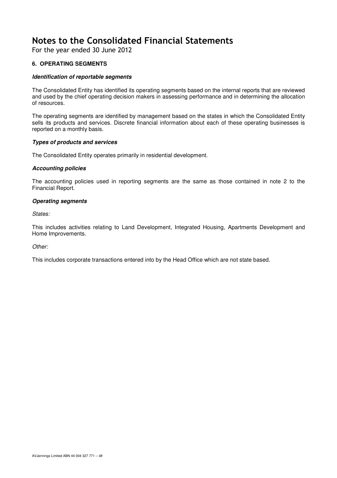For the year ended 30 June 2012

## **6. OPERATING SEGMENTS**

### **Identification of reportable segments**

The Consolidated Entity has identified its operating segments based on the internal reports that are reviewed and used by the chief operating decision makers in assessing performance and in determining the allocation of resources.

The operating segments are identified by management based on the states in which the Consolidated Entity sells its products and services. Discrete financial information about each of these operating businesses is reported on a monthly basis.

### **Types of products and services**

The Consolidated Entity operates primarily in residential development.

#### **Accounting policies**

The accounting policies used in reporting segments are the same as those contained in note 2 to the Financial Report.

### **Operating segments**

States:

This includes activities relating to Land Development, Integrated Housing, Apartments Development and Home Improvements.

Other:

This includes corporate transactions entered into by the Head Office which are not state based.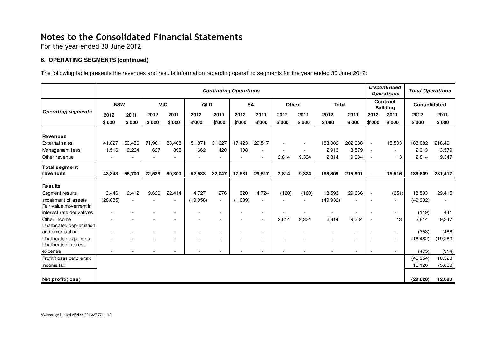For the year ended 30 June 2012

### **6. OPERATING SEGMENTS (continued)**

The following table presents the revenues and results information regarding operating segments for the year ended 30 June 2012:

|                                                     | <b>Continuing Operations</b> |                          |        |            |            |                          |                          |                          |        | <b>Discontinued</b><br><b>Total Operations</b><br><b>Operations</b> |              |                              |                          |                             |                     |           |
|-----------------------------------------------------|------------------------------|--------------------------|--------|------------|------------|--------------------------|--------------------------|--------------------------|--------|---------------------------------------------------------------------|--------------|------------------------------|--------------------------|-----------------------------|---------------------|-----------|
|                                                     | <b>NSW</b>                   |                          |        | <b>VIC</b> | <b>QLD</b> |                          | <b>SA</b>                |                          | Other  |                                                                     | <b>Total</b> |                              |                          | Contract<br><b>Building</b> | <b>Consolidated</b> |           |
| <b>Operating segments</b>                           | 2012                         | 2011                     | 2012   | 2011       | 2012       | 2011                     | 2012                     | 2011                     | 2012   | 2011                                                                | 2012         | 2011                         | 2012                     | 2011                        | 2012                | 2011      |
|                                                     | \$'000                       | \$'000                   | \$'000 | \$'000     | \$'000     | \$'000                   | \$'000                   | \$'000                   | \$'000 | \$'000                                                              | \$'000       | \$'000                       | \$'000                   | \$'000                      | \$'000              | \$'000    |
| <b>Revenues</b>                                     |                              |                          |        |            |            |                          |                          |                          |        |                                                                     |              |                              |                          |                             |                     |           |
| <b>External sales</b>                               | 41,827                       | 53,436                   | 71,961 | 88,408     | 51,871     | 31,627                   | 17,423                   | 29,517                   |        | $\overline{\phantom{a}}$                                            | 183,082      | 202,988                      | $\sim$                   | 15,503                      | 183,082             | 218,491   |
| Management fees                                     | 1,516                        | 2,264                    | 627    | 895        | 662        | 420                      | 108                      | $\sim$                   |        | $\sim$                                                              | 2,913        | 3,579                        |                          |                             | 2,913               | 3,579     |
| Other revenue                                       |                              |                          |        |            |            |                          |                          | $\sim$                   | 2,814  | 9,334                                                               | 2,814        | 9,334                        |                          | 13                          | 2,814               | 9,347     |
| <b>Total segment</b><br>revenues                    | 43,343                       | 55,700                   | 72,588 | 89,303     | 52,533     | 32,047                   | 17,531                   | 29,517                   | 2,814  | 9,334                                                               | 188,809      | 215,901                      |                          | 15,516                      | 188,809             | 231,417   |
|                                                     |                              |                          |        |            |            |                          |                          |                          |        |                                                                     |              |                              |                          |                             |                     |           |
| <b>Results</b>                                      |                              |                          |        |            |            |                          |                          |                          |        |                                                                     |              |                              |                          |                             |                     |           |
| Segment results                                     | 3,446                        | 2,412                    | 9,620  | 22,414     | 4,727      | 276                      | 920                      | 4,724                    | (120)  | (160)                                                               | 18,593       | 29,666                       |                          | (251)                       | 18,593              | 29,415    |
| Impairment of assets                                | (28, 885)                    | $\sim$                   |        |            | (19,958)   | $\blacksquare$           | (1,089)                  | $\sim$                   |        | $\overline{\phantom{a}}$                                            | (49, 932)    | $\overline{\phantom{a}}$     |                          | ٠.                          | (49, 932)           |           |
| Fair value movement in<br>interest rate derivatives |                              | $\overline{\phantom{a}}$ |        |            |            | $\overline{\phantom{a}}$ |                          | $\sim$                   |        | $\overline{\phantom{a}}$                                            |              | $\overline{\phantom{a}}$     |                          | ٠.                          | (119)               | 441       |
| Other income                                        |                              | $\sim$                   |        | $\sim$     | ۰          | $\overline{a}$           | $\overline{\phantom{a}}$ | $\sim$                   | 2,814  | 9,334                                                               | 2,814        | 9,334                        |                          | 13                          | 2,814               | 9,347     |
| Unallocated depreciation                            |                              |                          |        |            |            |                          |                          |                          |        |                                                                     |              |                              |                          |                             |                     |           |
| and amortisation                                    |                              | $\overline{\phantom{a}}$ |        |            |            | $\overline{a}$           |                          | $\overline{\phantom{a}}$ |        | ٠                                                                   |              | ٠                            | $\overline{\phantom{a}}$ | $\sim$                      | (353)               | (486)     |
| Unallocated expenses                                |                              | $\overline{\phantom{a}}$ |        |            |            | $\overline{a}$           |                          | $\sim$                   |        | $\overline{\phantom{a}}$                                            |              | ٠                            |                          | ٠.                          | (16, 482)           | (19, 280) |
| Unallocated interest                                |                              |                          |        |            |            |                          |                          |                          |        |                                                                     |              |                              |                          |                             |                     |           |
| expense                                             |                              |                          |        |            |            | $\overline{\phantom{a}}$ |                          | $\sim$                   |        |                                                                     |              | $\qquad \qquad \blacksquare$ |                          | ٠.                          | (475)               | (914)     |
| Profit/(loss) before tax                            |                              |                          |        |            |            |                          |                          |                          |        |                                                                     |              |                              |                          |                             | (45, 954)           | 18,523    |
| Income tax                                          |                              |                          |        |            |            |                          |                          |                          |        |                                                                     |              |                              |                          |                             | 16,126              | (5,630)   |
| Net profit/(loss)                                   |                              |                          |        |            |            |                          |                          |                          |        |                                                                     |              |                              |                          |                             | (29, 828)           | 12,893    |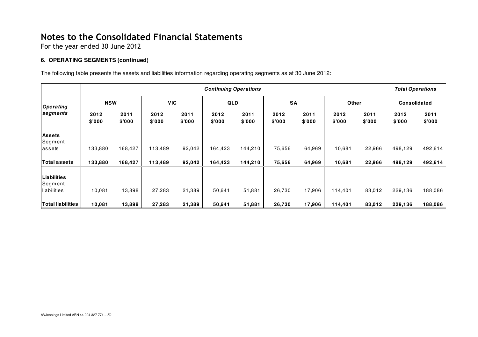For the year ended 30 June 2012

### **6. OPERATING SEGMENTS (continued)**

The following table presents the assets and liabilities information regarding operating segments as at 30 June 2012:

|                                              | <b>Continuing Operations</b> |                |                |                |                |                |                |                |                |                |                | <b>Total Operations</b> |  |
|----------------------------------------------|------------------------------|----------------|----------------|----------------|----------------|----------------|----------------|----------------|----------------|----------------|----------------|-------------------------|--|
| Operating                                    | <b>NSW</b>                   |                | <b>VIC</b>     |                | <b>QLD</b>     |                | <b>SA</b>      |                | Other          |                |                | <b>Consolidated</b>     |  |
| segments                                     | 2012<br>\$7000               | 2011<br>\$'000 | 2012<br>\$'000 | 2011<br>\$'000 | 2012<br>\$'000 | 2011<br>\$'000 | 2012<br>\$'000 | 2011<br>\$'000 | 2012<br>\$'000 | 2011<br>\$'000 | 2012<br>\$'000 | 2011<br>\$'000          |  |
| <b>Assets</b><br>Segment<br>lassets          | 133,880                      | 168,427        | 113,489        | 92,042         | 164,423        | 144,210        | 75,656         | 64,969         | 10,681         | 22,966         | 498,129        | 492,614                 |  |
| Total assets                                 | 133,880                      | 168,427        | 113,489        | 92,042         | 164,423        | 144,210        | 75,656         | 64,969         | 10,681         | 22,966         | 498,129        | 492,614                 |  |
| <b>Liabilities</b><br>Segment<br>liabilities | 10,081                       | 13,898         | 27,283         | 21,389         | 50,641         | 51,881         | 26,730         | 17,906         | 114,401        | 83,012         | 229,136        | 188,086                 |  |
| <b>Total liabilities</b>                     | 10,081                       | 13,898         | 27,283         | 21,389         | 50,641         | 51,881         | 26,730         | 17,906         | 114,401        | 83,012         | 229,136        | 188,086                 |  |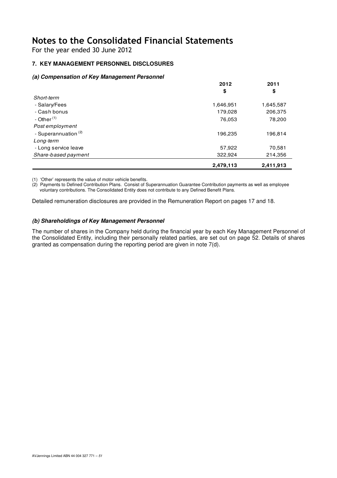For the year ended 30 June 2012

## **7. KEY MANAGEMENT PERSONNEL DISCLOSURES**

### **(a) Compensation of Key Management Personnel**

|                                 | 2012      | 2011      |
|---------------------------------|-----------|-----------|
|                                 | \$        | \$        |
| Short-term                      |           |           |
| - Salary/Fees                   | 1,646,951 | 1,645,587 |
| - Cash bonus                    | 179,028   | 206,375   |
| - Other $(1)$                   | 76,053    | 78,200    |
| Post employment                 |           |           |
| - Superannuation <sup>(2)</sup> | 196,235   | 196,814   |
| Long-term                       |           |           |
| - Long service leave            | 57,922    | 70,581    |
| Share-based payment             | 322,924   | 214,356   |
|                                 | 2,479,113 | 2,411,913 |

(1) 'Other' represents the value of motor vehicle benefits.

(2) Payments to Defined Contribution Plans. Consist of Superannuation Guarantee Contribution payments as well as employee voluntary contributions. The Consolidated Entity does not contribute to any Defined Benefit Plans.

Detailed remuneration disclosures are provided in the Remuneration Report on pages 17 and 18.

### **(b) Shareholdings of Key Management Personnel**

The number of shares in the Company held during the financial year by each Key Management Personnel of the Consolidated Entity, including their personally related parties, are set out on page 52. Details of shares granted as compensation during the reporting period are given in note 7(d).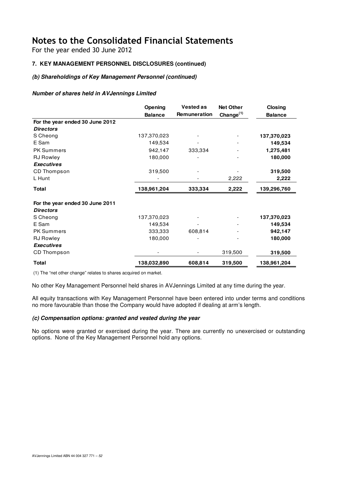For the year ended 30 June 2012

## **7. KEY MANAGEMENT PERSONNEL DISCLOSURES (continued)**

### **(b) Shareholdings of Key Management Personnel (continued)**

### **Number of shares held in AVJennings Limited**

|                                 | Opening<br><b>Balance</b> | <b>Vested as</b><br>Remuneration | <b>Net Other</b><br>Change <sup>(1)</sup> |             |
|---------------------------------|---------------------------|----------------------------------|-------------------------------------------|-------------|
| For the year ended 30 June 2012 |                           |                                  |                                           |             |
| <b>Directors</b>                |                           |                                  |                                           |             |
| S Cheong                        | 137,370,023               |                                  |                                           | 137,370,023 |
| E Sam                           | 149,534                   | $\overline{a}$                   |                                           | 149,534     |
| <b>PK Summers</b>               | 942,147                   | 333,334                          |                                           | 1,275,481   |
| <b>RJ</b> Rowley                | 180,000                   |                                  |                                           | 180,000     |
| <b>Executives</b>               |                           |                                  |                                           |             |
| CD Thompson                     | 319,500                   |                                  |                                           | 319,500     |
| L Hunt                          |                           |                                  | 2,222                                     | 2,222       |
| <b>Total</b>                    | 138,961,204               | 333,334                          | 2,222                                     | 139,296,760 |
| For the year ended 30 June 2011 |                           |                                  |                                           |             |
| <b>Directors</b>                |                           |                                  |                                           |             |
| S Cheong                        | 137,370,023               | $\overline{\phantom{a}}$         |                                           | 137,370,023 |
| E Sam                           | 149,534                   |                                  |                                           | 149,534     |
| <b>PK Summers</b>               | 333,333                   | 608,814                          |                                           | 942,147     |
| <b>RJ Rowley</b>                | 180,000                   |                                  |                                           | 180,000     |
| <b>Executives</b>               |                           |                                  |                                           |             |
| CD Thompson                     |                           |                                  | 319,500                                   | 319,500     |
| <b>Total</b>                    | 138,032,890               | 608,814                          | 319,500                                   | 138,961,204 |

(1) The "net other change" relates to shares acquired on market.

No other Key Management Personnel held shares in AVJennings Limited at any time during the year.

All equity transactions with Key Management Personnel have been entered into under terms and conditions no more favourable than those the Company would have adopted if dealing at arm's length.

### **(c) Compensation options: granted and vested during the year**

No options were granted or exercised during the year. There are currently no unexercised or outstanding options. None of the Key Management Personnel hold any options.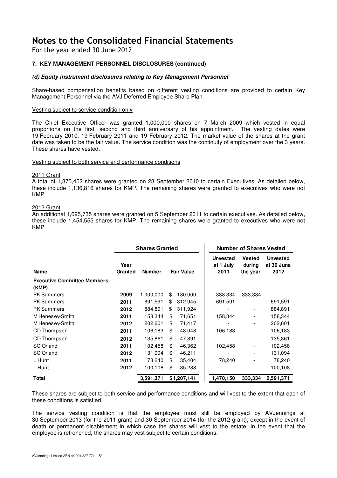For the year ended 30 June 2012

### **7. KEY MANAGEMENT PERSONNEL DISCLOSURES (continued)**

#### **(d) Equity instrument disclosures relating to Key Management Personnel**

Share-based compensation benefits based on different vesting conditions are provided to certain Key Management Personnel via the AVJ Deferred Employee Share Plan.

#### Vesting subject to service condition only

The Chief Executive Officer was granted 1,000,000 shares on 7 March 2009 which vested in equal proportions on the first, second and third anniversary of his appointment. The vesting dates were 19 February 2010, 19 February 2011 and 19 February 2012. The market value of the shares at the grant date was taken to be the fair value. The service condition was the continuity of employment over the 3 years. These shares have vested.

#### Vesting subject to both service and performance conditions

#### 2011 Grant

A total of 1,375,452 shares were granted on 28 September 2010 to certain Executives. As detailed below, these include 1,136,816 shares for KMP. The remaining shares were granted to executives who were not KMP.

#### 2012 Grant

An additional 1,695,735 shares were granted on 5 September 2011 to certain executives. As detailed below, these include 1,454,555 shares for KMP. The remaining shares were granted to executives who were not KMP.

|                                             |                 | <b>Shares Granted</b> |                   | <b>Number of Shares Vested</b>       |                                     |                                       |  |
|---------------------------------------------|-----------------|-----------------------|-------------------|--------------------------------------|-------------------------------------|---------------------------------------|--|
| <b>Name</b>                                 | Year<br>Granted | <b>Number</b>         | <b>Fair Value</b> | <b>Unvested</b><br>at 1 July<br>2011 | <b>Vested</b><br>during<br>the year | <b>Unvested</b><br>at 30 June<br>2012 |  |
| <b>Executive Committee Members</b><br>(KMP) |                 |                       |                   |                                      |                                     |                                       |  |
| <b>PK Summers</b>                           | 2009            | 1,000,000             | \$<br>180,000     | 333,334                              | 333,334                             |                                       |  |
| <b>PK Summers</b>                           | 2011            | 691,591               | \$<br>312,945     | 691,591                              | $\overline{a}$                      | 691,591                               |  |
| <b>PK Summers</b>                           | 2012            | 884,891               | \$<br>311,924     |                                      | $\overline{\phantom{a}}$            | 884,891                               |  |
| M Henesey-Smith                             | 2011            | 158,344               | \$<br>71,651      | 158,344                              | $\overline{\phantom{0}}$            | 158,344                               |  |
| M Henesey-Smith                             | 2012            | 202,601               | \$<br>71,417      |                                      | -                                   | 202,601                               |  |
| CD Thompson                                 | 2011            | 106,183               | \$<br>48,048      | 106,183                              | $\qquad \qquad \blacksquare$        | 106,183                               |  |
| CD Thompson                                 | 2012            | 135,861               | \$<br>47,891      |                                      | $\overline{\phantom{a}}$            | 135,861                               |  |
| <b>SC Orlandi</b>                           | 2011            | 102,458               | \$<br>46,362      | 102,458                              | $\overline{\phantom{a}}$            | 102,458                               |  |
| <b>SC</b> Orlandi                           | 2012            | 131,094               | \$<br>46,211      |                                      | $\overline{\phantom{a}}$            | 131,094                               |  |
| L Hunt                                      | 2011            | 78,240                | \$<br>35,404      | 78,240                               | $\overline{\phantom{a}}$            | 78,240                                |  |
| L Hunt                                      | 2012            | 100,108               | \$<br>35,288      |                                      | $\overline{\phantom{a}}$            | 100,108                               |  |
| <b>Total</b>                                |                 | 3,591,371             | \$1,207,141       | 1,470,150                            | 333,334                             | 2,591,371                             |  |

These shares are subject to both service and performance conditions and will vest to the extent that each of these conditions is satisfied.

The service vesting condition is that the employee must still be employed by AVJennings at 30 September 2013 (for the 2011 grant) and 30 September 2014 (for the 2012 grant), except in the event of death or permanent disablement in which case the shares will vest to the estate. In the event that the employee is retrenched, the shares may vest subject to certain conditions.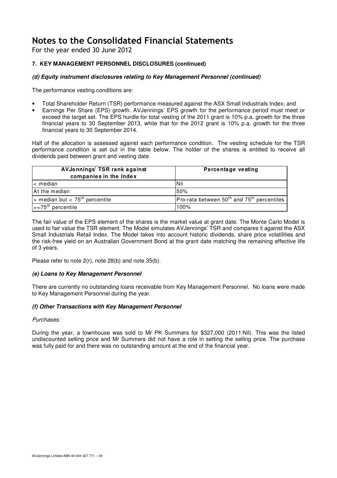For the year ended 30 June 2012

## **7. KEY MANAGEMENT PERSONNEL DISCLOSURES (continued)**

### **(d) Equity instrument disclosures relating to Key Management Personnel (continued)**

The performance vesting conditions are:

- Total Shareholder Return (TSR) performance measured against the ASX Small Industrials Index; and
- Earnings Per Share (EPS) growth. AVJennings' EPS growth for the performance period must meet or exceed the target set. The EPS hurdle for total vesting of the 2011 grant is 10% p.a. growth for the three financial years to 30 September 2013, while that for the 2012 grant is 10% p.a. growth for the three financial years to 30 September 2014.

Half of the allocation is assessed against each performance condition. The vesting schedule for the TSR performance condition is set out in the table below. The holder of the shares is entitled to receive all dividends paid between grant and vesting date.

| <b>AVJennings' TSR rank against</b><br>companies in the Index | Percentage vesting                                                 |
|---------------------------------------------------------------|--------------------------------------------------------------------|
| $\leq$ median                                                 | IN il                                                              |
| At the median                                                 | 50%                                                                |
| $>$ median but < 75 <sup>th</sup> percentile                  | Pro-rata between 50 <sup>th</sup> and 75 <sup>th</sup> percentiles |
| $\left  \right $ >=75 <sup>th</sup> percentile                | 100%                                                               |

The fair value of the EPS element of the shares is the market value at grant date. The Monte Carlo Model is used to fair value the TSR element. The Model simulates AVJennings' TSR and compares it against the ASX Small Industrials Retail Index. The Model takes into account historic dividends, share price volatilities and the risk-free yield on an Australian Government Bond at the grant date matching the remaining effective life of 3 years.

Please refer to note 2(r), note 28(b) and note 35(b).

### **(e) Loans to Key Management Personnel**

There are currently no outstanding loans receivable from Key Management Personnel. No loans were made to Key Management Personnel during the year.

### **(f) Other Transactions with Key Management Personnel**

### Purchases:

During the year, a townhouse was sold to Mr PK Summers for \$327,000 (2011:Nil). This was the listed undiscounted selling price and Mr Summers did not have a role in setting the selling price. The purchase was fully paid for and there was no outstanding amount at the end of the financial year.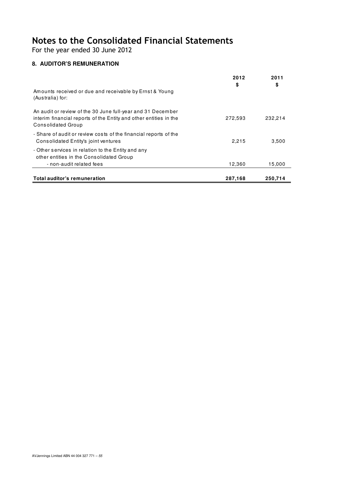For the year ended 30 June 2012

## **8. AUDITOR'S REMUNERATION**

|                                                                                                                                                               | 2012<br>\$ | 2011<br>\$ |
|---------------------------------------------------------------------------------------------------------------------------------------------------------------|------------|------------|
| Amounts received or due and receivable by Ernst & Young<br>(Australia) for:                                                                                   |            |            |
| An audit or review of the 30 June full-year and 31 December<br>interim financial reports of the Entity and other entities in the<br><b>Consolidated Group</b> | 272,593    | 232,214    |
| - Share of audit or review costs of the financial reports of the<br>Consolidated Entity's joint ventures                                                      | 2,215      | 3,500      |
| - Other services in relation to the Entity and any<br>other entities in the Consolidated Group<br>- non-audit related fees                                    | 12,360     | 15,000     |
| Total auditor's remuneration                                                                                                                                  | 287,168    | 250,714    |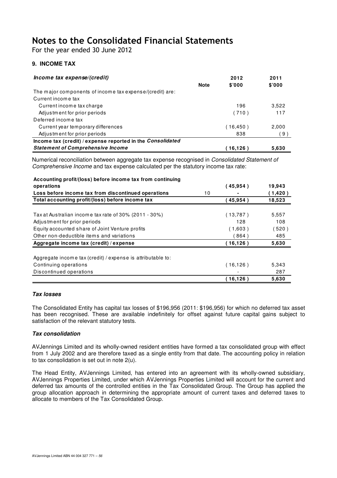For the year ended 30 June 2012

## **9. INCOME TAX**

| Income tax expense/(credit)                                |             | 2012     | 2011   |
|------------------------------------------------------------|-------------|----------|--------|
|                                                            | <b>Note</b> | \$'000   | \$'000 |
| The major components of income tax expense/(credit) are:   |             |          |        |
| Current income tax                                         |             |          |        |
| Current income tax charge                                  |             | 196      | 3,522  |
| Adjustment for prior periods                               |             | (710)    | 117    |
| Deferred income tax                                        |             |          |        |
| Current year temporary differences                         |             | (16,450) | 2,000  |
| Adjustment for prior periods                               |             | 838      | (9     |
| Income tax (credit) / expense reported in the Consolidated |             |          |        |
| <b>Statement of Comprehensive Income</b>                   |             | (16.126) | 5,630  |

Numerical reconciliation between aggregate tax expense recognised in Consolidated Statement of Comprehensive Income and tax expense calculated per the statutory income tax rate:

| Accounting profit/(loss) before income tax from continuing  |    |           |         |
|-------------------------------------------------------------|----|-----------|---------|
| operations                                                  |    | (45,954)  | 19,943  |
| Loss before income tax from discontinued operations         | 10 |           | (1,420) |
| Total accounting profit/(loss) before income tax            |    | 45,954    | 18,523  |
|                                                             |    |           |         |
| Tax at Australian income tax rate of 30% (2011 - 30%)       |    | (13,787)  | 5,557   |
| Adjustment for prior periods                                |    | 128       | 108     |
| Equity accounted share of Joint Venture profits             |    | (1.603)   | 520)    |
| Other non-deductible items and variations                   |    | 864)      | 485     |
| Aggregate income tax (credit) / expense                     |    | (16, 126) | 5,630   |
| Aggregate income tax (credit) / expense is attributable to: |    |           |         |
| Continuing operations                                       |    | (16,126)  | 5,343   |
|                                                             |    |           |         |
| Discontinued operations                                     |    |           | 287     |
|                                                             |    | (16, 126) | 5,630   |

### **Tax losses**

The Consolidated Entity has capital tax losses of \$196,956 (2011: \$196,956) for which no deferred tax asset has been recognised. These are available indefinitely for offset against future capital gains subject to satisfaction of the relevant statutory tests.

### **Tax consolidation**

AVJennings Limited and its wholly-owned resident entities have formed a tax consolidated group with effect from 1 July 2002 and are therefore taxed as a single entity from that date. The accounting policy in relation to tax consolidation is set out in note 2(u).

The Head Entity, AVJennings Limited, has entered into an agreement with its wholly-owned subsidiary, AVJennings Properties Limited, under which AVJennings Properties Limited will account for the current and deferred tax amounts of the controlled entities in the Tax Consolidated Group. The Group has applied the group allocation approach in determining the appropriate amount of current taxes and deferred taxes to allocate to members of the Tax Consolidated Group.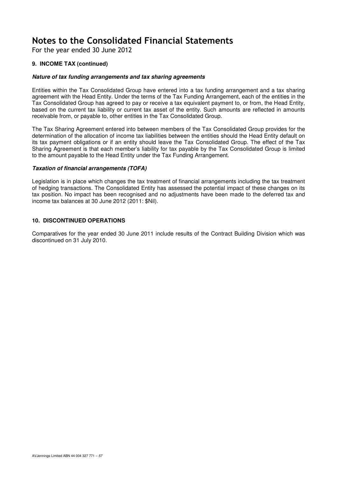For the year ended 30 June 2012

## **9. INCOME TAX (continued)**

### **Nature of tax funding arrangements and tax sharing agreements**

Entities within the Tax Consolidated Group have entered into a tax funding arrangement and a tax sharing agreement with the Head Entity. Under the terms of the Tax Funding Arrangement, each of the entities in the Tax Consolidated Group has agreed to pay or receive a tax equivalent payment to, or from, the Head Entity, based on the current tax liability or current tax asset of the entity. Such amounts are reflected in amounts receivable from, or payable to, other entities in the Tax Consolidated Group.

The Tax Sharing Agreement entered into between members of the Tax Consolidated Group provides for the determination of the allocation of income tax liabilities between the entities should the Head Entity default on its tax payment obligations or if an entity should leave the Tax Consolidated Group. The effect of the Tax Sharing Agreement is that each member's liability for tax payable by the Tax Consolidated Group is limited to the amount payable to the Head Entity under the Tax Funding Arrangement.

#### **Taxation of financial arrangements (TOFA)**

Legislation is in place which changes the tax treatment of financial arrangements including the tax treatment of hedging transactions. The Consolidated Entity has assessed the potential impact of these changes on its tax position. No impact has been recognised and no adjustments have been made to the deferred tax and income tax balances at 30 June 2012 (2011: \$Nil).

### **10. DISCONTINUED OPERATIONS**

Comparatives for the year ended 30 June 2011 include results of the Contract Building Division which was discontinued on 31 July 2010.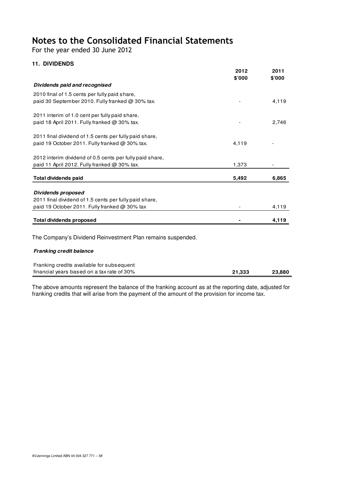For the year ended 30 June 2012

### **11. DIVIDENDS**

|                                                             | 2012<br>\$'000 | 2011<br>\$'000 |
|-------------------------------------------------------------|----------------|----------------|
| Dividends paid and recognised                               |                |                |
| 2010 final of 1.5 cents per fully paid share,               |                |                |
| paid 30 September 2010. Fully franked @ 30% tax.            |                | 4,119          |
| 2011 interim of 1.0 cent per fully paid share,              |                |                |
| paid 18 April 2011. Fully franked @ 30% tax.                |                | 2,746          |
| 2011 final dividend of 1.5 cents per fully paid share,      |                |                |
| paid 19 October 2011. Fully franked @ 30% tax.              | 4,119          |                |
| 2012 interim dividend of 0.5 cents per fully paid share,    |                |                |
| paid 11 April 2012. Fully franked @ 30% tax.                | 1,373          |                |
| <b>Total dividends paid</b>                                 | 5,492          | 6,865          |
| Dividends proposed                                          |                |                |
| 2011 final dividend of 1.5 cents per fully paid share,      |                |                |
| paid 19 October 2011. Fully franked @ 30% tax               |                | 4,119          |
| <b>Total dividends proposed</b>                             |                | 4,119          |
| The Company's Dividend Reinvestment Plan remains suspended. |                |                |
|                                                             |                |                |

#### **Franking credit balance**

| Franking credits available for subsequent  |        |        |
|--------------------------------------------|--------|--------|
| financial years based on a tax rate of 30% | 21.333 | 23.880 |

The above amounts represent the balance of the franking account as at the reporting date, adjusted for franking credits that will arise from the payment of the amount of the provision for income tax.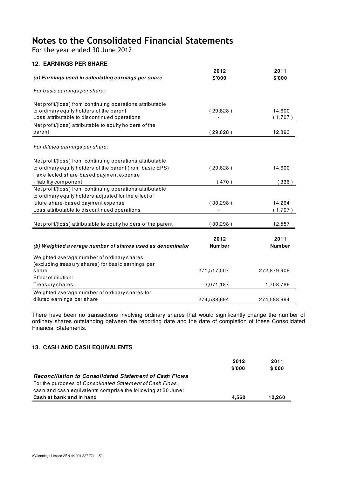For the year ended 30 June 2012

| <b>12. EARNINGS PER SHARE</b>                                                            |                |                   |
|------------------------------------------------------------------------------------------|----------------|-------------------|
| (a) Earnings used in calculating earnings per share                                      | 2012<br>\$'000 | 2011<br>\$'000    |
| For basic earnings per share:                                                            |                |                   |
| Net profit/(loss) from continuing operations attributable                                |                |                   |
| to ordinary equity holders of the parent<br>Loss attributable to discontinued operations | (29, 828)      | 14,600<br>(1,707) |
| Net profit/(loss) attributable to equity holders of the<br>parent                        | (29, 828)      | 12,893            |
| For diluted earnings per share:                                                          |                |                   |
| Net profit/(loss) from continuing operations attributable                                |                |                   |
| to ordinary equity holders of the parent (from basic EPS)                                | (29,828)       | 14,600            |
| Tax effected share-based payment expense                                                 |                |                   |
| - liability component                                                                    | (470)          | (336)             |
| Net profit/(loss) from continuing operations attributable                                |                |                   |
| to ordinary equity holders adjusted for the effect of                                    |                |                   |
| future share-based payment expense                                                       | (30, 298)      | 14,264            |
| Loss attributable to discontinued operations                                             |                | (1,707)           |
| Net profit/(loss) attributable to equity holders of the parent                           | (30, 298)      | 12,557            |
|                                                                                          | 2012           | 2011              |
| (b) Weighted average number of shares used as denominator                                | <b>Number</b>  | <b>Number</b>     |
| Weighted average number of ordinary shares                                               |                |                   |
| (excluding treasury shares) for basic earnings per                                       |                |                   |
| share                                                                                    | 271,517,507    | 272,879,908       |
| Effect of dilution:                                                                      |                |                   |
| Treasury shares                                                                          | 3,071,187      | 1,708,786         |
| Weighted average number of ordinary shares for                                           |                |                   |
| diluted earnings per share                                                               | 274,588,694    | 274,588,694       |

There have been no transactions involving ordinary shares that would significantly change the number of ordinary shares outstanding between the reporting date and the date of completion of these Consolidated Financial Statements.

### **13. CASH AND CASH EQUIVALENTS**

|                                                                   | 2012   | 2011   |
|-------------------------------------------------------------------|--------|--------|
|                                                                   | \$7000 | \$7000 |
| Reconciliation to Consolidated Statement of Cash Flows            |        |        |
| For the purposes of <i>Consolidated Statement of Cash Flows</i> , |        |        |
| cash and cash equivalents comprise the following at 30 June:      |        |        |
| Cash at bank and in hand                                          | 4.560  | 12.260 |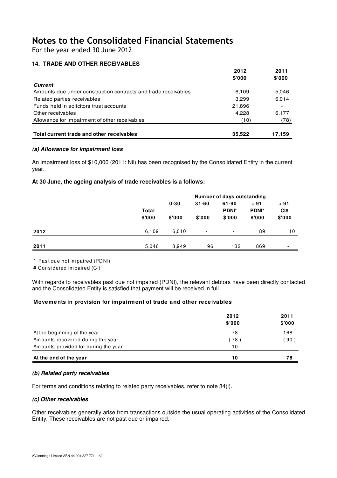For the year ended 30 June 2012

## **14. TRADE AND OTHER RECEIVABLES**

|                                                                | 2012   | 2011   |
|----------------------------------------------------------------|--------|--------|
|                                                                | \$'000 | \$7000 |
| <b>Current</b>                                                 |        |        |
| Amounts due under construction contracts and trade receivables | 6,109  | 5,046  |
| Related parties receivables                                    | 3,299  | 6,014  |
| Funds held in solicitors trust accounts                        | 21,896 |        |
| Other receivables                                              | 4,228  | 6,177  |
| Allowance for impairment of other receivables                  | (10)   | (78)   |
|                                                                |        |        |
| Total current trade and other receivables                      | 35,522 | 17,159 |

#### **(a) Allowance for impairment loss**

An impairment loss of \$10,000 (2011: Nil) has been recognised by the Consolidated Entity in the current year.

### **At 30 June, the ageing analysis of trade receivables is a follows:**

|      |                 | Number of days outstanding |                          |                                 |                                 |                          |  |
|------|-----------------|----------------------------|--------------------------|---------------------------------|---------------------------------|--------------------------|--|
|      | Total<br>\$'000 | $0 - 30$<br>\$'000         | $31 - 60$<br>\$'000      | 61-90<br><b>PDNI*</b><br>\$'000 | $+91$<br><b>PDNI*</b><br>\$'000 | + 91<br>CI#<br>\$'000    |  |
| 2012 | 6,109           | 6,010                      | $\overline{\phantom{a}}$ | $\overline{\phantom{a}}$        | 89                              | 10                       |  |
| 2011 | 5,046           | 3,949                      | 96                       | 132                             | 869                             | $\overline{\phantom{a}}$ |  |

\* Past due not im paired (PDNI)

# Considered im paired (CI)

With regards to receivables past due not impaired (PDNI), the relevant debtors have been directly contacted and the Consolidated Entity is satisfied that payment will be received in full.

### **Movements in provision for impairment of trade and other receivables**

|                                      | 2012<br>\$7000 | 2011<br>\$'000 |
|--------------------------------------|----------------|----------------|
| At the beginning of the year         | 78             | 168            |
| Amounts recovered during the year    | (78)           | 90             |
| Amounts provided for during the year | 10             |                |
| At the end of the year               | 10             | 78             |

#### **(b) Related party receivables**

For terms and conditions relating to related party receivables, refer to note 34(i).

### **(c) Other receivables**

Other receivables generally arise from transactions outside the usual operating activities of the Consolidated Entity. These receivables are not past due or impaired.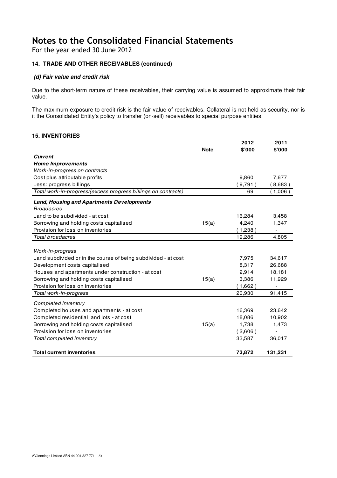For the year ended 30 June 2012

### **14. TRADE AND OTHER RECEIVABLES (continued)**

### **(d) Fair value and credit risk**

Due to the short-term nature of these receivables, their carrying value is assumed to approximate their fair value.

The maximum exposure to credit risk is the fair value of receivables. Collateral is not held as security, nor is it the Consolidated Entity's policy to transfer (on-sell) receivables to special purpose entities.

#### **15. INVENTORIES**

|                                                                |             | 2012    | 2011    |
|----------------------------------------------------------------|-------------|---------|---------|
|                                                                | <b>Note</b> | \$'000  | \$'000  |
| <b>Current</b>                                                 |             |         |         |
| <b>Home Improvements</b>                                       |             |         |         |
| Work-in-progress on contracts                                  |             |         |         |
| Cost plus attributable profits                                 |             | 9,860   | 7,677   |
| Less: progress billings                                        |             | (9,791) | (8,683) |
| Total work-in-progress/(excess progress billings on contracts) |             | 69      | (1,006) |
| <b>Land, Housing and Apartments Developments</b>               |             |         |         |
| <b>Broadacres</b>                                              |             |         |         |
| Land to be subdivided - at cost                                |             | 16,284  | 3,458   |
| Borrowing and holding costs capitalised                        | 15(a)       | 4,240   | 1,347   |
| Provision for loss on inventories                              |             | (1,238) |         |
| Total broadacres                                               |             | 19,286  | 4,805   |
|                                                                |             |         |         |
| Work-in-progress                                               |             |         |         |
| Land subdivided or in the course of being subdivided - at cost |             | 7,975   | 34,617  |
| Development costs capitalised                                  |             | 8,317   | 26,688  |
| Houses and apartments under construction - at cost             |             | 2,914   | 18,181  |
| Borrowing and holding costs capitalised                        | 15(a)       | 3,386   | 11,929  |
| Provision for loss on inventories                              |             | (1,662) |         |
| Total work-in-progress                                         |             | 20,930  | 91,415  |
| Completed inventory                                            |             |         |         |
| Completed houses and apartments - at cost                      |             | 16,369  | 23,642  |
| Completed residential land lots - at cost                      |             | 18,086  | 10,902  |
| Borrowing and holding costs capitalised                        | 15(a)       | 1,738   | 1,473   |
| Provision for loss on inventories                              |             | (2,606) |         |
| Total completed inventory                                      |             | 33,587  | 36,017  |
|                                                                |             |         |         |
| <b>Total current inventories</b>                               |             | 73,872  | 131,231 |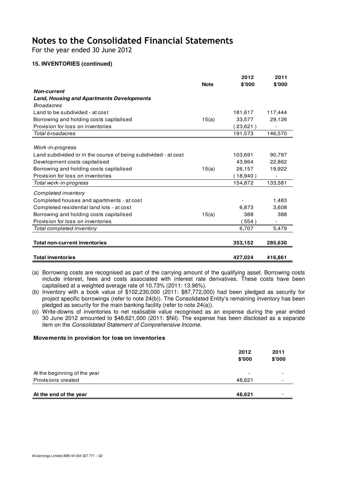For the year ended 30 June 2012

## **15. INVENTORIES (continued)**

|                                                                |             | 2012     | 2011    |
|----------------------------------------------------------------|-------------|----------|---------|
|                                                                | <b>Note</b> | \$'000   | \$'000  |
| <b>Non-current</b>                                             |             |          |         |
| <b>Land, Housing and Apartments Developments</b>               |             |          |         |
| <b>Broadacres</b>                                              |             |          |         |
| Land to be subdivided - at cost                                |             | 181,617  | 117,444 |
| Borrowing and holding costs capitalised                        | 15(a)       | 33,577   | 29,126  |
| Provision for loss on inventories                              |             | (23,621) |         |
| Total broadacres                                               |             | 191,573  | 146,570 |
|                                                                |             |          |         |
| Work-in-progress                                               |             |          |         |
| Land subdivided or in the course of being subdivided - at cost |             | 103,691  | 90,797  |
| Development costs capitalised                                  |             | 43,964   | 22,862  |
| Borrowing and holding costs capitalised                        | 15(a)       | 26,157   | 19,922  |
| Provision for loss on inventories                              |             | (18,940) |         |
| Total work-in-progress                                         |             | 154,872  | 133,581 |
| Completed inventory                                            |             |          |         |
| Completed houses and apartments - at cost                      |             |          | 1,483   |
| Completed residential land lots - at cost                      |             | 6,873    | 3,608   |
| Borrowing and holding costs capitalised                        | 15(a)       | 388      | 388     |
| Provision for loss on inventories                              |             | 554)     |         |
| Total completed inventory                                      |             | 6,707    | 5,479   |
|                                                                |             |          |         |
| <b>Total non-current inventories</b>                           |             | 353,152  | 285,630 |
|                                                                |             |          |         |
| <b>Total inventories</b>                                       |             | 427,024  | 416,861 |

- (a) Borrowing costs are recognised as part of the carrying amount of the qualifying asset. Borrowing costs include interest, fees and costs associated with interest rate derivatives. These costs have been capitalised at a weighted average rate of 10.73% (2011: 13.96%).
- (b) Inventory with a book value of \$102,230,000 (2011: \$87,772,000) had been pledged as security for project specific borrowings (refer to note 24(b)). The Consolidated Entity's remaining inventory has been pledged as security for the main banking facility (refer to note 24(a)).
- (c) Write-downs of inventories to net realisable value recognised as an expense during the year ended 30 June 2012 amounted to \$48,621,000 (2011: \$Nil). The expense has been disclosed as a separate item on the Consolidated Statement of Comprehensive Income.

### **Movements in provision for loss on inventories**

|                              | 2012<br>\$'000           | 2011<br>\$'000 |
|------------------------------|--------------------------|----------------|
| At the beginning of the year | $\overline{\phantom{0}}$ |                |
| Provisions created           | 48,621                   |                |
| At the end of the year       | 48,621                   |                |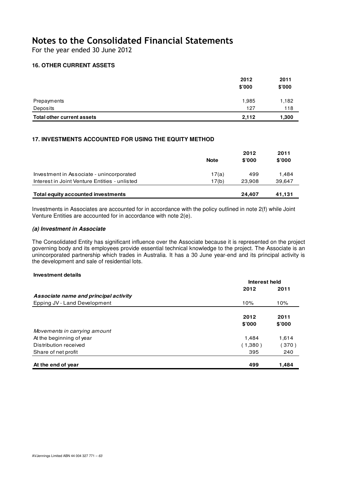For the year ended 30 June 2012

## **16. OTHER CURRENT ASSETS**

|                            | 2012<br>\$'000 | 2011<br>\$'000 |
|----------------------------|----------------|----------------|
| Prepayments                | 1,985          | 1,182          |
| Deposits                   | 127            | 118            |
| Total other current assets | 2,112          | 1,300          |

### **17. INVESTMENTS ACCOUNTED FOR USING THE EQUITY METHOD**

|                                               | <b>Note</b> | 2012<br>\$'000 | 2011<br>\$7000 |
|-----------------------------------------------|-------------|----------------|----------------|
| Investment in Associate - unincorporated      | 17(a)       | 499            | 1.484          |
| Interest in Joint Venture Entities - unlisted | 17(b)       | 23.908         | 39,647         |
| Total equity accounted investments            |             | 24,407         | 41,131         |

Investments in Associates are accounted for in accordance with the policy outlined in note 2(f) while Joint Venture Entities are accounted for in accordance with note 2(e).

### **(a) Investment in Associate**

The Consolidated Entity has significant influence over the Associate because it is represented on the project governing body and its employees provide essential technical knowledge to the project. The Associate is an unincorporated partnership which trades in Australia. It has a 30 June year-end and its principal activity is the development and sale of residential lots.

#### **Investment details**

|                                       | Interest held |        |
|---------------------------------------|---------------|--------|
|                                       | 2012          | 2011   |
| Associate name and principal activity |               |        |
| Epping JV - Land Development          | 10%           | 10%    |
|                                       | 2012          | 2011   |
|                                       | \$'000        | \$'000 |
| Movements in carrying amount          |               |        |
| At the beginning of year              | 1.484         | 1,614  |
| Distribution received                 | (1,380)       | 370)   |
| Share of net profit                   | 395           | 240    |
| At the end of year                    | 499           | 1.484  |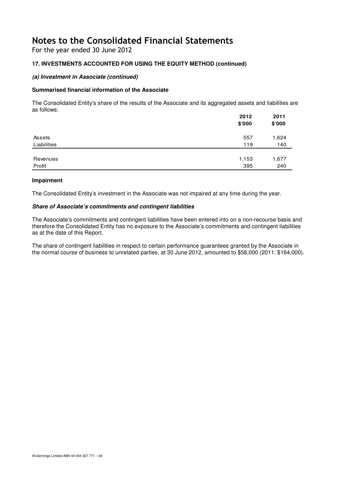For the year ended 30 June 2012

## **17. INVESTMENTS ACCOUNTED FOR USING THE EQUITY METHOD (continued)**

### **(a) Investment in Associate (continued)**

### **Summarised financial information of the Associate**

The Consolidated Entity's share of the results of the Associate and its aggregated assets and liabilities are as follows:  **2012 2011**

|             | 2012<br>\$'000 | 2011<br>\$'000 |
|-------------|----------------|----------------|
| Assets      | 557            | 1,624          |
| Liabilities | 119            | 140            |
|             |                |                |
| Revenues    | 1,153          | 1,677          |
| Profit      | 395            | 240            |

#### **Impairment**

The Consolidated Entity's investment in the Associate was not impaired at any time during the year.

#### **Share of Associate's commitments and contingent liabilities**

The Associate's commitments and contingent liabilities have been entered into on a non-recourse basis and therefore the Consolidated Entity has no exposure to the Associate's commitments and contingent liabilities as at the date of this Report.

The share of contingent liabilities in respect to certain performance guarantees granted by the Associate in the normal course of business to unrelated parties, at 30 June 2012, amounted to \$58,000 (2011: \$164,000).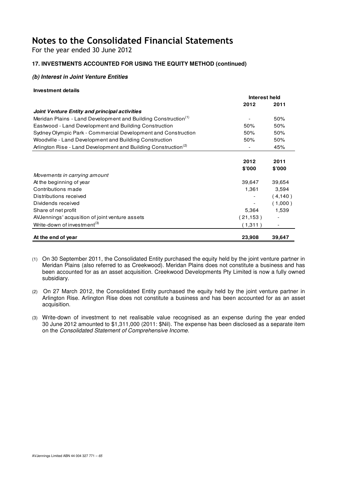For the year ended 30 June 2012

## **17. INVESTMENTS ACCOUNTED FOR USING THE EQUITY METHOD (continued)**

### **(b) Interest in Joint Venture Entities**

#### **Investment details**

|                                                                            | Interest held            |          |
|----------------------------------------------------------------------------|--------------------------|----------|
|                                                                            | 2012                     | 2011     |
| Joint Venture Entity and principal activities                              |                          |          |
| Meridan Plains - Land Development and Building Construction <sup>(1)</sup> |                          | 50%      |
| Eastwood - Land Development and Building Construction                      | 50%                      | 50%      |
| Sydney Olympic Park - Commercial Development and Construction              | 50%                      | 50%      |
| Woodville - Land Development and Building Construction                     | 50%                      | 50%      |
| Arlington Rise - Land Development and Building Construction <sup>(2)</sup> | $\overline{\phantom{0}}$ | 45%      |
|                                                                            |                          |          |
|                                                                            | 2012                     | 2011     |
|                                                                            | \$'000                   | \$'000   |
| Movements in carrying amount                                               |                          |          |
| At the beginning of year                                                   | 39,647                   | 39,654   |
| Contributions made                                                         | 1,361                    | 3,594    |
| Distributions received                                                     |                          | (4, 140) |
| Dividends received                                                         |                          | (1,000)  |
| Share of net profit                                                        | 5,364                    | 1,539    |
| AVJennings' acqusition of joint venture assets                             | (21,153)                 |          |
| Write-down of investment <sup>(3)</sup>                                    | (1,311)                  |          |
| At the end of year                                                         | 23,908                   | 39,647   |

(1) On 30 September 2011, the Consolidated Entity purchased the equity held by the joint venture partner in Meridan Plains (also referred to as Creekwood). Meridan Plains does not constitute a business and has been accounted for as an asset acquisition. Creekwood Developments Pty Limited is now a fully owned subsidiary.

(2) On 27 March 2012, the Consolidated Entity purchased the equity held by the joint venture partner in Arlington Rise. Arlington Rise does not constitute a business and has been accounted for as an asset acquisition.

(3) Write-down of investment to net realisable value recognised as an expense during the year ended 30 June 2012 amounted to \$1,311,000 (2011: \$Nil). The expense has been disclosed as a separate item on the Consolidated Statement of Comprehensive Income.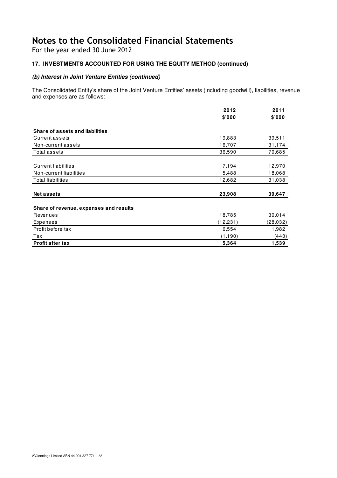For the year ended 30 June 2012

## **17. INVESTMENTS ACCOUNTED FOR USING THE EQUITY METHOD (continued)**

### **(b) Interest in Joint Venture Entities (continued)**

The Consolidated Entity's share of the Joint Venture Entities' assets (including goodwill), liabilities, revenue and expenses are as follows:

|                                        | 2012      | 2011      |
|----------------------------------------|-----------|-----------|
|                                        | \$'000    | \$'000    |
| <b>Share of assets and liabilities</b> |           |           |
| <b>Current assets</b>                  | 19,883    | 39,511    |
| Non-current assets                     | 16,707    | 31,174    |
| Total assets                           | 36,590    | 70,685    |
| <b>Current liabilities</b>             | 7,194     | 12,970    |
| Non-current liabilities                | 5,488     | 18,068    |
| <b>Total liabilities</b>               | 12,682    | 31,038    |
| <b>Net assets</b>                      | 23,908    | 39,647    |
| Share of revenue, expenses and results |           |           |
| Revenues                               | 18,785    | 30,014    |
| <b>Expenses</b>                        | (12, 231) | (28, 032) |
| Profit before tax                      | 6,554     | 1,982     |
| Tax                                    | (1,190)   | (443)     |
| <b>Profit after tax</b>                | 5,364     | 1,539     |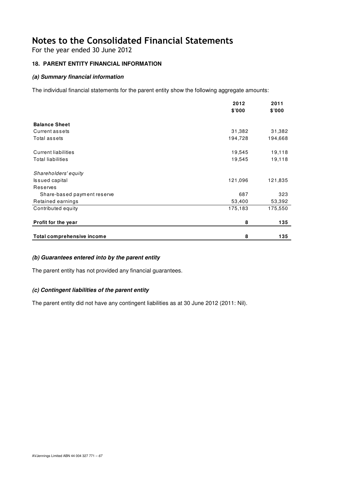For the year ended 30 June 2012

## **18. PARENT ENTITY FINANCIAL INFORMATION**

### **(a) Summary financial information**

The individual financial statements for the parent entity show the following aggregate amounts:

|                                   | 2012    | 2011    |
|-----------------------------------|---------|---------|
|                                   | \$'000  | \$'000  |
| <b>Balance Sheet</b>              |         |         |
| Current assets                    | 31,382  | 31,382  |
| Total assets                      | 194,728 | 194,668 |
| <b>Current liabilities</b>        | 19,545  | 19,118  |
| <b>Total liabilities</b>          | 19,545  | 19,118  |
| Shareholders' equity              |         |         |
| Issued capital                    | 121,096 | 121,835 |
| Reserves                          |         |         |
| Share-based payment reserve       | 687     | 323     |
| Retained earnings                 | 53,400  | 53,392  |
| Contributed equity                | 175,183 | 175,550 |
| Profit for the year               | 8       | 135     |
| <b>Total comprehensive income</b> | 8       | 135     |

### **(b) Guarantees entered into by the parent entity**

The parent entity has not provided any financial guarantees.

## **(c) Contingent liabilities of the parent entity**

The parent entity did not have any contingent liabilities as at 30 June 2012 (2011: Nil).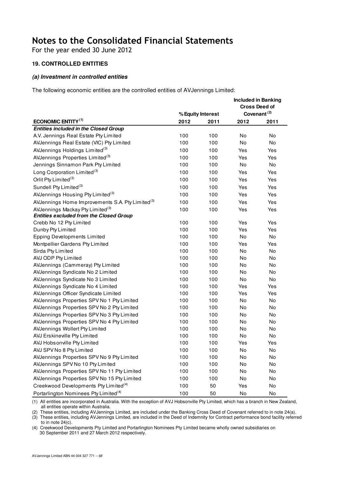For the year ended 30 June 2012

## **19. CONTROLLED ENTITIES**

### **(a) Investment in controlled entities**

The following economic entities are the controlled entities of AVJennings Limited:

|                                                              |                   |      | <b>Included in Banking</b> | <b>Cross Deed of</b> |
|--------------------------------------------------------------|-------------------|------|----------------------------|----------------------|
|                                                              | % Equity Interest |      | Covenant <sup>(2)</sup>    |                      |
| <b>ECONOMIC ENTITY(1)</b>                                    | 2012              | 2011 | 2012                       | 2011                 |
| <b>Entities included in the Closed Group</b>                 |                   |      |                            |                      |
| A.V. Jennings Real Estate Pty Limited                        | 100               | 100  | No                         | No                   |
| AVJennings Real Estate (VIC) Pty Limited                     | 100               | 100  | No                         | No                   |
| AVJennings Holdings Limited <sup>(3)</sup>                   | 100               | 100  | Yes                        | Yes                  |
| AVJennings Properties Limited <sup>(3)</sup>                 | 100               | 100  | Yes                        | Yes                  |
| Jennings Sinnamon Park Pty Limited                           | 100               | 100  | No                         | No                   |
| Long Corporation Limited <sup>(3)</sup>                      | 100               | 100  | Yes                        | Yes                  |
| Orlit Pty Limited <sup>(3)</sup>                             | 100               | 100  | Yes                        | Yes                  |
| Sundell Pty Limited <sup>(3)</sup>                           | 100               | 100  | Yes                        | Yes                  |
| AVJennings Housing Pty Limited <sup>(3)</sup>                | 100               | 100  | Yes                        | Yes                  |
| AVJennings Home Improvements S.A. Pty Limited <sup>(3)</sup> | 100               | 100  | Yes                        | Yes                  |
| AVJennings Mackay Pty Limited <sup>(3)</sup>                 | 100               | 100  | Yes                        | Yes                  |
| <b>Entities excluded from the Closed Group</b>               |                   |      |                            |                      |
| Crebb No 12 Pty Limited                                      | 100               | 100  | Yes                        | Yes                  |
| Dunby Pty Limited                                            | 100               | 100  | Yes                        | Yes                  |
| <b>Epping Developments Limited</b>                           | 100               | 100  | <b>No</b>                  | No                   |
| Montpellier Gardens Pty Limited                              | 100               | 100  | Yes                        | Yes                  |
| Sirda Pty Limited                                            | 100               | 100  | <b>No</b>                  | No                   |
| AVJ ODP Pty Limited                                          | 100               | 100  | <b>No</b>                  | No                   |
| AVJennings (Cammeray) Pty Limited                            | 100               | 100  | No                         | No                   |
| AVJennings Syndicate No 2 Limited                            | 100               | 100  | No                         | No                   |
| AVJennings Syndicate No 3 Limited                            | 100               | 100  | <b>No</b>                  | <b>No</b>            |
| AVJennings Syndicate No 4 Limited                            | 100               | 100  | Yes                        | Yes                  |
| AVJennings Officer Syndicate Limited                         | 100               | 100  | Yes                        | Yes                  |
| AVJennings Properties SPV No 1 Pty Limited                   | 100               | 100  | No                         | No                   |
| AVJennings Properties SPV No 2 Pty Limited                   | 100               | 100  | No                         | No                   |
| AVJennings Properties SPV No 3 Pty Limited                   | 100               | 100  | No                         | No                   |
| AVJennings Properties SPV No 4 Pty Limited                   | 100               | 100  | No                         | No                   |
| AVJennings Wollert Pty Limited                               | 100               | 100  | No                         | No                   |
| AVJ Erskineville Pty Limited                                 | 100               | 100  | No                         | No                   |
| AVJ Hobsonville Pty Limited                                  | 100               | 100  | Yes                        | Yes                  |
| AVJ SPV No 8 Pty Limited                                     | 100               | 100  | No                         | No                   |
| AVJennings Properties SPV No 9 Pty Limited                   | 100               | 100  | No                         | No                   |
| AVJennings SPV No 10 Pty Limited                             | 100               | 100  | No                         | No                   |
| AVJennings Properties SPV No 11 Pty Limited                  | 100               | 100  | No                         | No                   |
| AVJennings Properties SPV No 15 Pty Limited                  | 100               | 100  | No                         | No                   |
| Creekwood Developments Pty Limited <sup>(4)</sup>            | 100               | 50   | Yes                        | No                   |
| Portarlington Nominees Pty Limited <sup>(4)</sup>            | 100               | 50   | No                         | No                   |

(1) All entities are incorporated in Australia. With the exception of AVJ Hobsonville Pty Limited, which has a branch in New Zealand, all entities operate within Australia.

(2) These entities, including AVJennings Limited, are included under the Banking Cross Deed of Covenant referred to in note 24(a).

(3) These entities, including AVJennings Limited, are included in the Deed of Indemnity for Contract performance bond facility referred to in note  $24(c)$ .

(4) Creekwood Developments Pty Limited and Portarlington Nominees Pty Limited became wholly owned subsidiaries on 30 September 2011 and 27 March 2012 respectively.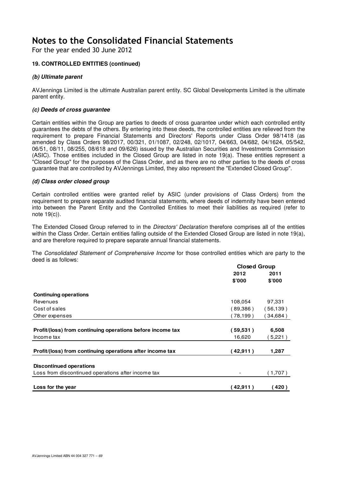For the year ended 30 June 2012

### **19. CONTROLLED ENTITIES (continued)**

### **(b) Ultimate parent**

AVJennings Limited is the ultimate Australian parent entity. SC Global Developments Limited is the ultimate parent entity.

#### **(c) Deeds of cross guarantee**

Certain entities within the Group are parties to deeds of cross guarantee under which each controlled entity guarantees the debts of the others. By entering into these deeds, the controlled entities are relieved from the requirement to prepare Financial Statements and Directors' Reports under Class Order 98/1418 (as amended by Class Orders 98/2017, 00/321, 01/1087, 02/248, 02/1017, 04/663, 04/682, 04/1624, 05/542, 06/51, 08/11, 08/255, 08/618 and 09/626) issued by the Australian Securities and Investments Commission (ASIC). Those entities included in the Closed Group are listed in note 19(a). These entities represent a "Closed Group" for the purposes of the Class Order, and as there are no other parties to the deeds of cross guarantee that are controlled by AVJennings Limited, they also represent the "Extended Closed Group".

#### **(d) Class order closed group**

Certain controlled entities were granted relief by ASIC (under provisions of Class Orders) from the requirement to prepare separate audited financial statements, where deeds of indemnity have been entered into between the Parent Entity and the Controlled Entities to meet their liabilities as required (refer to note 19(c)).

The Extended Closed Group referred to in the *Directors' Declaration* therefore comprises all of the entities within the Class Order. Certain entities falling outside of the Extended Closed Group are listed in note 19(a), and are therefore required to prepare separate annual financial statements.

The Consolidated Statement of Comprehensive Income for those controlled entities which are party to the deed is as follows:

|                                                            | <b>Closed Group</b> |           |
|------------------------------------------------------------|---------------------|-----------|
|                                                            | 2012                | 2011      |
|                                                            | \$'000              | \$'000    |
| <b>Continuing operations</b>                               |                     |           |
| Revenues                                                   | 108,054             | 97,331    |
| Cost of sales                                              | (89,386)            | (56,139)  |
| Other expenses                                             | $78,199$ )          | 34,684)   |
|                                                            |                     |           |
| Profit/(loss) from continuing operations before income tax | 59,531)             | 6,508     |
| Income tax                                                 | 16,620              | $5,221$ ) |
|                                                            |                     |           |
| Profit/(loss) from continuing operations after income tax  | 42,911)             | 1,287     |
|                                                            |                     |           |
| <b>Discontinued operations</b>                             |                     |           |
| Loss from discontinued operations after income tax         |                     | (1,707)   |
|                                                            |                     |           |
| Loss for the year                                          | 42,911)             | 420)      |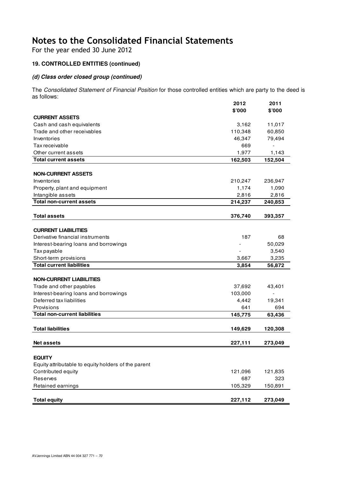For the year ended 30 June 2012

## **19. CONTROLLED ENTITIES (continued)**

### **(d) Class order closed group (continued)**

The Consolidated Statement of Financial Position for those controlled entities which are party to the deed is as follows:

|                                                     | 2012    | 2011                     |
|-----------------------------------------------------|---------|--------------------------|
|                                                     | \$'000  | \$'000                   |
| <b>CURRENT ASSETS</b>                               |         |                          |
| Cash and cash equivalents                           | 3,162   | 11,017                   |
| Trade and other receivables                         | 110,348 | 60,850                   |
| Inventories                                         | 46,347  | 79,494                   |
| Tax receivable                                      | 669     |                          |
| Other current assets                                | 1,977   | 1,143                    |
| <b>Total current assets</b>                         | 162,503 | 152,504                  |
|                                                     |         |                          |
| <b>NON-CURRENT ASSETS</b>                           |         |                          |
| Inventories                                         | 210,247 | 236,947                  |
| Property, plant and equipment                       | 1,174   | 1,090                    |
| Intangible assets                                   | 2,816   | 2,816                    |
| <b>Total non-current assets</b>                     | 214,237 | 240,853                  |
|                                                     |         |                          |
| <b>Total assets</b>                                 | 376,740 | 393,357                  |
|                                                     |         |                          |
| <b>CURRENT LIABILITIES</b>                          |         |                          |
| Derivative financial instruments                    | 187     | 68                       |
| Interest-bearing loans and borrowings               |         | 50,029                   |
| Tax payable                                         |         | 3,540                    |
| Short-term provisions                               | 3,667   | 3,235                    |
| <b>Total current liabilities</b>                    | 3,854   | 56,872                   |
|                                                     |         |                          |
| <b>NON-CURRENT LIABILITIES</b>                      |         |                          |
| Trade and other payables                            | 37,692  | 43,401                   |
| Interest-bearing loans and borrowings               | 103,000 | $\overline{\phantom{m}}$ |
| Deferred tax liabilities                            | 4,442   | 19,341                   |
| Provisions                                          | 641     | 694                      |
| <b>Total non-current liabilities</b>                | 145,775 | 63,436                   |
|                                                     |         |                          |
| <b>Total liabilities</b>                            | 149,629 | 120,308                  |
|                                                     |         |                          |
| <b>Net assets</b>                                   | 227,111 | 273,049                  |
|                                                     |         |                          |
| <b>EQUITY</b>                                       |         |                          |
| Equity attributable to equity holders of the parent |         |                          |
| Contributed equity                                  | 121,096 | 121,835                  |
| Reserves                                            | 687     | 323                      |
| Retained earnings                                   | 105,329 | 150,891                  |
|                                                     |         |                          |
| <b>Total equity</b>                                 | 227,112 | 273,049                  |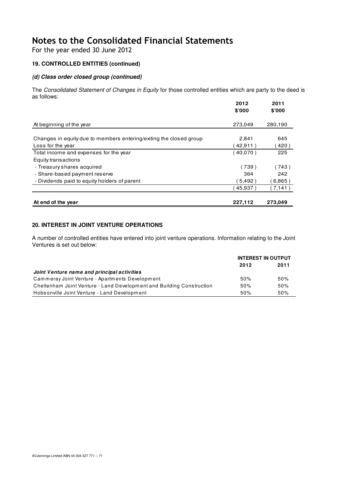For the year ended 30 June 2012

## **19. CONTROLLED ENTITIES (continued)**

### **(d) Class order closed group (continued)**

The Consolidated Statement of Changes in Equity for those controlled entities which are party to the deed is as follows:

|                                                                    | 2012<br>\$7000 | 2011<br>\$'000 |
|--------------------------------------------------------------------|----------------|----------------|
| At beginning of the year                                           | 273,049        | 280,190        |
|                                                                    |                |                |
| Changes in equity due to members entering/exiting the closed group | 2,841          | 645            |
| Loss for the year                                                  | 42,911)        | 420)           |
| Total income and expenses for the year                             | 40,070)        | 225            |
| Equity transactions                                                |                |                |
| - Treasury shares acquired                                         | 739)           | 743)           |
| - Share-based payment reserve                                      | 364            | 242            |
| - Dividends paid to equity holders of parent                       | 5,492)         | 6,865)         |
|                                                                    | 45,937)        | (7,141)        |
| At end of the year                                                 | 227.112        | 273.049        |

### **20. INTEREST IN JOINT VENTURE OPERATIONS**

A number of controlled entities have entered into joint venture operations. Information relating to the Joint Ventures is set out below:

|                                                                       | <b>INTEREST IN OUTPUT</b> |      |
|-----------------------------------------------------------------------|---------------------------|------|
|                                                                       | 2012                      | 2011 |
| Joint Venture name and principal activities                           |                           |      |
| Cammeray Joint Venture - Apartments Development                       | 50%                       | 50%  |
| Cheltenham Joint Venture - Land Development and Building Construction | 50%                       | 50%  |
| Hobsonville Joint Venture - Land Development                          | 50%                       | 50%  |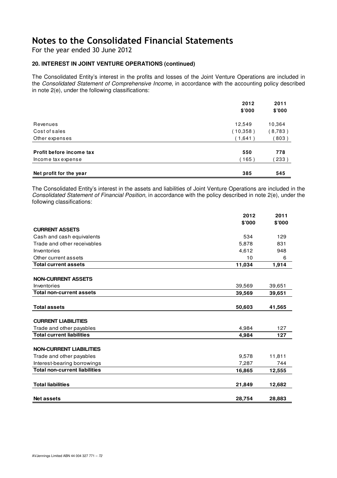For the year ended 30 June 2012

### **20. INTEREST IN JOINT VENTURE OPERATIONS (continued)**

The Consolidated Entity's interest in the profits and losses of the Joint Venture Operations are included in the Consolidated Statement of Comprehensive Income, in accordance with the accounting policy described in note 2(e), under the following classifications:

|                          | 2012<br>\$7000 | 2011<br>\$7000 |
|--------------------------|----------------|----------------|
| Revenues                 | 12,549         | 10,364         |
| Cost of sales            | (10,358)       | (8,783)        |
| Other expenses           | (1,641)        | 803)           |
| Profit before income tax | 550            | 778            |
| Income tax expense       | (165)          | 233)           |
|                          |                |                |
| Net profit for the year  | 385            | 545            |

The Consolidated Entity's interest in the assets and liabilities of Joint Venture Operations are included in the Consolidated Statement of Financial Position, in accordance with the policy described in note 2(e), under the following classifications:

|                                      | 2012   | 2011   |
|--------------------------------------|--------|--------|
|                                      | \$'000 | \$'000 |
| <b>CURRENT ASSETS</b>                |        |        |
| Cash and cash equivalents            | 534    | 129    |
| Trade and other receivables          | 5.878  | 831    |
| Inventories                          | 4,612  | 948    |
| Other current assets                 | 10     | 6      |
| <b>Total current assets</b>          | 11,034 | 1,914  |
|                                      |        |        |
| <b>NON-CURRENT ASSETS</b>            |        |        |
| Inventories                          | 39,569 | 39,651 |
| <b>Total non-current assets</b>      | 39,569 | 39,651 |
|                                      |        |        |
| <b>Total assets</b>                  | 50,603 | 41,565 |
| <b>CURRENT LIABILITIES</b>           |        |        |
| Trade and other payables             | 4,984  | 127    |
| <b>Total current liabilities</b>     | 4,984  | 127    |
|                                      |        |        |
| <b>NON-CURRENT LIABILITIES</b>       |        |        |
| Trade and other payables             | 9,578  | 11,811 |
| Interest-bearing borrowings          | 7,287  | 744    |
| <b>Total non-current liabilities</b> | 16,865 | 12,555 |
| <b>Total liabilities</b>             | 21,849 | 12,682 |
| <b>Net assets</b>                    | 28,754 | 28,883 |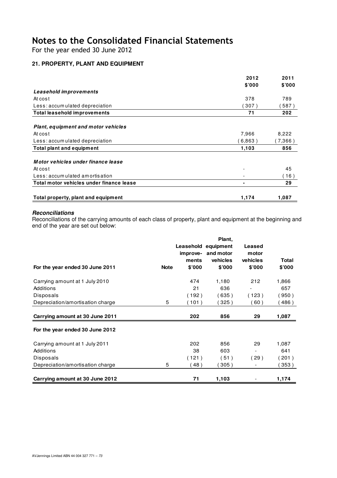For the year ended 30 June 2012

# **21. PROPERTY, PLANT AND EQUIPMENT**

|                                          | 2012   | 2011   |
|------------------------------------------|--------|--------|
|                                          | \$'000 | \$'000 |
| Leasehold improvements                   |        |        |
| At cost                                  | 378    | 789    |
| Less: accumulated depreciation           | 307)   | 587)   |
| <b>Total leasehold improvements</b>      | 71     | 202    |
| Plant, equipment and motor vehicles      |        |        |
| At cost                                  | 7,966  | 8,222  |
| Less: accumulated depreciation           | 6,863) | 7,366) |
| <b>Total plant and equipment</b>         | 1,103  | 856    |
| Motor vehicles under finance lease       |        |        |
| At cost                                  |        | 45     |
| Less: accumulated amortisation           |        | 16)    |
| Total motor vehicles under finance lease | ۰      | 29     |
| Total property, plant and equipment      | 1,174  | 1,087  |

#### **Reconciliations**

Reconciliations of the carrying amounts of each class of property, plant and equipment at the beginning and end of the year are set out below:

| For the year ended 30 June 2011  | <b>Note</b> | improve-<br>ments<br>\$'000 | Plant,<br>Leasehold equipment<br>and motor<br>vehicles<br>\$'000 | Leased<br>motor<br>vehicles<br>\$'000 | Total<br>\$'000 |
|----------------------------------|-------------|-----------------------------|------------------------------------------------------------------|---------------------------------------|-----------------|
| Carrying amount at 1 July 2010   |             | 474                         | 1,180                                                            | 212                                   | 1,866           |
| Additions                        |             | 21                          | 636                                                              |                                       | 657             |
| Disposals                        |             | (192)                       | (635)                                                            | (123)                                 | 950)            |
| Depreciation/amortisation charge | 5           | (101)                       | 325)                                                             | (60)                                  | 486)            |
| Carrying amount at 30 June 2011  |             | 202                         | 856                                                              | 29                                    | 1,087           |
| For the year ended 30 June 2012  |             |                             |                                                                  |                                       |                 |
| Carrying amount at 1 July 2011   |             | 202                         | 856                                                              | 29                                    | 1,087           |
| Additions                        |             | 38                          | 603                                                              |                                       | 641             |
| Disposals                        |             | (121)                       | (51)                                                             | (29)                                  | 201)            |
| Depreciation/amortisation charge | 5           | 48)                         | 305)                                                             |                                       | 353)            |
| Carrying amount at 30 June 2012  |             | 71                          | 1,103                                                            |                                       | 1,174           |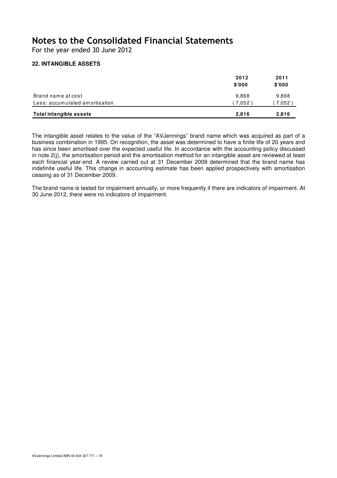For the year ended 30 June 2012

## **22. INTANGIBLE ASSETS**

| Total intangible assets        | 2,816          | 2,816          |
|--------------------------------|----------------|----------------|
| Less: accumulated amortisation | 7,052          | 7,052          |
| Brand name at cost             | 9,868          | 9,868          |
|                                | 2012<br>\$'000 | 2011<br>\$'000 |

The intangible asset relates to the value of the "AVJennings" brand name which was acquired as part of a business combination in 1995. On recognition, the asset was determined to have a finite life of 20 years and has since been amortised over the expected useful life. In accordance with the accounting policy discussed in note 2(j), the amortisation period and the amortisation method for an intangible asset are reviewed at least each financial year-end. A review carried out at 31 December 2009 determined that the brand name has indefinite useful life. This change in accounting estimate has been applied prospectively with amortisation ceasing as of 31 December 2009.

The brand name is tested for impairment annually, or more frequently if there are indicators of impairment. At 30 June 2012, there were no indicators of impairment.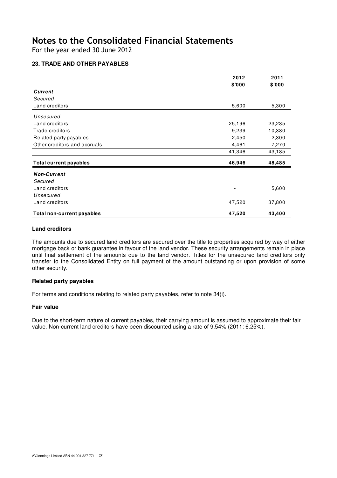For the year ended 30 June 2012

# **23. TRADE AND OTHER PAYABLES**

|                                   | 2012                     | 2011   |
|-----------------------------------|--------------------------|--------|
|                                   | \$'000                   | \$'000 |
| Current                           |                          |        |
| Secured                           |                          |        |
| Land creditors                    | 5,600                    | 5,300  |
| Unsecured                         |                          |        |
| Land creditors                    | 25,196                   | 23,235 |
| Trade creditors                   | 9,239                    | 10,380 |
| Related party payables            | 2,450                    | 2,300  |
| Other creditors and accruals      | 4,461                    | 7,270  |
|                                   | 41,346                   | 43,185 |
| <b>Total current payables</b>     | 46,946                   | 48,485 |
| <b>Non-Current</b>                |                          |        |
| Secured                           |                          |        |
| Land creditors                    | $\overline{\phantom{0}}$ | 5,600  |
| Unsecured                         |                          |        |
| Land creditors                    | 47,520                   | 37,800 |
| <b>Total non-current payables</b> | 47,520                   | 43,400 |

#### **Land creditors**

The amounts due to secured land creditors are secured over the title to properties acquired by way of either mortgage back or bank guarantee in favour of the land vendor. These security arrangements remain in place until final settlement of the amounts due to the land vendor. Titles for the unsecured land creditors only transfer to the Consolidated Entity on full payment of the amount outstanding or upon provision of some other security.

### **Related party payables**

For terms and conditions relating to related party payables, refer to note 34(i).

#### **Fair value**

Due to the short-term nature of current payables, their carrying amount is assumed to approximate their fair value. Non-current land creditors have been discounted using a rate of 9.54% (2011: 6.25%).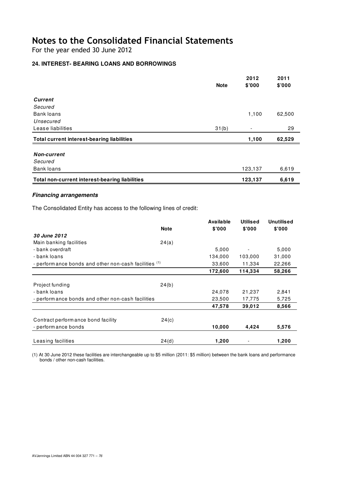For the year ended 30 June 2012

# **24. INTEREST- BEARING LOANS AND BORROWINGS**

|                                                   |             | 2012    | 2011   |
|---------------------------------------------------|-------------|---------|--------|
|                                                   | <b>Note</b> | \$'000  | \$'000 |
| <b>Current</b>                                    |             |         |        |
| Secured                                           |             |         |        |
| <b>Bank loans</b>                                 |             | 1,100   | 62,500 |
| Unsecured                                         |             |         |        |
| Lease liabilities                                 | 31(b)       |         | 29     |
| <b>Total current interest-bearing liabilities</b> |             | 1,100   | 62,529 |
|                                                   |             |         |        |
| <b>Non-current</b>                                |             |         |        |
| Secured                                           |             |         |        |
| Bank loans                                        |             | 123,137 | 6,619  |
| Total non-current interest-bearing liabilities    |             | 123,137 | 6,619  |

#### **Financing arrangements**

The Consolidated Entity has access to the following lines of credit:

|                                                                   | <b>Note</b> | Available<br>\$'000 | <b>Utilised</b><br>\$'000 | <b>Unutilised</b><br>\$'000 |
|-------------------------------------------------------------------|-------------|---------------------|---------------------------|-----------------------------|
| 30 June 2012                                                      |             |                     |                           |                             |
| Main banking facilities                                           | 24(a)       |                     |                           |                             |
| - bank overdraft                                                  |             | 5,000               |                           | 5,000                       |
| - bank loans                                                      |             | 134,000             | 103,000                   | 31,000                      |
| - perform ance bonds and other non-cash facilities <sup>(1)</sup> |             | 33,600              | 11,334                    | 22,266                      |
|                                                                   |             | 172,600             | 114,334                   | 58,266                      |
|                                                                   |             |                     |                           |                             |
| Project funding                                                   | 24(b)       |                     |                           |                             |
| - bank loans                                                      |             | 24,078              | 21,237                    | 2,841                       |
| - performance bonds and other non-cash facilities                 |             | 23,500              | 17,775                    | 5,725                       |
|                                                                   |             | 47,578              | 39,012                    | 8,566                       |
|                                                                   |             |                     |                           |                             |
| Contract perform ance bond facility                               | 24(c)       |                     |                           |                             |
| - perform ance bonds                                              |             | 10,000              | 4,424                     | 5,576                       |
|                                                                   |             |                     |                           |                             |
| Leasing facilities                                                | 24(d)       | 1,200               |                           | 1,200                       |

(1) At 30 June 2012 these facilities are interchangeable up to \$5 million (2011: \$5 million) between the bank loans and performance bonds / other non-cash facilities.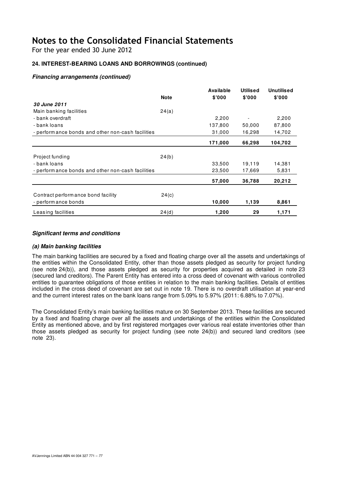For the year ended 30 June 2012

# **24. INTEREST-BEARING LOANS AND BORROWINGS (continued)**

## **Financing arrangements (continued)**

|                                                    |             | Available | <b>Utilised</b> | <b>Unutilised</b> |
|----------------------------------------------------|-------------|-----------|-----------------|-------------------|
|                                                    | <b>Note</b> | \$'000    | \$'000          | \$'000            |
| 30 June 2011                                       |             |           |                 |                   |
| Main banking facilities                            | 24(a)       |           |                 |                   |
| - bank overdraft                                   |             | 2,200     |                 | 2,200             |
| - bank loans                                       |             | 137,800   | 50,000          | 87,800            |
| - perform ance bonds and other non-cash facilities |             | 31,000    | 16,298          | 14,702            |
|                                                    |             | 171,000   | 66,298          | 104,702           |
|                                                    |             |           |                 |                   |
| Project funding                                    | 24(b)       |           |                 |                   |
| - bank loans                                       |             | 33,500    | 19,119          | 14,381            |
| - performance bonds and other non-cash facilities  |             | 23,500    | 17,669          | 5,831             |
|                                                    |             | 57,000    | 36,788          | 20,212            |
| Contract perform ance bond facility                | 24(c)       |           |                 |                   |
| - perform ance bonds                               |             | 10,000    | 1,139           | 8,861             |
| Leasing facilities                                 | 24(d)       | 1,200     | 29              | 1,171             |

### **Significant terms and conditions**

### **(a) Main banking facilities**

The main banking facilities are secured by a fixed and floating charge over all the assets and undertakings of the entities within the Consolidated Entity, other than those assets pledged as security for project funding (see note 24(b)), and those assets pledged as security for properties acquired as detailed in note 23 (secured land creditors). The Parent Entity has entered into a cross deed of covenant with various controlled entities to guarantee obligations of those entities in relation to the main banking facilities. Details of entities included in the cross deed of covenant are set out in note 19. There is no overdraft utilisation at year-end and the current interest rates on the bank loans range from 5.09% to 5.97% (2011: 6.88% to 7.07%).

The Consolidated Entity's main banking facilities mature on 30 September 2013. These facilities are secured by a fixed and floating charge over all the assets and undertakings of the entities within the Consolidated Entity as mentioned above, and by first registered mortgages over various real estate inventories other than those assets pledged as security for project funding (see note 24(b)) and secured land creditors (see note 23).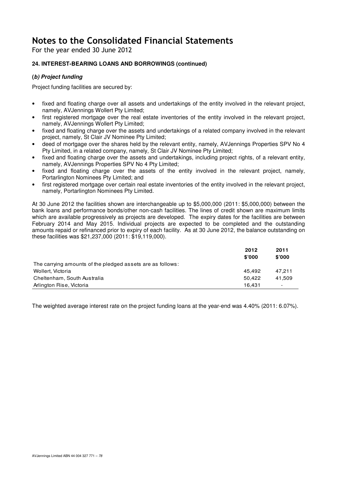For the year ended 30 June 2012

## **24. INTEREST-BEARING LOANS AND BORROWINGS (continued)**

## **(b) Project funding**

Project funding facilities are secured by:

- fixed and floating charge over all assets and undertakings of the entity involved in the relevant project, namely, AVJennings Wollert Pty Limited;
- first registered mortgage over the real estate inventories of the entity involved in the relevant project, namely, AVJennings Wollert Pty Limited;
- fixed and floating charge over the assets and undertakings of a related company involved in the relevant project, namely, St Clair JV Nominee Pty Limited;
- deed of mortgage over the shares held by the relevant entity, namely, AVJennings Properties SPV No 4 Pty Limited, in a related company, namely, St Clair JV Nominee Pty Limited;
- fixed and floating charge over the assets and undertakings, including project rights, of a relevant entity, namely, AVJennings Properties SPV No 4 Pty Limited;
- fixed and floating charge over the assets of the entity involved in the relevant project, namely, Portarlington Nominees Pty Limited; and
- first registered mortgage over certain real estate inventories of the entity involved in the relevant project, namely, Portarlington Nominees Pty Limited.

At 30 June 2012 the facilities shown are interchangeable up to \$5,000,000 (2011: \$5,000,000) between the bank loans and performance bonds/other non-cash facilities. The lines of credit shown are maximum limits which are available progressively as projects are developed. The expiry dates for the facilities are between February 2014 and May 2015. Individual projects are expected to be completed and the outstanding amounts repaid or refinanced prior to expiry of each facility. As at 30 June 2012, the balance outstanding on these facilities was \$21,237,000 (2011: \$19,119,000).

|                                                            | 2012   | 2011                     |
|------------------------------------------------------------|--------|--------------------------|
|                                                            | \$'000 | \$'000                   |
| The carrying amounts of the pledged assets are as follows: |        |                          |
| Wollert, Victoria                                          | 45.492 | 47.211                   |
| Cheltenham, South Australia                                | 50.422 | 41.509                   |
| Arlington Rise, Victoria                                   | 16.431 | $\overline{\phantom{0}}$ |

The weighted average interest rate on the project funding loans at the year-end was 4.40% (2011: 6.07%).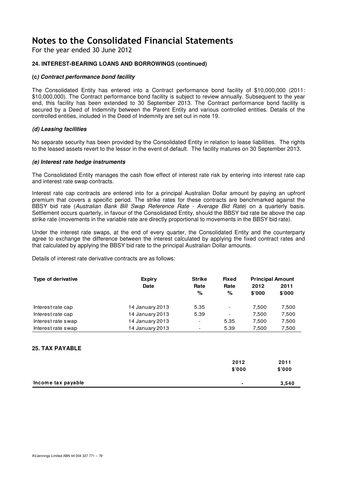For the year ended 30 June 2012

### **24. INTEREST-BEARING LOANS AND BORROWINGS (continued)**

#### **(c) Contract performance bond facility**

The Consolidated Entity has entered into a Contract performance bond facility of \$10,000,000 (2011: \$10,000,000). The Contract performance bond facility is subject to review annually. Subsequent to the year end, this facility has been extended to 30 September 2013. The Contract performance bond facility is secured by a Deed of Indemnity between the Parent Entity and various controlled entities. Details of the controlled entities, included in the Deed of Indemnity are set out in note 19.

#### **(d) Leasing facilities**

No separate security has been provided by the Consolidated Entity in relation to lease liabilities. The rights to the leased assets revert to the lessor in the event of default. The facility matures on 30 September 2013.

#### **(e) Interest rate hedge instruments**

The Consolidated Entity manages the cash flow effect of interest rate risk by entering into interest rate cap and interest rate swap contracts.

Interest rate cap contracts are entered into for a principal Australian Dollar amount by paying an upfront premium that covers a specific period. The strike rates for these contracts are benchmarked against the BBSY bid rate (Australian Bank Bill Swap Reference Rate - Average Bid Rate) on a quarterly basis. Settlement occurs quarterly, in favour of the Consolidated Entity, should the BBSY bid rate be above the cap strike rate (movements in the variable rate are directly proportional to movements in the BBSY bid rate).

Under the interest rate swaps, at the end of every quarter, the Consolidated Entity and the counterparty agree to exchange the difference between the interest calculated by applying the fixed contract rates and that calculated by applying the BBSY bid rate to the principal Australian Dollar amounts.

Details of interest rate derivative contracts are as follows:

| <b>Type of derivative</b> | <b>Expiry</b>   | <b>Strike</b>            | <b>Fixed</b> | <b>Principal Amount</b> |        |
|---------------------------|-----------------|--------------------------|--------------|-------------------------|--------|
|                           | Date            | Rate                     | Rate         | 2012                    | 2011   |
|                           |                 | %                        | %            | \$'000                  | \$'000 |
| Interest rate cap         | 14 January 2013 | 5.35                     |              | 7,500                   | 7,500  |
| Interest rate cap         | 14 January 2013 | 5.39                     |              | 7,500                   | 7,500  |
| Interest rate swap        | 14 January 2013 | $\overline{\phantom{a}}$ | 5.35         | 7,500                   | 7,500  |
| Interest rate swap        | 14 January 2013 | $\overline{\phantom{a}}$ | 5.39         | 7,500                   | 7,500  |
| <b>25. TAX PAYABLE</b>    |                 |                          | 2012         |                         | 2011   |
|                           |                 |                          | \$'000       |                         | \$'000 |

| Income tax payable | 3.540 |
|--------------------|-------|
|--------------------|-------|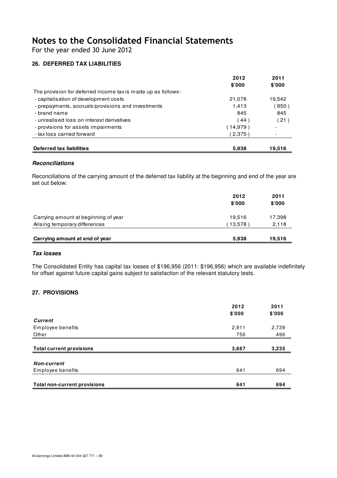For the year ended 30 June 2012

## **26. DEFERRED TAX LIABILITIES**

|                                                              | 2012     | 2011                     |
|--------------------------------------------------------------|----------|--------------------------|
| The provision for deferred income tax is made up as follows: | \$7000   | \$7000                   |
| - capitalisation of development costs                        | 21,078   | 19,542                   |
| - prepayments, accruals/provisions and investments           | 1,413    | (850)                    |
| - brand name                                                 | 845      | 845                      |
| - unrealised loss on interest derivatives                    | (44)     | (21)                     |
| - provisions for assets impairments                          | (14.979) |                          |
| - tax loss carried forward                                   | (2,375)  | $\overline{\phantom{a}}$ |
|                                                              |          |                          |
| Deferred tax liabilities                                     | 5,938    | 19.516                   |

#### **Reconciliations**

Reconciliations of the carrying amount of the deferred tax liability at the beginning and end of the year are set out below:

|                                      | 2012<br>\$'000 | 2011<br>\$'000 |
|--------------------------------------|----------------|----------------|
| Carrying amount at beginning of year | 19.516         | 17,398         |
| Arising temporary differences        | 〔13,578〕       | 2,118          |
| Carrying amount at end of year       | 5,938          | 19,516         |

#### **Tax losses**

The Consolidated Entity has capital tax losses of \$196,956 (2011: \$196,956) which are available indefinitely for offset against future capital gains subject to satisfaction of the relevant statutory tests.

### **27. PROVISIONS**

|                                     | 2012   | 2011   |  |
|-------------------------------------|--------|--------|--|
|                                     | \$7000 | \$7000 |  |
| <b>Current</b>                      |        |        |  |
| Employee benefits                   | 2,911  | 2,739  |  |
| Other                               | 756    | 496    |  |
|                                     |        |        |  |
| <b>Total current provisions</b>     | 3,667  | 3,235  |  |
| <b>Non-current</b>                  |        |        |  |
| Employee benefits                   | 641    | 694    |  |
|                                     |        |        |  |
| <b>Total non-current provisions</b> | 641    | 694    |  |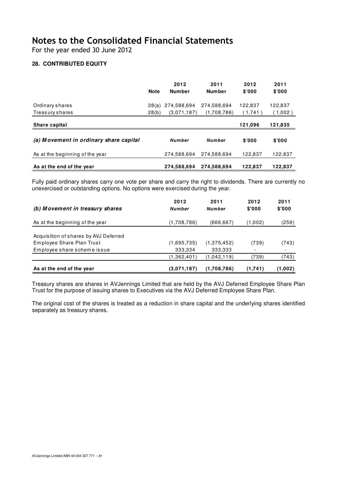For the year ended 30 June 2012

# **28. CONTRIBUTED EQUITY**

|                                        | <b>Note</b> | 2012<br><b>Number</b> | 2011<br><b>Number</b> | 2012<br>\$'000 | 2011<br>\$'000 |
|----------------------------------------|-------------|-----------------------|-----------------------|----------------|----------------|
| Ordinary shares                        | 28(a)       | 274,588,694           | 274,588,694           | 122,837        | 122,837        |
| Treasury shares                        | 28(b)       | (3,071,187)           | (1,708,786)           | (1,741)        | (1,002)        |
| Share capital                          |             |                       |                       | 121,096        | 121,835        |
| (a) Movement in ordinary share capital |             | <b>Number</b>         | <b>Number</b>         | \$'000         | \$7000         |
| As at the beginning of the year        |             | 274,588,694           | 274.588.694           | 122,837        | 122,837        |
| As at the end of the year              |             | 274,588,694           | 274,588,694           | 122,837        | 122,837        |

Fully paid ordinary shares carry one vote per share and carry the right to dividends. There are currently no unexercised or outstanding options. No options were exercised during the year.

| (b) Movement in treasury shares       | 2012<br><b>Number</b> | 2011<br><b>Number</b> | 2012<br>\$'000 | 2011<br>\$'000 |
|---------------------------------------|-----------------------|-----------------------|----------------|----------------|
| As at the beginning of the year       | (1,708,786)           | (666,667)             | (1,002)        | (259)          |
| Acquisition of shares by AVJ Deferred |                       |                       |                |                |
| Employee Share Plan Trust             | (1,695,735)           | (1,375,452)           | (739)          | (743)          |
| Employee share scheme issue           | 333,334               | 333,333               |                |                |
|                                       | (1,362,401)           | (1,042,119)           | (739)          | (743)          |
| As at the end of the year             | (3,071,187)           | (1,708,786)           | (1,741)        | (1,002)        |

Treasury shares are shares in AVJennings Limited that are held by the AVJ Deferred Employee Share Plan Trust for the purpose of issuing shares to Executives via the AVJ Deferred Employee Share Plan.

The original cost of the shares is treated as a reduction in share capital and the underlying shares identified separately as treasury shares.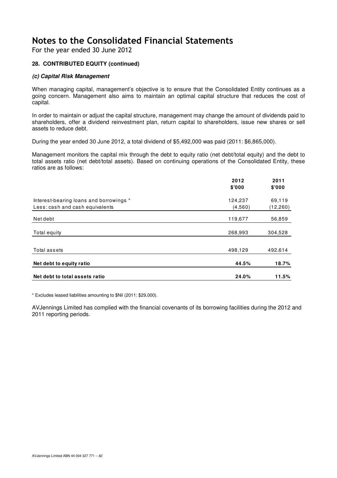For the year ended 30 June 2012

## **28. CONTRIBUTED EQUITY (continued)**

#### **(c) Capital Risk Management**

When managing capital, management's objective is to ensure that the Consolidated Entity continues as a going concern. Management also aims to maintain an optimal capital structure that reduces the cost of capital.

In order to maintain or adjust the capital structure, management may change the amount of dividends paid to shareholders, offer a dividend reinvestment plan, return capital to shareholders, issue new shares or sell assets to reduce debt.

During the year ended 30 June 2012, a total dividend of \$5,492,000 was paid (2011: \$6,865,000).

Management monitors the capital mix through the debt to equity ratio (net debt/total equity) and the debt to total assets ratio (net debt/total assets). Based on continuing operations of the Consolidated Entity, these ratios are as follows:

|                                         | 2012    | 2011      |  |
|-----------------------------------------|---------|-----------|--|
|                                         | \$'000  | \$'000    |  |
| Interest-bearing loans and borrowings * | 124,237 | 69,119    |  |
| Less: cash and cash equivalents         | (4,560) | (12, 260) |  |
| Net debt                                | 119,677 | 56,859    |  |
| Total equity                            | 268,993 | 304,528   |  |
|                                         |         |           |  |
| Total assets                            | 498,129 | 492,614   |  |
| Net debt to equity ratio                | 44.5%   | 18.7%     |  |
| Net debt to total assets ratio          | 24.0%   | 11.5%     |  |

\* Excludes leased liabilities amounting to \$Nil (2011: \$29,000).

AVJennings Limited has complied with the financial covenants of its borrowing facilities during the 2012 and 2011 reporting periods.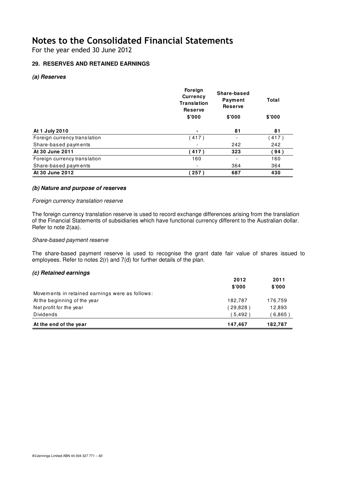For the year ended 30 June 2012

## **29. RESERVES AND RETAINED EARNINGS**

#### **(a) Reserves**

|                              | Foreign<br><b>Currency</b><br><b>Translation</b><br><b>Reserve</b> | Share-based<br>Payment<br><b>Reserve</b> | Total  |
|------------------------------|--------------------------------------------------------------------|------------------------------------------|--------|
|                              | \$'000                                                             | \$'000                                   | \$'000 |
| At 1 July 2010               | ٠                                                                  | 81                                       | 81     |
| Foreign currency translation | 417)                                                               |                                          | 417)   |
| Share-based payments         |                                                                    | 242                                      | 242    |
| At 30 June 2011              | 417)                                                               | 323                                      | 94)    |
| Foreign currency translation | 160                                                                |                                          | 160    |
| Share-based payments         |                                                                    | 364                                      | 364    |
| At 30 June 2012              | 257                                                                | 687                                      | 430    |

#### **(b) Nature and purpose of reserves**

#### Foreign currency translation reserve

The foreign currency translation reserve is used to record exchange differences arising from the translation of the Financial Statements of subsidiaries which have functional currency different to the Australian dollar. Refer to note 2(aa).

#### Share-based payment reserve

The share-based payment reserve is used to recognise the grant date fair value of shares issued to employees. Refer to notes 2(r) and 7(d) for further details of the plan.

### **(c) Retained earnings**

|                                                 | 2012     | 2011    |
|-------------------------------------------------|----------|---------|
|                                                 | \$'000   | \$'000  |
| Movements in retained earnings were as follows: |          |         |
| At the beginning of the year                    | 182.787  | 176,759 |
| Net profit for the year                         | (29,828) | 12,893  |
| Dividends                                       | (5.492)  | 6,865   |
| At the end of the year                          | 147.467  | 182,787 |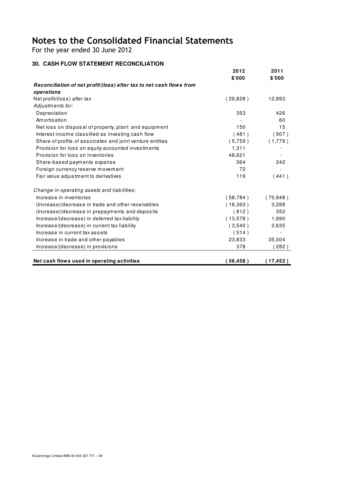For the year ended 30 June 2012

# **30. CASH FLOW STATEMENT RECONCILIATION**

|                                                                      | 2012<br>\$'000 | 2011<br>\$'000 |
|----------------------------------------------------------------------|----------------|----------------|
| Reconciliation of net profit/(loss) after tax to net cash flows from |                |                |
| operations                                                           |                |                |
| Net profit/(loss) after tax                                          | (29,828)       | 12,893         |
| Adjustments for:                                                     |                |                |
| Depreciation                                                         | 353            | 426            |
| Amortisation                                                         |                | 60             |
| Net loss on disposal of property, plant and equipment                | 150            | 15             |
| Interest income classified as investing cash flow                    | (481)          | (907)          |
| Share of profits of associates and joint venture entities            | (5,759)        | (1,779)        |
| Provision for loss on equity accounted investments                   | 1,311          |                |
| Provision for loss on inventories                                    | 48,621         |                |
| Share-based payments expense                                         | 364            | 242            |
| Foreign currency reserve movement                                    | 72             |                |
| Fair value adjustment to derivatives                                 | 119            | (441)          |
| Change in operating assets and liabilities:                          |                |                |
| Increase in inventories                                              | (58, 784)      | (70, 948)      |
| (Increase)/decrease in trade and other receivables                   | (18, 363)      | 3,288          |
| (Increase)/decrease in prepayments and deposits                      | (812)          | 352            |
| Increase/(decrease) in deferred tax liability                        | (13,578)       | 1,990          |
| Increase/(decrease) in current tax liability                         | (3,540)        | 2,635          |
| Increase in current tax assets                                       | (514)          |                |
| Increase in trade and other payables                                 | 23,833         | 35,004         |
| Increase/(decrease) in provisions                                    | 378            | 282)           |
| Net cash flows used in operating activities                          | (56, 458)      | (17, 452)      |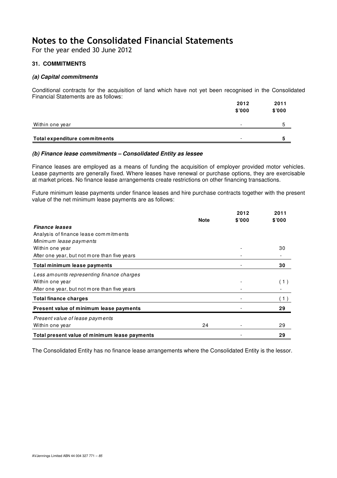For the year ended 30 June 2012

### **31. COMMITMENTS**

#### **(a) Capital commitments**

Conditional contracts for the acquisition of land which have not yet been recognised in the Consolidated Financial Statements are as follows:

|                               | 2012                     | 2011   |
|-------------------------------|--------------------------|--------|
|                               | \$'000                   | \$7000 |
|                               |                          |        |
| Within one year               | $\overline{\phantom{0}}$ | 5      |
|                               |                          |        |
| Total expenditure commitments | $\overline{\phantom{0}}$ | 5      |

#### **(b) Finance lease commitments – Consolidated Entity as lessee**

Finance leases are employed as a means of funding the acquisition of employer provided motor vehicles. Lease payments are generally fixed. Where leases have renewal or purchase options, they are exercisable at market prices. No finance lease arrangements create restrictions on other financing transactions.

Future minimum lease payments under finance leases and hire purchase contracts together with the present value of the net minimum lease payments are as follows:

|                                               |             | 2012   | 2011   |
|-----------------------------------------------|-------------|--------|--------|
|                                               | <b>Note</b> | \$7000 | \$'000 |
| <b>Finance leases</b>                         |             |        |        |
| Analysis of finance lease commitments         |             |        |        |
| Minimum lease payments                        |             |        |        |
| Within one year                               |             |        | 30     |
| After one year, but not more than five years  |             |        |        |
| Total minimum lease payments                  |             |        | 30     |
| Less amounts representing finance charges     |             |        |        |
| Within one year                               |             |        | 1)     |
| After one year, but not more than five years  |             |        |        |
| <b>Total finance charges</b>                  |             |        | (1     |
| Present value of minimum lease payments       |             |        | 29     |
| Present value of lease payments               |             |        |        |
| Within one year                               | 24          |        | 29     |
| Total present value of minimum lease payments |             |        | 29     |

The Consolidated Entity has no finance lease arrangements where the Consolidated Entity is the lessor.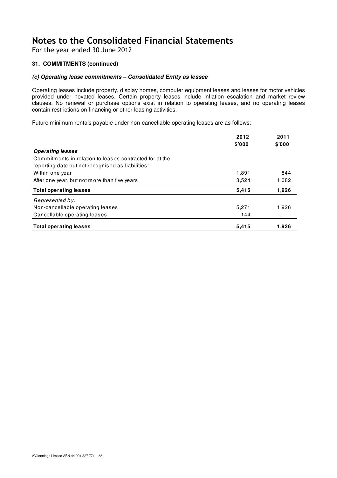For the year ended 30 June 2012

## **31. COMMITMENTS (continued)**

#### **(c) Operating lease commitments – Consolidated Entity as lessee**

Operating leases include property, display homes, computer equipment leases and leases for motor vehicles provided under novated leases. Certain property leases include inflation escalation and market review clauses. No renewal or purchase options exist in relation to operating leases, and no operating leases contain restrictions on financing or other leasing activities.

Future minimum rentals payable under non-cancellable operating leases are as follows:

| <b>Operating leases</b>                                                                                      | 2012<br>\$'000 | 2011<br>\$'000 |
|--------------------------------------------------------------------------------------------------------------|----------------|----------------|
| Commitments in relation to leases contracted for at the<br>reporting date but not recognised as liabilities: |                |                |
| Within one year                                                                                              | 1,891          | 844            |
| After one year, but not more than five years                                                                 | 3,524          | 1,082          |
| <b>Total operating leases</b>                                                                                | 5,415          | 1,926          |
| Represented by:                                                                                              |                |                |
| Non-cancellable operating leases                                                                             | 5,271          | 1,926          |
| Cancellable operating leases                                                                                 | 144            |                |
| <b>Total operating leases</b>                                                                                | 5,415          | 1.926          |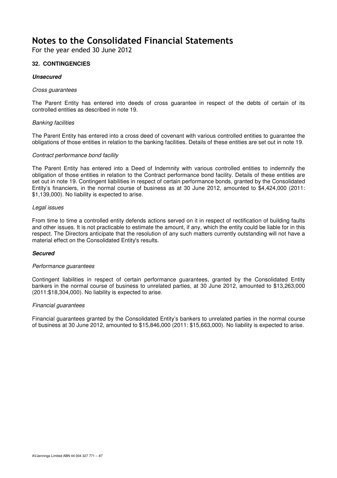For the year ended 30 June 2012

## **32. CONTINGENCIES**

#### **Unsecured**

#### Cross guarantees

The Parent Entity has entered into deeds of cross guarantee in respect of the debts of certain of its controlled entities as described in note 19.

#### Banking facilities

The Parent Entity has entered into a cross deed of covenant with various controlled entities to guarantee the obligations of those entities in relation to the banking facilities. Details of these entities are set out in note 19.

#### Contract performance bond facility

The Parent Entity has entered into a Deed of Indemnity with various controlled entities to indemnify the obligation of those entities in relation to the Contract performance bond facility. Details of these entities are set out in note 19. Contingent liabilities in respect of certain performance bonds, granted by the Consolidated Entity's financiers, in the normal course of business as at 30 June 2012, amounted to \$4,424,000 (2011: \$1,139,000). No liability is expected to arise.

#### Legal issues

From time to time a controlled entity defends actions served on it in respect of rectification of building faults and other issues. It is not practicable to estimate the amount, if any, which the entity could be liable for in this respect. The Directors anticipate that the resolution of any such matters currently outstanding will not have a material effect on the Consolidated Entity's results.

### **Secured**

#### Performance quarantees

Contingent liabilities in respect of certain performance guarantees, granted by the Consolidated Entity bankers in the normal course of business to unrelated parties, at 30 June 2012, amounted to \$13,263,000 (2011:\$18,304,000). No liability is expected to arise.

#### Financial guarantees

Financial guarantees granted by the Consolidated Entity's bankers to unrelated parties in the normal course of business at 30 June 2012, amounted to \$15,846,000 (2011: \$15,663,000). No liability is expected to arise.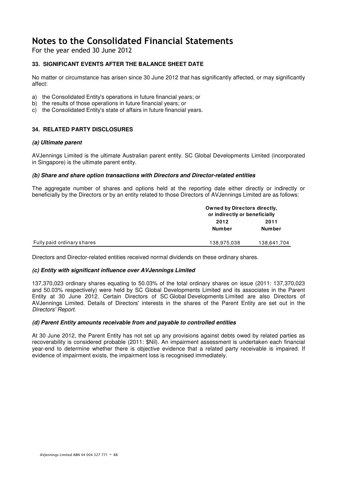For the year ended 30 June 2012

# **33. SIGNIFICANT EVENTS AFTER THE BALANCE SHEET DATE**

No matter or circumstance has arisen since 30 June 2012 that has significantly affected, or may significantly affect:

- a) the Consolidated Entity's operations in future financial years; or
- b) the results of those operations in future financial years; or
- c) the Consolidated Entity's state of affairs in future financial years.

### **34. RELATED PARTY DISCLOSURES**

### **(a) Ultimate parent**

AVJennings Limited is the ultimate Australian parent entity. SC Global Developments Limited (incorporated in Singapore) is the ultimate parent entity.

#### **(b) Share and share option transactions with Directors and Director-related entities**

The aggregate number of shares and options held at the reporting date either directly or indirectly or beneficially by the Directors or by an entity related to those Directors of AVJennings Limited are as follows:

|                            | <b>Owned by Directors directly,</b><br>or indirectly or beneficially |             |
|----------------------------|----------------------------------------------------------------------|-------------|
|                            | 2012                                                                 | 2011        |
|                            | Number                                                               | Number      |
| Fully paid ordinary shares | 138,975,038                                                          | 138,641,704 |

Directors and Director-related entities received normal dividends on these ordinary shares.

### **(c) Entity with significant influence over AVJennings Limited**

137,370,023 ordinary shares equating to 50.03% of the total ordinary shares on issue (2011: 137,370,023 and 50.03% respectively) were held by SC Global Developments Limited and its associates in the Parent Entity at 30 June 2012. Certain Directors of SC Global Developments Limited are also Directors of AVJennings Limited. Details of Directors' interests in the shares of the Parent Entity are set out in the Directors' Report.

### **(d) Parent Entity amounts receivable from and payable to controlled entities**

At 30 June 2012, the Parent Entity has not set up any provisions against debts owed by related parties as recoverability is considered probable (2011: \$Nil). An impairment assessment is undertaken each financial year-end to determine whether there is objective evidence that a related party receivable is impaired. If evidence of impairment exists, the impairment loss is recognised immediately.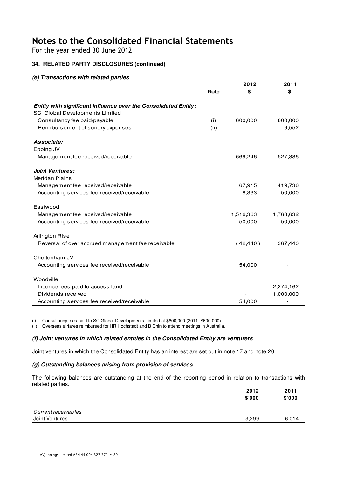For the year ended 30 June 2012

# **34. RELATED PARTY DISCLOSURES (continued)**

## **(e) Transactions with related parties**

|                                                                 | <b>Note</b> | 2012<br>\$ | 2011<br>\$ |
|-----------------------------------------------------------------|-------------|------------|------------|
| Entity with significant influence over the Consolidated Entity: |             |            |            |
| SC Global Developments Limited                                  |             |            |            |
| Consultancy fee paid/payable                                    | (i)         | 600,000    | 600,000    |
| Reimbursement of sundry expenses                                | (ii)        |            | 9,552      |
| Associate:                                                      |             |            |            |
| Epping JV                                                       |             |            |            |
| Management fee received/receivable                              |             | 669,246    | 527,386    |
| <b>Joint Ventures:</b>                                          |             |            |            |
| <b>Meridan Plains</b>                                           |             |            |            |
| Management fee received/receivable                              |             | 67,915     | 419,736    |
| Accounting services fee received/receivable                     |             | 8,333      | 50,000     |
| Eastwood                                                        |             |            |            |
| Management fee received/receivable                              |             | 1,516,363  | 1,768,632  |
| Accounting services fee received/receivable                     |             | 50,000     | 50,000     |
| Arlington Rise                                                  |             |            |            |
| Reversal of over accrued management fee receivable              |             | (42, 440)  | 367,440    |
| Cheltenham JV                                                   |             |            |            |
| Accounting services fee received/receivable                     |             | 54,000     |            |
| Woodville                                                       |             |            |            |
| Licence fees paid to access land                                |             |            | 2,274,162  |
| Dividends received                                              |             |            | 1,000,000  |
| Accounting services fee received/receivable                     |             | 54,000     |            |

(i) Consultancy fees paid to SC Global Developments Limited of \$600,000 (2011: \$600,000).

(ii) Overseas airfares reimbursed for HR Hochstadt and B Chin to attend meetings in Australia.

### **(f) Joint ventures in which related entities in the Consolidated Entity are venturers**

Joint ventures in which the Consolidated Entity has an interest are set out in note 17 and note 20.

### **(g) Outstanding balances arising from provision of services**

The following balances are outstanding at the end of the reporting period in relation to transactions with related parties.

|                                       | 2012<br>\$7000 | 2011<br>\$'000 |
|---------------------------------------|----------------|----------------|
| Current receivables<br>Joint Ventures | 3,299          | 6,014          |
|                                       |                |                |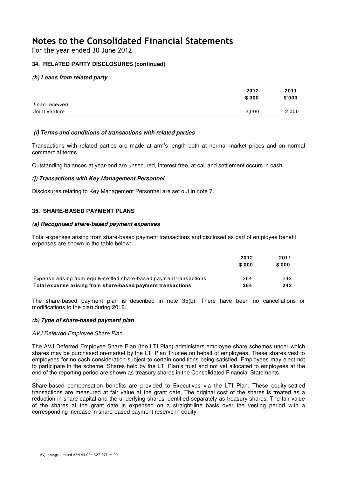For the year ended 30 June 2012

## **34. RELATED PARTY DISCLOSURES (continued)**

#### **(h) Loans from related party**

|               | 2012<br>\$7000 | 2011<br>\$'000 |
|---------------|----------------|----------------|
| Loan received |                |                |
| Joint Venture | 2,000          | 2,000          |

#### **(i) Terms and conditions of transactions with related parties**

Transactions with related parties are made at arm's length both at normal market prices and on normal commercial terms.

Outstanding balances at year-end are unsecured, interest free, at call and settlement occurs in cash.

#### **(j) Transactions with Key Management Personnel**

Disclosures relating to Key Management Personnel are set out in note 7.

### **35. SHARE-BASED PAYMENT PLANS**

#### **(a) Recognised share-based payment expenses**

Total expenses arising from share-based payment transactions and disclosed as part of employee benefit expenses are shown in the table below:

|                                                                      | 2012<br>\$'000 | 2011<br>\$000 |
|----------------------------------------------------------------------|----------------|---------------|
| Expense arising from equity-settled share-based payment transactions | 364            | 242           |
| Total expense arising from share-based payment transactions          | 364            | 242           |

The share-based payment plan is described in note 35(b). There have been no cancellations or modifications to the plan during 2012.

#### **(b) Type of share-based payment plan**

#### AVJ Deferred Employee Share Plan

The AVJ Deferred Employee Share Plan (the LTI Plan) administers employee share schemes under which shares may be purchased on-market by the LTI Plan Trustee on behalf of employees. These shares vest to employees for no cash consideration subject to certain conditions being satisfied. Employees may elect not to participate in the scheme. Shares held by the LTI Plan's trust and not yet allocated to employees at the end of the reporting period are shown as treasury shares in the Consolidated Financial Statements.

Share-based compensation benefits are provided to Executives via the LTI Plan. These equity-settled transactions are measured at fair value at the grant date. The original cost of the shares is treated as a reduction in share capital and the underlying shares identified separately as treasury shares. The fair value of the shares at the grant date is expensed on a straight-line basis over the vesting period with a corresponding increase in share-based payment reserve in equity.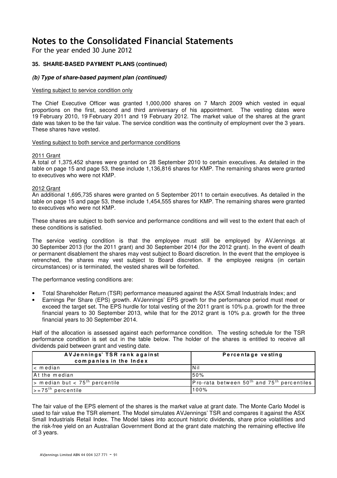For the year ended 30 June 2012

### **35. SHARE-BASED PAYMENT PLANS (continued)**

### **(b) Type of share-based payment plan (continued)**

#### Vesting subject to service condition only

The Chief Executive Officer was granted 1,000,000 shares on 7 March 2009 which vested in equal proportions on the first, second and third anniversary of his appointment. The vesting dates were 19 February 2010, 19 February 2011 and 19 February 2012. The market value of the shares at the grant date was taken to be the fair value. The service condition was the continuity of employment over the 3 years. These shares have vested.

#### Vesting subject to both service and performance conditions

#### 2011 Grant

A total of 1,375,452 shares were granted on 28 September 2010 to certain executives. As detailed in the table on page 15 and page 53, these include 1,136,816 shares for KMP. The remaining shares were granted to executives who were not KMP.

#### 2012 Grant

An additional 1,695,735 shares were granted on 5 September 2011 to certain executives. As detailed in the table on page 15 and page 53, these include 1,454,555 shares for KMP. The remaining shares were granted to executives who were not KMP.

These shares are subject to both service and performance conditions and will vest to the extent that each of these conditions is satisfied.

The service vesting condition is that the employee must still be employed by AVJennings at 30 September 2013 (for the 2011 grant) and 30 September 2014 (for the 2012 grant). In the event of death or permanent disablement the shares may vest subject to Board discretion. In the event that the employee is retrenched, the shares may vest subject to Board discretion. If the employee resigns (in certain circumstances) or is terminated, the vested shares will be forfeited.

The performance vesting conditions are:

- Total Shareholder Return (TSR) performance measured against the ASX Small Industrials Index; and
- Earnings Per Share (EPS) growth. AVJennings' EPS growth for the performance period must meet or exceed the target set. The EPS hurdle for total vesting of the 2011 grant is 10% p.a. growth for the three financial years to 30 September 2013, while that for the 2012 grant is 10% p.a. growth for the three financial years to 30 September 2014.

Half of the allocation is assessed against each performance condition. The vesting schedule for the TSR performance condition is set out in the table below. The holder of the shares is entitled to receive all dividends paid between grant and vesting date.

| AV Jennings' TSR rank against<br>companies in the Index   | Percentage vesting                                   |
|-----------------------------------------------------------|------------------------------------------------------|
| l< median                                                 | <b>INil</b>                                          |
| At the median                                             | 50%                                                  |
| $\triangleright$ median but < 75 <sup>th</sup> percentile | Pro-rata between $50^{th}$ and $75^{th}$ percentiles |
| $\geq$ = 75 <sup>th</sup> percentile                      | 100%                                                 |

The fair value of the EPS element of the shares is the market value at grant date. The Monte Carlo Model is used to fair value the TSR element. The Model simulates AVJennings' TSR and compares it against the ASX Small Industrials Retail Index. The Model takes into account historic dividends, share price volatilities and the risk-free yield on an Australian Government Bond at the grant date matching the remaining effective life of 3 years.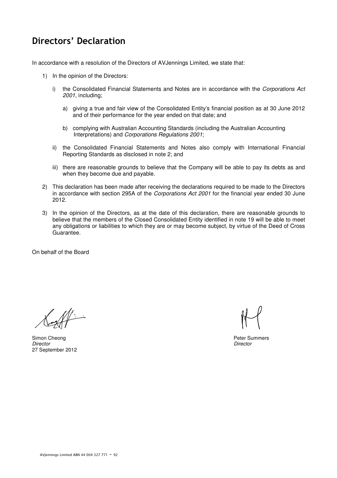# Directors' Declaration

In accordance with a resolution of the Directors of AVJennings Limited, we state that:

- 1) In the opinion of the Directors:
	- i) the Consolidated Financial Statements and Notes are in accordance with the Corporations Act 2001, including;
		- a) giving a true and fair view of the Consolidated Entity's financial position as at 30 June 2012 and of their performance for the year ended on that date; and
		- b) complying with Australian Accounting Standards (including the Australian Accounting Interpretations) and Corporations Regulations 2001;
	- ii) the Consolidated Financial Statements and Notes also comply with International Financial Reporting Standards as disclosed in note 2; and
	- iii) there are reasonable grounds to believe that the Company will be able to pay its debts as and when they become due and payable.
- 2) This declaration has been made after receiving the declarations required to be made to the Directors in accordance with section 295A of the Corporations Act 2001 for the financial year ended 30 June 2012.
- 3) In the opinion of the Directors, as at the date of this declaration, there are reasonable grounds to believe that the members of the Closed Consolidated Entity identified in note 19 will be able to meet any obligations or liabilities to which they are or may become subject, by virtue of the Deed of Cross Guarantee.

On behalf of the Board

Simon Cheong **Peter Summers**<br> **Simon Cheong** Peter Summers<br> **Director** Director Director 27 September 2012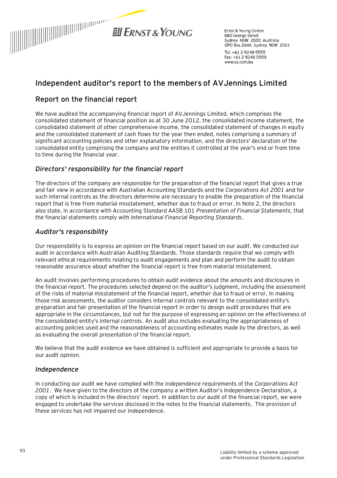

Frnst & Young Centre 680 George Street Sydney NSW 2000 Australia GPO Box 2646 Sydney NSW 2001 Tel: +61 2 9248 5555 Fax: +61 2 9248 5959 www.ev.com/au

# **Independent auditor's report to the members of AVJennings Limited**

# Report on the financial report

We have audited the accompanying financial report of AVJennings Limited, which comprises the consolidated statement of financial position as at 30 June 2012, the consolidated income statement, the consolidated statement of other comprehensive income, the consolidated statement of changes in equity and the consolidated statement of cash flows for the year then ended, notes comprising a summary of significant accounting policies and other explanatory information, and the directors' declaration of the consolidated entity comprising the company and the entities it controlled at the year's end or from time to time during the financial year.

# *Directors' responsibility for the financial report*

The directors of the company are responsible for the preparation of the financial report that gives a true and fair view in accordance with Australian Accounting Standards and the *Corporations Act 2001* and for such internal controls as the directors determine are necessary to enable the preparation of the financial report that is free from material misstatement, whether due to fraud or error. In Note 2, the directors also state, in accordance with Accounting Standard AASB 101 *Presentation of Financial Statements*, that the financial statements comply with *International Financial Reporting Standards*.

# *Auditor's responsibility*

Our responsibility is to express an opinion on the financial report based on our audit. We conducted our audit in accordance with Australian Auditing Standards. Those standards require that we comply with relevant ethical requirements relating to audit engagements and plan and perform the audit to obtain reasonable assurance about whether the financial report is free from material misstatement.

An audit involves performing procedures to obtain audit evidence about the amounts and disclosures in the financial report. The procedures selected depend on the auditor's judgment, including the assessment of the risks of material misstatement of the financial report, whether due to fraud or error. In making those risk assessments, the auditor considers internal controls relevant to the consolidated entity's preparation and fair presentation of the financial report in order to design audit procedures that are appropriate in the circumstances, but not for the purpose of expressing an opinion on the effectiveness of the consolidated entity's internal controls. An audit also includes evaluating the appropriateness of accounting policies used and the reasonableness of accounting estimates made by the directors, as well as evaluating the overall presentation of the financial report.

We believe that the audit evidence we have obtained is sufficient and appropriate to provide a basis for our audit opinion.

# *Independence*

In conducting our audit we have complied with the independence requirements of the *Corporations Act 2001*. We have given to the directors of the company a written Auditor's Independence Declaration, a copy of which is included in the directors' report. In addition to our audit of the financial report, we were engaged to undertake the services disclosed in the notes to the financial statements. The provision of these services has not impaired our independence.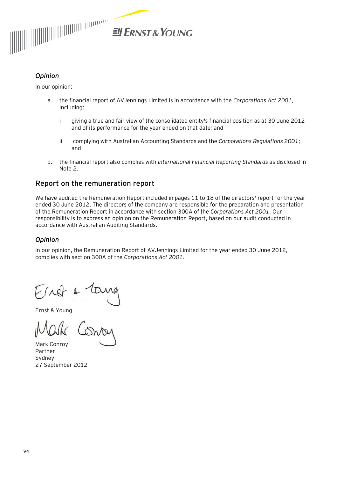

# *Opinion*

In our opinion:

- a. the financial report of AVJennings Limited is in accordance with the *Corporations Act 2001*, including:
	- i giving a true and fair view of the consolidated entity's financial position as at 30 June 2012 and of its performance for the year ended on that date; and
	- ii complying with Australian Accounting Standards and the *Corporations Regulations 2001*; and
- b. the financial report also complies with *International Financial Reporting Standards* as disclosed in Note 2.

# Report on the remuneration report

We have audited the Remuneration Report included in pages 11 to 18 of the directors' report for the year ended 30 June 2012. The directors of the company are responsible for the preparation and presentation of the Remuneration Report in accordance with section 300A of the *Corporations Act 2001*. Our responsibility is to express an opinion on the Remuneration Report, based on our audit conducted in accordance with Australian Auditing Standards.

# *Opinion*

In our opinion, the Remuneration Report of AVJennings Limited for the year ended 30 June 2012, complies with section 300A of the *Corporations Act 2001*.

Ernst & Toung<br>Ernst & Young<br>Mark Conoy

Mark Conroy Partner Sydney 27 September 2012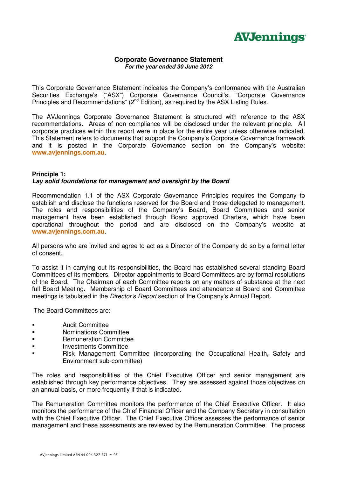

### **Corporate Governance Statement For the year ended 30 June 2012**

This Corporate Governance Statement indicates the Company's conformance with the Australian Securities Exchange's ("ASX") Corporate Governance Council's, "Corporate Governance Principles and Recommendations"  $(2^{nd}$  Edition), as required by the ASX Listing Rules.

The AVJennings Corporate Governance Statement is structured with reference to the ASX recommendations. Areas of non compliance will be disclosed under the relevant principle. All corporate practices within this report were in place for the entire year unless otherwise indicated. This Statement refers to documents that support the Company's Corporate Governance framework and it is posted in the Corporate Governance section on the Company's website: **www.avjennings.com.au**.

# **Principle 1: Lay solid foundations for management and oversight by the Board**

Recommendation 1.1 of the ASX Corporate Governance Principles requires the Company to establish and disclose the functions reserved for the Board and those delegated to management. The roles and responsibilities of the Company's Board, Board Committees and senior management have been established through Board approved Charters, which have been operational throughout the period and are disclosed on the Company's website at **www.avjennings.com.au**.

All persons who are invited and agree to act as a Director of the Company do so by a formal letter of consent.

To assist it in carrying out its responsibilities, the Board has established several standing Board Committees of its members. Director appointments to Board Committees are by formal resolutions of the Board. The Chairman of each Committee reports on any matters of substance at the next full Board Meeting. Membership of Board Committees and attendance at Board and Committee meetings is tabulated in the *Director's Report* section of the Company's Annual Report.

The Board Committees are:

- Audit Committee
- **Nominations Committee**
- **Example 20 Remuneration Committee**
- **Investments Committee**
- Risk Management Committee (incorporating the Occupational Health, Safety and Environment sub-committee)

The roles and responsibilities of the Chief Executive Officer and senior management are established through key performance objectives. They are assessed against those objectives on an annual basis, or more frequently if that is indicated.

The Remuneration Committee monitors the performance of the Chief Executive Officer. It also monitors the performance of the Chief Financial Officer and the Company Secretary in consultation with the Chief Executive Officer. The Chief Executive Officer assesses the performance of senior management and these assessments are reviewed by the Remuneration Committee. The process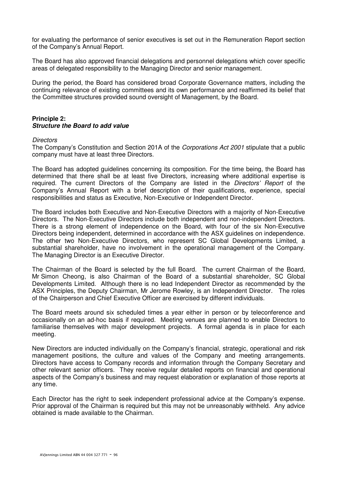for evaluating the performance of senior executives is set out in the Remuneration Report section of the Company's Annual Report.

The Board has also approved financial delegations and personnel delegations which cover specific areas of delegated responsibility to the Managing Director and senior management.

During the period, the Board has considered broad Corporate Governance matters, including the continuing relevance of existing committees and its own performance and reaffirmed its belief that the Committee structures provided sound oversight of Management, by the Board.

#### **Principle 2: Structure the Board to add value**

#### **Directors**

The Company's Constitution and Section 201A of the *Corporations Act 2001* stipulate that a public company must have at least three Directors.

The Board has adopted guidelines concerning its composition. For the time being, the Board has determined that there shall be at least five Directors, increasing where additional expertise is required. The current Directors of the Company are listed in the Directors' Report of the Company's Annual Report with a brief description of their qualifications, experience, special responsibilities and status as Executive, Non-Executive or Independent Director.

The Board includes both Executive and Non-Executive Directors with a majority of Non-Executive Directors. The Non-Executive Directors include both independent and non-independent Directors. There is a strong element of independence on the Board, with four of the six Non-Executive Directors being independent, determined in accordance with the ASX guidelines on independence. The other two Non-Executive Directors, who represent SC Global Developments Limited, a substantial shareholder, have no involvement in the operational management of the Company. The Managing Director is an Executive Director.

The Chairman of the Board is selected by the full Board. The current Chairman of the Board, Mr Simon Cheong, is also Chairman of the Board of a substantial shareholder, SC Global Developments Limited. Although there is no lead Independent Director as recommended by the ASX Principles, the Deputy Chairman, Mr Jerome Rowley, is an Independent Director. The roles of the Chairperson and Chief Executive Officer are exercised by different individuals.

The Board meets around six scheduled times a year either in person or by teleconference and occasionally on an ad-hoc basis if required. Meeting venues are planned to enable Directors to familiarise themselves with major development projects. A formal agenda is in place for each meeting.

New Directors are inducted individually on the Company's financial, strategic, operational and risk management positions, the culture and values of the Company and meeting arrangements. Directors have access to Company records and information through the Company Secretary and other relevant senior officers. They receive regular detailed reports on financial and operational aspects of the Company's business and may request elaboration or explanation of those reports at any time.

Each Director has the right to seek independent professional advice at the Company's expense. Prior approval of the Chairman is required but this may not be unreasonably withheld. Any advice obtained is made available to the Chairman.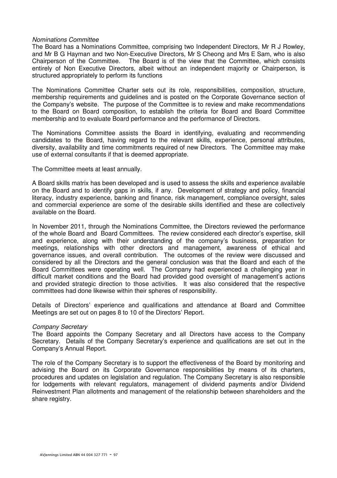## Nominations Committee

The Board has a Nominations Committee, comprising two Independent Directors, Mr R J Rowley, and Mr B G Hayman and two Non-Executive Directors, Mr S Cheong and Mrs E Sam, who is also Chairperson of the Committee. The Board is of the view that the Committee, which consists entirely of Non Executive Directors, albeit without an independent majority or Chairperson, is structured appropriately to perform its functions

The Nominations Committee Charter sets out its role, responsibilities, composition, structure, membership requirements and guidelines and is posted on the Corporate Governance section of the Company's website. The purpose of the Committee is to review and make recommendations to the Board on Board composition, to establish the criteria for Board and Board Committee membership and to evaluate Board performance and the performance of Directors.

The Nominations Committee assists the Board in identifying, evaluating and recommending candidates to the Board, having regard to the relevant skills, experience, personal attributes, diversity, availability and time commitments required of new Directors. The Committee may make use of external consultants if that is deemed appropriate.

The Committee meets at least annually.

A Board skills matrix has been developed and is used to assess the skills and experience available on the Board and to identify gaps in skills, if any. Development of strategy and policy, financial literacy, industry experience, banking and finance, risk management, compliance oversight, sales and commercial experience are some of the desirable skills identified and these are collectively available on the Board.

In November 2011, through the Nominations Committee, the Directors reviewed the performance of the whole Board and Board Committees. The review considered each director's expertise, skill and experience, along with their understanding of the company's business, preparation for meetings, relationships with other directors and management, awareness of ethical and governance issues, and overall contribution. The outcomes of the review were discussed and considered by all the Directors and the general conclusion was that the Board and each of the Board Committees were operating well. The Company had experienced a challenging year in difficult market conditions and the Board had provided good oversight of management's actions and provided strategic direction to those activities. It was also considered that the respective committees had done likewise within their spheres of responsibility.

Details of Directors' experience and qualifications and attendance at Board and Committee Meetings are set out on pages 8 to 10 of the Directors' Report.

### Company Secretary

The Board appoints the Company Secretary and all Directors have access to the Company Secretary. Details of the Company Secretary's experience and qualifications are set out in the Company's Annual Report.

The role of the Company Secretary is to support the effectiveness of the Board by monitoring and advising the Board on its Corporate Governance responsibilities by means of its charters, procedures and updates on legislation and regulation. The Company Secretary is also responsible for lodgements with relevant regulators, management of dividend payments and/or Dividend Reinvestment Plan allotments and management of the relationship between shareholders and the share registry.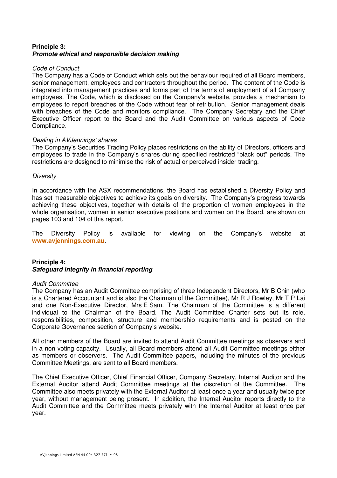# **Principle 3: Promote ethical and responsible decision making**

## Code of Conduct

The Company has a Code of Conduct which sets out the behaviour required of all Board members, senior management, employees and contractors throughout the period. The content of the Code is integrated into management practices and forms part of the terms of employment of all Company employees. The Code, which is disclosed on the Company's website, provides a mechanism to employees to report breaches of the Code without fear of retribution. Senior management deals with breaches of the Code and monitors compliance. The Company Secretary and the Chief Executive Officer report to the Board and the Audit Committee on various aspects of Code Compliance.

## Dealing in AVJennings' shares

The Company's Securities Trading Policy places restrictions on the ability of Directors, officers and employees to trade in the Company's shares during specified restricted "black out" periods. The restrictions are designed to minimise the risk of actual or perceived insider trading.

## **Diversity**

In accordance with the ASX recommendations, the Board has established a Diversity Policy and has set measurable objectives to achieve its goals on diversity. The Company's progress towards achieving these objectives, together with details of the proportion of women employees in the whole organisation, women in senior executive positions and women on the Board, are shown on pages 103 and 104 of this report.

The Diversity Policy is available for viewing on the Company's website at **www.avjennings.com.au**.

# **Principle 4: Safeguard integrity in financial reporting**

### Audit Committee

The Company has an Audit Committee comprising of three Independent Directors, Mr B Chin (who is a Chartered Accountant and is also the Chairman of the Committee), Mr R J Rowley, Mr T P Lai and one Non-Executive Director, Mrs E Sam. The Chairman of the Committee is a different individual to the Chairman of the Board. The Audit Committee Charter sets out its role, responsibilities, composition, structure and membership requirements and is posted on the Corporate Governance section of Company's website.

All other members of the Board are invited to attend Audit Committee meetings as observers and in a non voting capacity. Usually, all Board members attend all Audit Committee meetings either as members or observers. The Audit Committee papers, including the minutes of the previous Committee Meetings, are sent to all Board members.

The Chief Executive Officer, Chief Financial Officer, Company Secretary, Internal Auditor and the External Auditor attend Audit Committee meetings at the discretion of the Committee. The Committee also meets privately with the External Auditor at least once a year and usually twice per year, without management being present. In addition, the Internal Auditor reports directly to the Audit Committee and the Committee meets privately with the Internal Auditor at least once per year.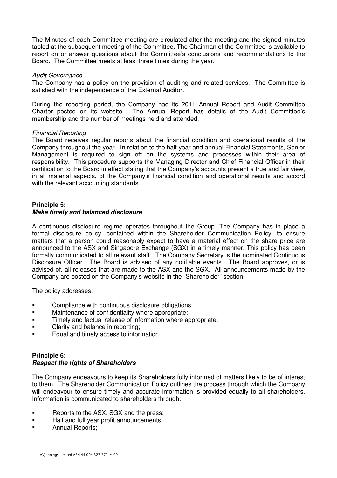The Minutes of each Committee meeting are circulated after the meeting and the signed minutes tabled at the subsequent meeting of the Committee. The Chairman of the Committee is available to report on or answer questions about the Committee's conclusions and recommendations to the Board. The Committee meets at least three times during the year.

### Audit Governance

The Company has a policy on the provision of auditing and related services. The Committee is satisfied with the independence of the External Auditor.

During the reporting period, the Company had its 2011 Annual Report and Audit Committee Charter posted on its website. The Annual Report has details of the Audit Committee's membership and the number of meetings held and attended.

## Financial Reporting

The Board receives regular reports about the financial condition and operational results of the Company throughout the year. In relation to the half year and annual Financial Statements, Senior Management is required to sign off on the systems and processes within their area of responsibility. This procedure supports the Managing Director and Chief Financial Officer in their certification to the Board in effect stating that the Company's accounts present a true and fair view, in all material aspects, of the Company's financial condition and operational results and accord with the relevant accounting standards.

## **Principle 5:**

# **Make timely and balanced disclosure**

A continuous disclosure regime operates throughout the Group. The Company has in place a formal disclosure policy, contained within the Shareholder Communication Policy, to ensure matters that a person could reasonably expect to have a material effect on the share price are announced to the ASX and Singapore Exchange (SGX) in a timely manner. This policy has been formally communicated to all relevant staff. The Company Secretary is the nominated Continuous Disclosure Officer. The Board is advised of any notifiable events. The Board approves, or is advised of, all releases that are made to the ASX and the SGX. All announcements made by the Company are posted on the Company's website in the "Shareholder" section.

The policy addresses:

- **EXECOMPLE COMPLIANCE With continuous disclosure obligations:**
- **EXECUTE:** Maintenance of confidentiality where appropriate;
- **Timely and factual release of information where appropriate;**
- Clarity and balance in reporting;
- Equal and timely access to information.

### **Principle 6: Respect the rights of Shareholders**

The Company endeavours to keep its Shareholders fully informed of matters likely to be of interest to them. The Shareholder Communication Policy outlines the process through which the Company will endeavour to ensure timely and accurate information is provided equally to all shareholders. Information is communicated to shareholders through:

- **Reports to the ASX, SGX and the press;**
- **Half and full year profit announcements:**
- Annual Reports;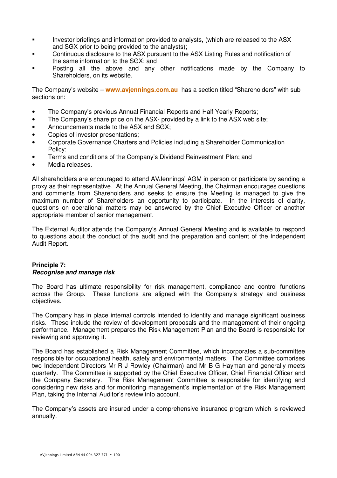- Investor briefings and information provided to analysts, (which are released to the ASX and SGX prior to being provided to the analysts);
- **EXECONTIFY CONTINUOUS DESIGNATE IS A CONTINUOUS DEASY PURSE ASSET ASSET** Continuous disclosure to the ASX pursuant to the ASX Listing Rules and notification of the same information to the SGX; and
- Posting all the above and any other notifications made by the Company to Shareholders, on its website.

The Company's website – **www.avjennings.com.au** has a section titled "Shareholders" with sub sections on:

- The Company's previous Annual Financial Reports and Half Yearly Reports;
- The Company's share price on the ASX- provided by a link to the ASX web site;
- Announcements made to the ASX and SGX;
- Copies of investor presentations;
- Corporate Governance Charters and Policies including a Shareholder Communication Policy;
- Terms and conditions of the Company's Dividend Reinvestment Plan; and
- Media releases.

All shareholders are encouraged to attend AVJennings' AGM in person or participate by sending a proxy as their representative. At the Annual General Meeting, the Chairman encourages questions and comments from Shareholders and seeks to ensure the Meeting is managed to give the maximum number of Shareholders an opportunity to participate. In the interests of clarity, questions on operational matters may be answered by the Chief Executive Officer or another appropriate member of senior management.

The External Auditor attends the Company's Annual General Meeting and is available to respond to questions about the conduct of the audit and the preparation and content of the Independent Audit Report.

## **Principle 7: Recognise and manage risk**

The Board has ultimate responsibility for risk management, compliance and control functions across the Group. These functions are aligned with the Company's strategy and business objectives.

The Company has in place internal controls intended to identify and manage significant business risks. These include the review of development proposals and the management of their ongoing performance. Management prepares the Risk Management Plan and the Board is responsible for reviewing and approving it.

The Board has established a Risk Management Committee, which incorporates a sub-committee responsible for occupational health, safety and environmental matters. The Committee comprises two Independent Directors Mr R J Rowley (Chairman) and Mr B G Hayman and generally meets quarterly. The Committee is supported by the Chief Executive Officer, Chief Financial Officer and the Company Secretary. The Risk Management Committee is responsible for identifying and considering new risks and for monitoring management's implementation of the Risk Management Plan, taking the Internal Auditor's review into account.

The Company's assets are insured under a comprehensive insurance program which is reviewed annually.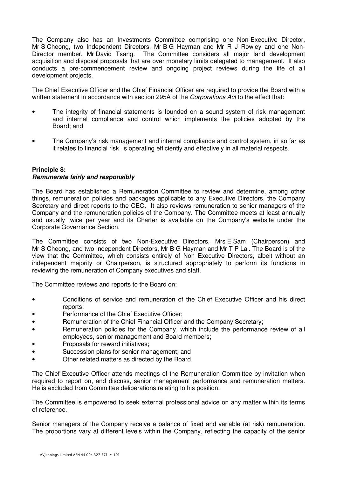The Company also has an Investments Committee comprising one Non-Executive Director, Mr S Cheong, two Independent Directors, Mr B G Hayman and Mr R J Rowley and one Non-Director member, Mr David Tsang. The Committee considers all major land development acquisition and disposal proposals that are over monetary limits delegated to management. It also conducts a pre-commencement review and ongoing project reviews during the life of all development projects.

The Chief Executive Officer and the Chief Financial Officer are required to provide the Board with a written statement in accordance with section 295A of the *Corporations Act* to the effect that:

- The integrity of financial statements is founded on a sound system of risk management and internal compliance and control which implements the policies adopted by the Board; and
- The Company's risk management and internal compliance and control system, in so far as it relates to financial risk, is operating efficiently and effectively in all material respects.

#### **Principle 8: Remunerate fairly and responsibly**

The Board has established a Remuneration Committee to review and determine, among other things, remuneration policies and packages applicable to any Executive Directors, the Company Secretary and direct reports to the CEO. It also reviews remuneration to senior managers of the Company and the remuneration policies of the Company. The Committee meets at least annually and usually twice per year and its Charter is available on the Company's website under the Corporate Governance Section.

The Committee consists of two Non-Executive Directors, Mrs E Sam (Chairperson) and Mr S Cheong, and two Independent Directors, Mr B G Hayman and Mr T P Lai. The Board is of the view that the Committee, which consists entirely of Non Executive Directors, albeit without an independent majority or Chairperson, is structured appropriately to perform its functions in reviewing the remuneration of Company executives and staff.

The Committee reviews and reports to the Board on:

- Conditions of service and remuneration of the Chief Executive Officer and his direct reports;
- Performance of the Chief Executive Officer;
- Remuneration of the Chief Financial Officer and the Company Secretary;
- Remuneration policies for the Company, which include the performance review of all employees, senior management and Board members;
- Proposals for reward initiatives;
- Succession plans for senior management; and
- Other related matters as directed by the Board.

The Chief Executive Officer attends meetings of the Remuneration Committee by invitation when required to report on, and discuss, senior management performance and remuneration matters. He is excluded from Committee deliberations relating to his position.

The Committee is empowered to seek external professional advice on any matter within its terms of reference.

Senior managers of the Company receive a balance of fixed and variable (at risk) remuneration. The proportions vary at different levels within the Company, reflecting the capacity of the senior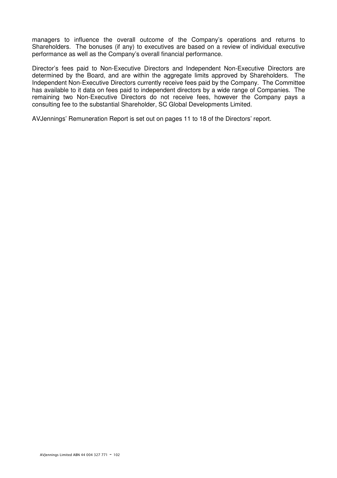managers to influence the overall outcome of the Company's operations and returns to Shareholders. The bonuses (if any) to executives are based on a review of individual executive performance as well as the Company's overall financial performance.

Director's fees paid to Non-Executive Directors and Independent Non-Executive Directors are determined by the Board, and are within the aggregate limits approved by Shareholders. The Independent Non-Executive Directors currently receive fees paid by the Company. The Committee has available to it data on fees paid to independent directors by a wide range of Companies. The remaining two Non-Executive Directors do not receive fees, however the Company pays a consulting fee to the substantial Shareholder, SC Global Developments Limited.

AVJennings' Remuneration Report is set out on pages 11 to 18 of the Directors' report.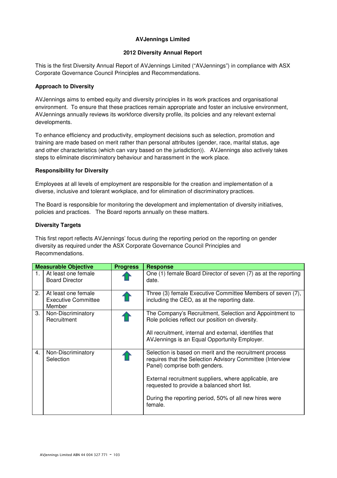## **AVJennings Limited**

### **2012 Diversity Annual Report**

This is the first Diversity Annual Report of AVJennings Limited ("AVJennings") in compliance with ASX Corporate Governance Council Principles and Recommendations.

#### **Approach to Diversity**

AVJennings aims to embed equity and diversity principles in its work practices and organisational environment. To ensure that these practices remain appropriate and foster an inclusive environment, AVJennings annually reviews its workforce diversity profile, its policies and any relevant external developments.

To enhance efficiency and productivity, employment decisions such as selection, promotion and training are made based on merit rather than personal attributes (gender, race, marital status, age and other characteristics (which can vary based on the jurisdiction)). AVJennings also actively takes steps to eliminate discriminatory behaviour and harassment in the work place.

#### **Responsibility for Diversity**

Employees at all levels of employment are responsible for the creation and implementation of a diverse, inclusive and tolerant workplace, and for elimination of discriminatory practices.

The Board is responsible for monitoring the development and implementation of diversity initiatives, policies and practices. The Board reports annually on these matters.

#### **Diversity Targets**

This first report reflects AVJennings' focus during the reporting period on the reporting on gender diversity as required under the ASX Corporate Governance Council Principles and Recommendations.

|    | <b>Measurable Objective</b>                                 | <b>Progress</b> | <b>Response</b>                                                                                                                                                                                                                                                                                                                    |
|----|-------------------------------------------------------------|-----------------|------------------------------------------------------------------------------------------------------------------------------------------------------------------------------------------------------------------------------------------------------------------------------------------------------------------------------------|
|    | At least one female<br><b>Board Director</b>                |                 | One (1) female Board Director of seven (7) as at the reporting<br>date.                                                                                                                                                                                                                                                            |
| 2. | At least one female<br><b>Executive Committee</b><br>Member |                 | Three (3) female Executive Committee Members of seven (7),<br>including the CEO, as at the reporting date.                                                                                                                                                                                                                         |
| 3. | Non-Discriminatory<br>Recruitment                           |                 | The Company's Recruitment, Selection and Appointment to<br>Role policies reflect our position on diversity.<br>All recruitment, internal and external, identifies that<br>AVJennings is an Equal Opportunity Employer.                                                                                                             |
| 4. | Non-Discriminatory<br>Selection                             |                 | Selection is based on merit and the recruitment process<br>requires that the Selection Advisory Committee (Interview<br>Panel) comprise both genders.<br>External recruitment suppliers, where applicable, are<br>requested to provide a balanced short list.<br>During the reporting period, 50% of all new hires were<br>female. |